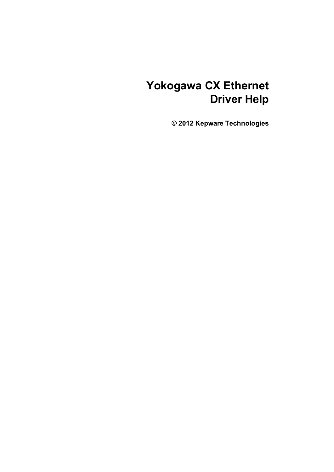# **Yokogawa CX Ethernet Driver Help**

**© 2012 Kepware Technologies**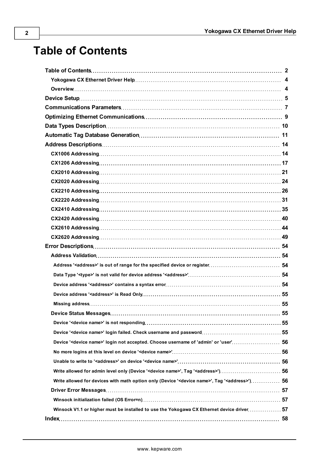# <span id="page-1-0"></span>**Table of Contents**

| Device ' <device name="">' login not accepted. Choose username of 'admin' or 'user' 56</device>                     |  |
|---------------------------------------------------------------------------------------------------------------------|--|
|                                                                                                                     |  |
|                                                                                                                     |  |
| Write allowed for admin level only (Device ' <device name="">', Tag '<address>')56</address></device>               |  |
| Write allowed for devices with math option only (Device ' <device name="">', Tag '<address>') 56</address></device> |  |
|                                                                                                                     |  |
|                                                                                                                     |  |
| Winsock V1.1 or higher must be installed to use the Yokogawa CX Ethernet device driver 57                           |  |
|                                                                                                                     |  |
|                                                                                                                     |  |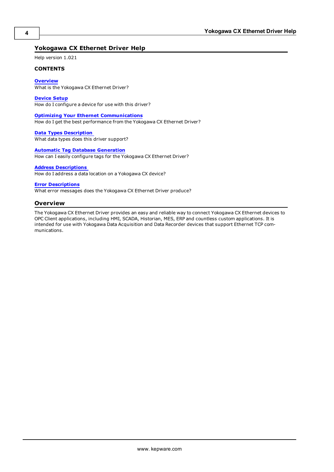# <span id="page-2-0"></span>**Yokogawa CX Ethernet Driver Help**

Help version 1.021

#### **CONTENTS**

**[Overview](#page-2-1)** What is the Yokogawa CX Ethernet Driver?

**[Device](#page-3-0) [Setup](#page-3-0)** How do I configure a device for use with this driver?

**[Optimizing](#page-7-0) [Your](#page-7-0) [Ethernet](#page-7-0) [Communications](#page-7-0)** How do I get the best performance from the Yokogawa CX Ethernet Driver?

**[Data](#page-8-0) [Types](#page-8-0) [Description](#page-8-0)** What data types does this driver support?

**[Automatic](#page-9-0) [Tag](#page-9-0) [Database](#page-9-0) [Generation](#page-9-0)** How can I easily configure tags for the Yokogawa CX Ethernet Driver?

# **[Address](#page-12-0) [Descriptions](#page-12-0)**

How do I address a data location on a Yokogawa CX device?

#### **[Error](#page-52-0) [Descriptions](#page-52-0)**

<span id="page-2-1"></span>What error messages does the Yokogawa CX Ethernet Driver produce?

#### **Overview**

The Yokogawa CX Ethernet Driver provides an easy and reliable way to connect Yokogawa CX Ethernet devices to OPC Client applications, including HMI, SCADA, Historian, MES, ERP and countless custom applications. It is intended for use with Yokogawa Data Acquisition and Data Recorder devices that support Ethernet TCP communications.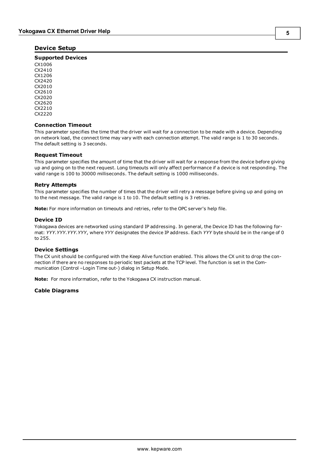# <span id="page-3-0"></span>**Device Setup**

#### **Supported Devices**

CX1006 CX2410 CX1206 CX2420 CX2010 CX2610 CX2020 CX2620 CX2210 CX2220

#### **Connection Timeout**

This parameter specifies the time that the driver will wait for a connection to be made with a device. Depending on network load, the connect time may vary with each connection attempt. The valid range is 1 to 30 seconds. The default setting is 3 seconds.

#### **Request Timeout**

This parameter specifies the amount of time that the driver will wait for a response from the device before giving up and going on to the next request. Long timeouts will only affect performance if a device is not responding. The valid range is 100 to 30000 milliseconds. The default setting is 1000 milliseconds.

#### **Retry Attempts**

This parameter specifies the number of times that the driver will retry a message before giving up and going on to the next message. The valid range is 1 to 10. The default setting is 3 retries.

**Note:** For more information on timeouts and retries, refer to the OPC server's help file.

#### **Device ID**

Yokogawa devices are networked using standard IP addressing. In general, the Device ID has the following format: *YYY.YYY.YYY.YYY*, where *YYY* designates the device IP address. Each *YYY* byte should be in the range of 0 to 255.

#### **Device Settings**

The CX unit should be configured with the Keep Alive function enabled. This allows the CX unit to drop the connection if there are no responses to periodic test packets at the TCP level. The function is set in the Communication (Control –Login Time out-) dialog in Setup Mode.

**Note:** For more information, refer to the Yokogawa CX instruction manual.

#### **Cable Diagrams**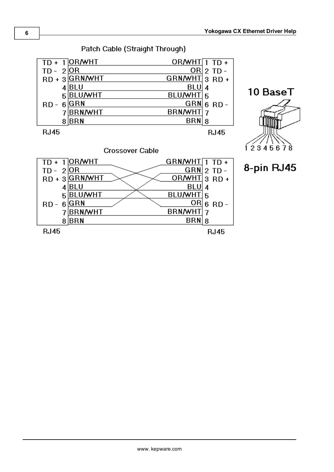



Patch Cable (Straight Through)

**RJ45** 

**RJ45**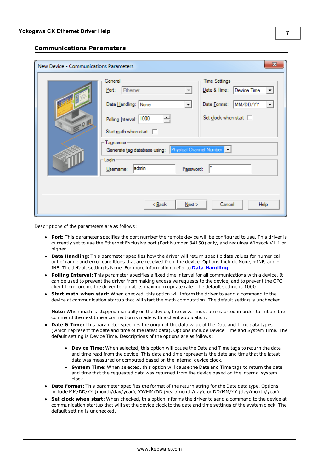# <span id="page-5-0"></span>**Communications Parameters**

| New Device - Communications Parameters |                                                                                                                                                                                                                                     | х                                                                                                                 |
|----------------------------------------|-------------------------------------------------------------------------------------------------------------------------------------------------------------------------------------------------------------------------------------|-------------------------------------------------------------------------------------------------------------------|
| $-0.5$                                 | General<br>Port:<br>Ethemet<br>Data Handling: None<br>Polling Interval: 1000<br>싂<br>Start math when start $\square$<br>Tagnames<br>Generate tag database using: Physical Channel Number<br>Login<br>admin<br>Password:<br>Usemame: | <b>Time Settings</b><br>Date & Time:<br>Device Time<br>MM/DD/YY<br>Date Format:<br>Set clock when start $\square$ |
|                                        | $<$ Back<br>Next                                                                                                                                                                                                                    | Cancel<br>Help                                                                                                    |

Descriptions of the parameters are as follows:

- **Port:** This parameter specifies the port number the remote device will be configured to use. This driver is currently set to use the Ethernet Exclusive port (Port Number 34150) only, and requires Winsock V1.1 or higher.
- **Data Handling:** This parameter specifies how the driver will return specific data values for numerical out of range and error conditions that are received from the device. Options include None, +INF, and - INF. The default setting is None. For more information, refer to **[Data](#page-6-0) [Handling](#page-6-0)**.
- **Polling Interval:** This parameter specifies a fixed time interval for all communications with a device. It can be used to prevent the driver from making excessive requests to the device, and to prevent the OPC client from forcing the driver to run at its maximum update rate. The default setting is 1000.
- **Start math when start:** When checked, this option will inform the driver to send a command to the device at communication startup that will start the math computation. The default setting is unchecked.

**Note:** When math is stopped manually on the device, the server must be restarted in order to initiate the command the next time a connection is made with a client application.

- **Date & Time:** This parameter specifies the origin of the data value of the Date and Time data types (which represent the date and time of the latest data). Options include Device Time and System Time. The default setting is Device Time. Descriptions of the options are as follows:
	- **Device Time:** When selected, this option will cause the Date and Time tags to return the date and time read from the device. This date and time represents the date and time that the latest data was measured or computed based on the internal device clock.
	- **System Time:** When selected, this option will cause the Date and Time tags to return the date and time that the requested data was returned from the device based on the internal system clock.
- **Date Format:** This parameter specifies the format of the return string for the Date data type. Options include MM/DD/YY (month/day/year), YY/MM/DD (year/month/day), or DD/MM/YY (day/month/year).
- **Set clock when start:** When checked, this option informs the driver to send a command to the device at communication startup that will set the device clock to the date and time settings of the system clock. The default setting is unchecked.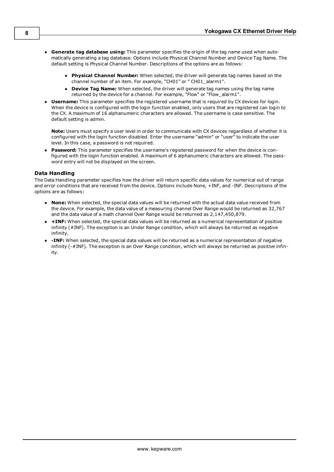- <sup>l</sup> **Generate tag database using:** This parameter specifies the origin of the tag name used when automatically generating a tag database. Options include Physical Channel Number and Device Tag Name. The default setting is Physical Channel Number. Descriptions of the options are as follows:
	- **Physical Channel Number:** When selected, the driver will generate tag names based on the channel number of an item. For example, "CH01" or " CH01\_alarm1".
	- **Device Tag Name:** When selected, the driver will generate tag names using the tag name returned by the device for a channel. For example, "Flow" or "Flow\_alarm1".
- **Username:** This parameter specifies the registered username that is required by CX devices for login. When the device is configured with the login function enabled, only users that are registered can login to the CX. A maximum of 16 alphanumeric characters are allowed. The username is case sensitive. The default setting is admin.

**Note:** Users must specify a user level in order to communicate with CX devices regardless of whether it is configured with the login function disabled. Enter the username "admin" or "user" to indicate the user level. In this case, a password is not required.

<span id="page-6-0"></span>Password: This parameter specifies the username's registered password for when the device is configured with the login function enabled. A maximum of 6 alphanumeric characters are allowed. The password entry will not be displayed on the screen.

#### **Data Handling**

The Data Handling parameter specifies how the driver will return specific data values for numerical out of range and error conditions that are received from the device. Options include None, +INF, and -INF. Descriptions of the options are as follows:

- **None:** When selected, the special data values will be returned with the actual data value received from the device. For example, the data value of a measuring channel Over Range would be returned as 32,767 and the data value of a math channel Over Range would be returned as 2,147,450,879.
- **+ INF:** When selected, the special data values will be returned as a numerical representation of positive infinity (#INF). The exception is an Under Range condition, which will always be returned as negative infinity.
- <sup>l</sup> **-INF:** When selected, the special data values will be returned as a numerical representation of negative infinity (-#INF). The exception is an Over Range condition, which will always be returned as positive infinity.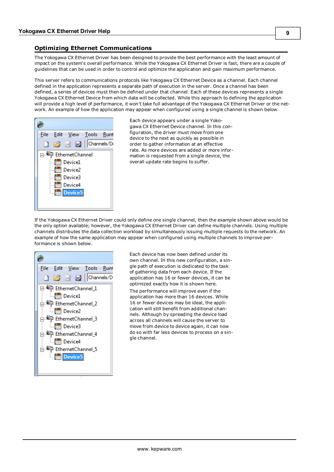# <span id="page-7-0"></span>**Optimizing Ethernet Communications**

The Yokogawa CX Ethernet Driver has been designed to provide the best performance with the least amount of impact on the system's overall performance. While the Yokogawa CX Ethernet Driver is fast, there are a couple of guidelines that can be used in order to control and optimize the application and gain maximum performance.

This server refers to communications protocols like Yokogawa CX Ethernet Device as a channel. Each channel defined in the application represents a separate path of execution in the server. Once a channel has been defined, a series of devices must then be defined under that channel. Each of these devices represents a single Yokogawa CX Ethernet Device from which data will be collected. While this approach to defining the application will provide a high level of performance, it won't take full advantage of the Yokogawa CX Ethernet Driver or the network. An example of how the application may appear when configured using a single channel is shown below.



Each device appears under a single Yokogawa CX Ethernet Device channel. In this configuration, the driver must move from one device to the next as quickly as possible in order to gather information at an effective rate. As more devices are added or more information is requested from a single device, the overall update rate begins to suffer.

If the Yokogawa CX Ethernet Driver could only define one single channel, then the example shown above would be the only option available; however, the Yokogawa CX Ethernet Driver can define multiple channels. Using multiple channels distributes the data collection workload by simultaneously issuing multiple requests to the network. An example of how the same application may appear when configured using multiple channels to improve performance is shown below.



Each device has now been defined under its own channel. In this new configuration, a single path of execution is dedicated to the task of gathering data from each device. If the application has 16 or fewer devices, it can be optimized exactly how it is shown here. The performance will improve even if the application has more than 16 devices. While 16 or fewer devices may be ideal, the application will still benefit from additional channels. Although by spreading the device load across all channels will cause the server to move from device to device again, it can now do so with far less devices to process on a single channel.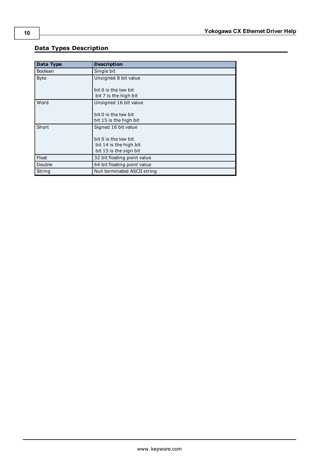# <span id="page-8-0"></span>**Data Types Description**

| Data Type      | <b>Description</b>                                                       |
|----------------|--------------------------------------------------------------------------|
| <b>Boolean</b> | Single bit                                                               |
| <b>Byte</b>    | Unsigned 8 bit value                                                     |
|                | bit 0 is the low bit<br>bit 7 is the high bit                            |
| Word           | Unsigned 16 bit value                                                    |
|                | bit 0 is the low bit<br>bit 15 is the high bit                           |
| Short          | Signed 16 bit value                                                      |
|                | bit 0 is the low bit<br>bit 14 is the high bit<br>bit 15 is the sign bit |
| Float          | 32 bit floating point value                                              |
| Double         | 64 bit floating point value                                              |
| String         | Null terminated ASCII string                                             |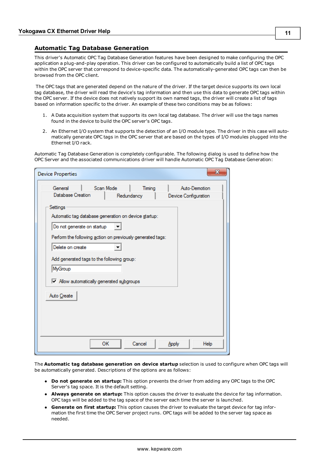#### <span id="page-9-0"></span>**Automatic Tag Database Generation**

This driver's Automatic OPC Tag Database Generation features have been designed to make configuring the OPC application a plug-and-play operation. This driver can be configured to automatically build a list of OPC tags within the OPC server that correspond to device-specific data. The automatically-generated OPC tags can then be browsed from the OPC client.

The OPC tags that are generated depend on the nature of the driver. If the target device supports its own local tag database, the driver will read the device's tag information and then use this data to generate OPC tags within the OPC server. If the device does not natively support its own named tags, the driver will create a list of tags based on information specific to the driver. An example of these two conditions may be as follows:

- 1. A Data acquisition system that supports its own local tag database. The driver will use the tags names found in the device to build the OPC server's OPC tags.
- 2. An Ethernet I/O system that supports the detection of an I/O module type. The driver in this case will automatically generate OPC tags in the OPC server that are based on the types of I/O modules plugged into the Ethernet I/O rack.

Automatic Tag Database Generation is completely configurable. The following dialog is used to define how the OPC Server and the associated communications driver will handle Automatic OPC Tag Database Generation:

| General                                                      | Scan Mode | Timing     | Auto-Demotion        |
|--------------------------------------------------------------|-----------|------------|----------------------|
| Database Creation                                            |           | Redundancy | Device Configuration |
| Settings                                                     |           |            |                      |
| Automatic tag database generation on device startup:         |           |            |                      |
|                                                              |           |            |                      |
| Do not generate on startup                                   |           |            |                      |
| Perform the following action on previously generated tags:   |           |            |                      |
| Delete on create                                             |           |            |                      |
|                                                              |           |            |                      |
| Add generated tags to the following group:                   |           |            |                      |
| MyGroup                                                      |           |            |                      |
|                                                              |           |            |                      |
| $\sqrt{\phantom{a}}$ Allow automatically generated subgroups |           |            |                      |
|                                                              |           |            |                      |
| Auto Create                                                  |           |            |                      |
|                                                              |           |            |                      |
|                                                              |           |            |                      |
|                                                              |           |            |                      |
|                                                              |           |            |                      |
|                                                              |           |            |                      |
|                                                              |           |            |                      |

The **Automatic tag database generation on device startup** selection is used to configure when OPC tags will be automatically generated. Descriptions of the options are as follows:

- **Do not generate on startup:** This option prevents the driver from adding any OPC tags to the OPC Server's tag space. It is the default setting.
- **Always generate on startup:** This option causes the driver to evaluate the device for tag information. OPC tags will be added to the tag space of the server each time the server is launched.
- **Generate on first startup:** This option causes the driver to evaluate the target device for tag information the first time the OPC Server project runs. OPC tags will be added to the server tag space as needed.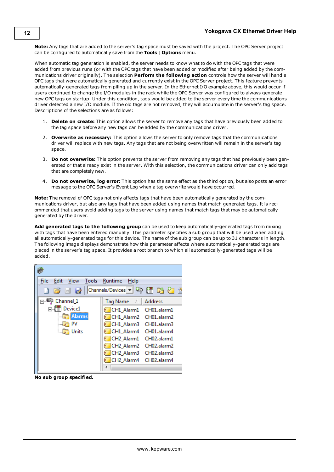**Note:** Any tags that are added to the server's tag space must be saved with the project. The OPC Server project can be configured to automatically save from the **Tools** | **Options** menu.

When automatic tag generation is enabled, the server needs to know what to do with the OPC tags that were added from previous runs (or with the OPC tags that have been added or modified after being added by the communications driver originally). The selection **Perform the following action** controls how the server will handle OPC tags that were automatically generated and currently exist in the OPC Server project. This feature prevents automatically-generated tags from piling up in the server. In the Ethernet I/O example above, this would occur if users continued to change the I/O modules in the rack while the OPC Server was configured to always generate new OPC tags on startup. Under this condition, tags would be added to the server every time the communications driver detected a new I/O module. If the old tags are not removed, they will accumulate in the server's tag space. Descriptions of the selections are as follows:

- 1. **Delete on create:** This option allows the server to remove any tags that have previously been added to the tag space before any new tags can be added by the communications driver.
- 2. **Overwrite as necessary:** This option allows the server to only remove tags that the communications driver will replace with new tags. Any tags that are not being overwritten will remain in the server's tag space.
- 3. **Do not overwrite:** This option prevents the server from removing any tags that had previously been generated or that already exist in the server. With this selection, the communications driver can only add tags that are completely new.
- 4. **Do not overwrite, log error:** This option has the same effect as the third option, but also posts an error message to the OPC Server's Event Log when a tag overwrite would have occurred.

**Note:** The removal of OPC tags not only affects tags that have been automatically generated by the communications driver, but also any tags that have been added using names that match generated tags. It is recommended that users avoid adding tags to the server using names that match tags that may be automatically generated by the driver.

**Add generated tags to the following group** can be used to keep automatically-generated tags from mixing with tags that have been entered manually. This parameter specifies a sub group that will be used when adding all automatically-generated tags for this device. The name of the sub group can be up to 31 characters in length. The following image displays demonstrate how this parameter affects where automatically-generated tags are placed in the server's tag space. It provides a root branch to which all automatically-generated tags will be added.



**No sub group specified.**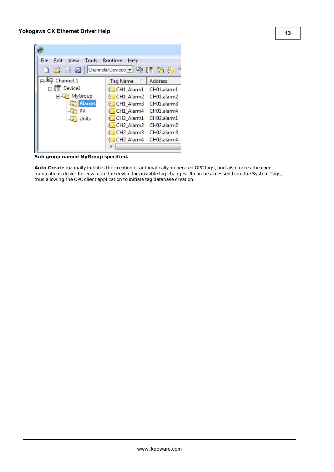| File<br>Edit                                                                                                                                                                                                                                                                                                                   | <b>Tools</b><br>View | Runtime<br>Help                    |                |
|--------------------------------------------------------------------------------------------------------------------------------------------------------------------------------------------------------------------------------------------------------------------------------------------------------------------------------|----------------------|------------------------------------|----------------|
| $\begin{array}{c} \begin{array}{c} \begin{array}{c} \end{array} \\ \begin{array}{c} \end{array} \end{array} \end{array} \end{array} \begin{array}{c} \begin{array}{c} \end{array} \end{array} \begin{array}{c} \begin{array}{c} \end{array} \end{array} \end{array} \begin{array}{c} \begin{array}{c} \end{array} \end{array}$ |                      |                                    | - P            |
| Channel 1<br>89. LE P                                                                                                                                                                                                                                                                                                          |                      | <b>Tag Name</b><br>r.              | <b>Address</b> |
|                                                                                                                                                                                                                                                                                                                                | Device1              | CH1 Alarm1                         | CH01.alarm1    |
|                                                                                                                                                                                                                                                                                                                                | ⊟ MyGroup            | CH1 Alarm2                         | CH01.alarm2    |
|                                                                                                                                                                                                                                                                                                                                | <b>Alarms</b>        | CH1 Alarm3                         | CH01.alarm3    |
|                                                                                                                                                                                                                                                                                                                                | PV                   | CH1 Alarm4                         | CH01.alarm4    |
|                                                                                                                                                                                                                                                                                                                                | Units                | CH <sub>2_Alarm1</sub>             | CH02.alarm1    |
|                                                                                                                                                                                                                                                                                                                                |                      | CH <sub>2_Alarm2</sub>             | CH02.alarm2    |
|                                                                                                                                                                                                                                                                                                                                |                      | CH <sub>2</sub> Alarm <sub>3</sub> | CH02.alarm3    |
|                                                                                                                                                                                                                                                                                                                                |                      | CH <sub>2</sub> Alarm4             | CH02.alarm4    |
|                                                                                                                                                                                                                                                                                                                                |                      |                                    |                |
|                                                                                                                                                                                                                                                                                                                                |                      |                                    |                |

**Sub group named MyGroup specified.**

**Auto Create** manually initiates the creation of automatically-generated OPC tags, and also forces the communications driver to reevaluate the device for possible tag changes. It can be accessed from the System Tags, thus allowing the OPC client application to initiate tag database creation.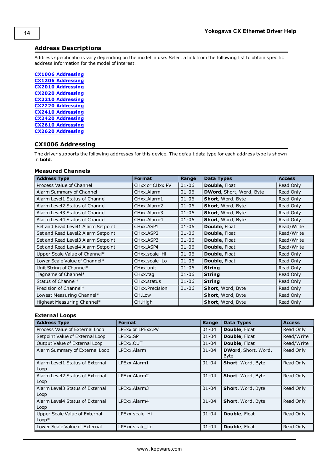# <span id="page-12-0"></span>**Address Descriptions**

Address specifications vary depending on the model in use. Select a link from the following list to obtain specific address information for the model of interest.

**[CX1006](#page-12-1) [Addressing](#page-12-1) [CX1206](#page-15-0) [Addressing](#page-15-0) [CX2010](#page-19-0) [Addressing](#page-19-0) [CX2020](#page-22-0) [Addressing](#page-22-0) [CX2210](#page-24-0) [Addressing](#page-24-0) [CX2220](#page-29-0) [Addressing](#page-29-0) [CX2410](#page-33-0) [Addressing](#page-33-0) [CX2420](#page-38-0) [Addressing](#page-38-0) [CX2610](#page-42-0) [Addressing](#page-42-0) [CX2620](#page-47-0) [Addressing](#page-47-0)**

# <span id="page-12-1"></span>**CX1006 Addressing**

The driver supports the following addresses for this device. The default data type for each address type is shown in **bold**.

#### **Measured Channels**

| <b>Address Type</b>                | <b>Format</b>   | Range     | <b>Data Types</b>        | <b>Access</b> |
|------------------------------------|-----------------|-----------|--------------------------|---------------|
| Process Value of Channel           | CHxx or CHxx.PV | $01 - 06$ | <b>Double, Float</b>     | Read Only     |
| Alarm Summary of Channel           | CHxx.Alarm      | $01 - 06$ | DWord, Short, Word, Byte | Read Only     |
| Alarm Level1 Status of Channel     | CHxx.Alarm1     | $01 - 06$ | <b>Short, Word, Byte</b> | Read Only     |
| Alarm Level2 Status of Channel     | CHxx.Alarm2     | $01 - 06$ | <b>Short, Word, Byte</b> | Read Only     |
| Alarm Level3 Status of Channel     | CHxx.Alarm3     | $01 - 06$ | Short, Word, Byte        | Read Only     |
| Alarm Level4 Status of Channel     | CHxx.Alarm4     | $01 - 06$ | Short, Word, Byte        | Read Only     |
| Set and Read Level1 Alarm Setpoint | CHxx.ASP1       | $01 - 06$ | Double, Float            | Read/Write    |
| Set and Read Level2 Alarm Setpoint | CHxx.ASP2       | $01 - 06$ | Double, Float            | Read/Write    |
| Set and Read Level3 Alarm Setpoint | CHxx.ASP3       | $01 - 06$ | Double, Float            | Read/Write    |
| Set and Read Level4 Alarm Setpoint | CHxx.ASP4       | $01 - 06$ | Double, Float            | Read/Write    |
| Upper Scale Value of Channel*      | CHxx.scale_Hi   | $01 - 06$ | Double, Float            | Read Only     |
| Lower Scale Value of Channel*      | CHxx.scale_Lo   | $01 - 06$ | Double, Float            | Read Only     |
| Unit String of Channel*            | CHxx.unit       | $01 - 06$ | <b>String</b>            | Read Only     |
| Tagname of Channel*                | CHxx.tag        | $01 - 06$ | <b>String</b>            | Read Only     |
| Status of Channel*                 | CHxx.status     | $01 - 06$ | <b>String</b>            | Read Only     |
| Precision of Channel*              | CHxx. Precision | $01 - 06$ | Short, Word, Byte        | Read Only     |
| Lowest Measuring Channel*          | CH.Low          |           | Short, Word, Byte        | Read Only     |
| Highest Measuring Channel*         | CH.High         |           | Short, Word, Byte        | Read Only     |

# **External Loops**

| <b>Address Type</b>                      | <b>Format</b>     | Range     | <b>Data Types</b>                          | <b>Access</b> |
|------------------------------------------|-------------------|-----------|--------------------------------------------|---------------|
| Process Value of External Loop           | LPExx or LPExx.PV | $01 - 04$ | <b>Double, Float</b>                       | Read Only     |
| Setpoint Value of External Loop          | LPExx.SP          | $01 - 04$ | Double, Float                              | Read/Write    |
| Output Value of External Loop            | LPExx.OUT         | $01 - 04$ | Double, Float                              | Read/Write    |
| Alarm Summary of External Loop           | LPExx.Alarm       | $01 - 04$ | <b>DWord</b> , Short, Word,<br><b>Byte</b> | Read Only     |
| Alarm Level1 Status of External<br>Loop  | LPExx.Alarm1      | $01 - 04$ | Short, Word, Byte                          | Read Only     |
| Alarm Level2 Status of External<br>Loop  | LPExx Alarm2      | $01 - 04$ | <b>Short, Word, Byte</b>                   | Read Only     |
| Alarm Level3 Status of External<br>Loop  | LPExx Alarm3      | $01 - 04$ | <b>Short, Word, Byte</b>                   | Read Only     |
| Alarm Level4 Status of External<br>Loop  | LPExx.Alarm4      | $01 - 04$ | <b>Short, Word, Byte</b>                   | Read Only     |
| Upper Scale Value of External<br>$Loop*$ | LPExx.scale Hi    | $01 - 04$ | Double, Float                              | Read Only     |
| Lower Scale Value of External            | LPExx.scale Lo    | $01 - 04$ | <b>Double, Float</b>                       | Read Only     |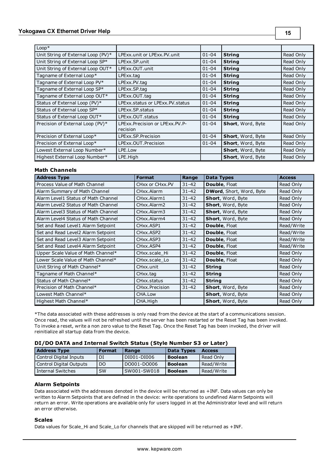| $Loop*$                            |                                            |           |                          |           |
|------------------------------------|--------------------------------------------|-----------|--------------------------|-----------|
| Unit String of External Loop (PV)* | LPExx unit or LPExx.PV unit                | $01 - 04$ | <b>String</b>            | Read Only |
| Unit String of External Loop SP*   | LPExx.SP.unit                              | $01 - 04$ | <b>String</b>            | Read Only |
| Unit String of External Loop OUT*  | LPExx.OUT.unit                             | $01 - 04$ | <b>String</b>            | Read Only |
| Tagname of External Loop*          | LPExx.tag                                  | $01 - 04$ | <b>String</b>            | Read Only |
| Tagname of External Loop PV*       | LPExx.PV.tag                               | $01 - 04$ | <b>String</b>            | Read Only |
| Tagname of External Loop SP*       | LPExx.SP.tag                               | $01 - 04$ | <b>String</b>            | Read Only |
| Tagname of External Loop OUT*      | LPExx.OUT.tag                              | $01 - 04$ | <b>String</b>            | Read Only |
| Status of External Loop (PV)*      | LPExx.status or LPExx.PV.status            | $01 - 04$ | <b>String</b>            | Read Only |
| Status of External Loop SP*        | LPExx.SP.status                            | $01 - 04$ | <b>String</b>            | Read Only |
| Status of External Loop OUT*       | LPExx.OUT.status                           | $01 - 04$ | <b>String</b>            | Read Only |
| Precision of External Loop (PV)*   | LPExx.Precision or LPExx.PV.P-<br>recision | $01 - 04$ | Short, Word, Byte        | Read Only |
| Precision of External Loop*        | LPExx.SP.Precision                         | $01 - 04$ | <b>Short, Word, Byte</b> | Read Only |
| Precision of External Loop*        | LPExx.OUT.Precision                        | $01 - 04$ | Short, Word, Byte        | Read Only |
| Lowest External Loop Number*       | LPE.Low                                    |           | Short, Word, Byte        | Read Only |
| Highest External Loop Number*      | LPE.High                                   |           | Short, Word, Byte        | Read Only |

#### **Math Channels**

| <b>Address Type</b>                 | <b>Format</b>   | Range     | <b>Data Types</b>               | <b>Access</b> |
|-------------------------------------|-----------------|-----------|---------------------------------|---------------|
| Process Value of Math Channel       | CHxx or CHxx.PV | $31 - 42$ | <b>Double, Float</b>            | Read Only     |
| Alarm Summary of Math Channel       | CHxx.Alarm      | $31 - 42$ | <b>DWord, Short, Word, Byte</b> | Read Only     |
| Alarm Level1 Status of Math Channel | CHxx.Alarm1     | $31 - 42$ | Short, Word, Byte               | Read Only     |
| Alarm Level2 Status of Math Channel | CHxx.Alarm2     | $31 - 42$ | Short, Word, Byte               | Read Only     |
| Alarm Level3 Status of Math Channel | CHxx.Alarm3     | $31 - 42$ | Short, Word, Byte               | Read Only     |
| Alarm Level4 Status of Math Channel | CHxx.Alarm4     | $31 - 42$ | Short, Word, Byte               | Read Only     |
| Set and Read Level1 Alarm Setpoint  | CHxx.ASP1       | $31 - 42$ | Double, Float                   | Read/Write    |
| Set and Read Level2 Alarm Setpoint  | CHxx.ASP2       | $31 - 42$ | <b>Double, Float</b>            | Read/Write    |
| Set and Read Level3 Alarm Setpoint  | CHxx.ASP3       | $31 - 42$ | Double, Float                   | Read/Write    |
| Set and Read Level4 Alarm Setpoint  | CHxx.ASP4       | $31 - 42$ | Double, Float                   | Read/Write    |
| Upper Scale Value of Math Channel*  | CHxx.scale Hi   | $31 - 42$ | Double, Float                   | Read Only     |
| Lower Scale Value of Math Channel*  | CHxx.scale_Lo   | $31 - 42$ | Double, Float                   | Read Only     |
| Unit String of Math Channel*        | CHxx.unit       | $31 - 42$ | <b>String</b>                   | Read Only     |
| Tagname of Math Channel*            | CHxx.tag        | $31 - 42$ | <b>String</b>                   | Read Only     |
| Status of Math Channel*             | CHxx.status     | $31 - 42$ | <b>String</b>                   | Read Only     |
| Precision of Math Channel*          | CHxx.Precision  | $31 - 42$ | Short, Word, Byte               | Read Only     |
| Lowest Math Channel*                | CHA.Low         |           | Short, Word, Byte               | Read Only     |
| Highest Math Channel*               | CHA.High        |           | Short, Word, Byte               | Read Only     |

\*The data associated with these addresses is only read from the device at the start of a communications session. Once read, the values will not be refreshed until the server has been restarted or the Reset Tag has been invoked. To invoke a reset, write a non zero value to the Reset Tag. Once the Reset Tag has been invoked, the driver will reinitialize all startup data from the device.

#### **DI/DO DATA and Internal Switch Status (Style Number S3 or Later)**

| <b>Address Type</b>     | <b>Format</b> | Range       | <b>Data Types</b> | <b>Access</b> |
|-------------------------|---------------|-------------|-------------------|---------------|
| Control Digital Inputs  | DI            | DI001-DI006 | <b>Boolean</b>    | Read Only     |
| Control Digital Outputs | DO.           | DO001-DO006 | <b>Boolean</b>    | Read/Write    |
| Internal Switches       | <b>SW</b>     | SW001-SW018 | <b>Boolean</b>    | Read/Write    |

# **Alarm Setpoints**

Data associated with the addresses denoted in the device will be returned as +INF. Data values can only be written to Alarm Setpoints that are defined in the device: write operations to undefined Alarm Setpoints will return an error. Write operations are available only for users logged in at the Administrator level and will return an error otherwise.

#### **Scales**

Data values for Scale\_Hi and Scale\_Lo for channels that are skipped will be returned as +INF.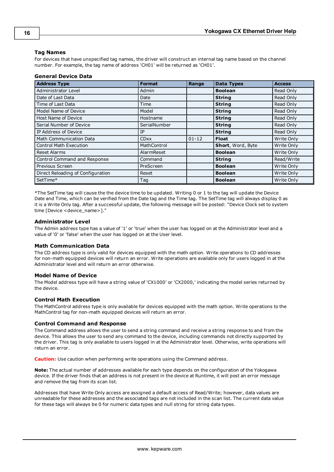## **Tag Names**

For devices that have unspecified tag names, the driver will construct an internal tag name based on the channel number. For example, the tag name of address 'CH01' will be returned as 'CH01'.

#### **General Device Data**

| <b>Address Type</b>               | <b>Format</b> | Range     | <b>Data Types</b> | <b>Access</b> |
|-----------------------------------|---------------|-----------|-------------------|---------------|
| Administrator Level               | Admin         |           | <b>Boolean</b>    | Read Only     |
| Date of Last Data                 | Date          |           | <b>String</b>     | Read Only     |
| Time of Last Data                 | Time          |           | <b>String</b>     | Read Only     |
| Model Name of Device              | Model         |           | <b>String</b>     | Read Only     |
| Host Name of Device               | Hostname      |           | <b>String</b>     | Read Only     |
| Serial Number of Device           | SerialNumber  |           | <b>String</b>     | Read Only     |
| IP Address of Device              | IP            |           | <b>String</b>     | Read Only     |
| Math Communication Data           | <b>CDxx</b>   | $01 - 12$ | <b>Float</b>      | Write Only    |
| <b>Control Math Execution</b>     | MathControl   |           | Short, Word, Byte | Write Only    |
| <b>Reset Alarms</b>               | AlarmReset    |           | <b>Boolean</b>    | Write Only    |
| Control Command and Response      | Command       |           | <b>String</b>     | Read/Write    |
| Previous Screen                   | PreScreen     |           | <b>Boolean</b>    | Write Only    |
| Direct Reloading of Configuration | Reset         |           | <b>Boolean</b>    | Write Only    |
| SetTime*                          | Tag           |           | <b>Boolean</b>    | Write Only    |

\*The SetTime tag will cause the the device time to be updated. Writing 0 or 1 to the tag will update the Device Date and Time, which can be verified from the Date tag and the Time tag. The SetTime tag will always display 0 as it is a Write Only tag. After a successful update, the following message will be posted: "Device Clock set to system time [Device <device\_name>]."

#### **Administrator Level**

The Admin address type has a value of '1' or 'true' when the user has logged on at the Administrator level and a value of '0' or 'false' when the user has logged on at the User level.

#### **Math Communication Data**

The CD address type is only valid for devices equipped with the math option. Write operations to CD addresses for non-math equipped devices will return an error. Write operations are available only for users logged in at the Administrator level and will return an error otherwise.

#### **Model Name of Device**

The Model address type will have a string value of 'CX1000' or 'CX2000,' indicating the model series returned by the device.

#### **Control Math Execution**

The MathControl address type is only available for devices equipped with the math option. Write operations to the MathControl tag for non-math equipped devices will return an error.

#### **Control Command and Response**

The Command address allows the user to send a string command and receive a string response to and from the device. This allows the user to send any command to the device, including commands not directly supported by the driver. This tag is only available to users logged in at the Administrator level. Otherwise, write operations will return an error.

**Caution:** Use caution when performing write operations using the Command address.

**Note:** The actual number of addresses available for each type depends on the configuration of the Yokogawa device. If the driver finds that an address is not present in the device at Runtime, it will post an error message and remove the tag from its scan list.

Addresses that have Write Only access are assigned a default access of Read/Write; however, data values are unreadable for these addresses and the associated tags are not included in the scan list. The current data value for these tags will always be 0 for numeric data types and null string for string data types.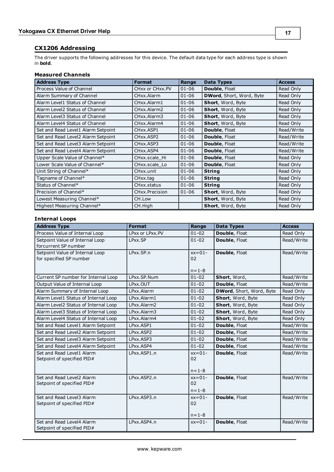# <span id="page-15-0"></span>**CX1206 Addressing**

The driver supports the following addresses for this device. The default data type for each address type is shown in **bold**.

# **Measured Channels**

| <b>Address Type</b>                | <b>Format</b>                       | Range     | <b>Data Types</b>        | <b>Access</b> |
|------------------------------------|-------------------------------------|-----------|--------------------------|---------------|
| Process Value of Channel           | CHxx or CHxx.PV                     | $01 - 06$ | <b>Double, Float</b>     | Read Only     |
| Alarm Summary of Channel           | CHxx.Alarm                          | $01 - 06$ | DWord, Short, Word, Byte | Read Only     |
| Alarm Level1 Status of Channel     | CHxx.Alarm1                         | $01 - 06$ | <b>Short, Word, Byte</b> | Read Only     |
| Alarm Level2 Status of Channel     | CHxx.Alarm2                         | $01 - 06$ | <b>Short, Word, Byte</b> | Read Only     |
| Alarm Level3 Status of Channel     | CHxx.Alarm3                         | $01 - 06$ | Short, Word, Byte        | Read Only     |
| Alarm Level4 Status of Channel     | CHxx.Alarm4                         | $01 - 06$ | Short, Word, Byte        | Read Only     |
| Set and Read Level1 Alarm Setpoint | CHxx.ASP1                           | $01 - 06$ | Double, Float            | Read/Write    |
| Set and Read Level2 Alarm Setpoint | CH <sub>xx</sub> , ASP <sub>2</sub> | $01 - 06$ | <b>Double, Float</b>     | Read/Write    |
| Set and Read Level3 Alarm Setpoint | CHxx.ASP3                           | $01 - 06$ | <b>Double, Float</b>     | Read/Write    |
| Set and Read Level4 Alarm Setpoint | CHxx.ASP4                           | $01 - 06$ | Double, Float            | Read/Write    |
| Upper Scale Value of Channel*      | CHxx.scale Hi                       | $01 - 06$ | Double, Float            | Read Only     |
| Lower Scale Value of Channel*      | CHxx.scale_Lo                       | $01 - 06$ | Double, Float            | Read Only     |
| Unit String of Channel*            | CHxx.unit                           | $01 - 06$ | <b>String</b>            | Read Only     |
| Tagname of Channel*                | CHxx.tag                            | $01 - 06$ | <b>String</b>            | Read Only     |
| Status of Channel*                 | CH <sub>xx</sub> .status            | $01 - 06$ | <b>String</b>            | Read Only     |
| Precision of Channel*              | CHxx.Precision                      | $01 - 06$ | Short, Word, Byte        | Read Only     |
| Lowest Measuring Channel*          | CH.Low                              |           | Short, Word, Byte        | Read Only     |
| Highest Measuring Channel*         | CH.High                             |           | Short, Word, Byte        | Read Only     |

# **Internal Loops**

| <b>Address Type</b>                                        | <b>Format</b>   | Range                         | <b>Data Types</b>        | <b>Access</b> |
|------------------------------------------------------------|-----------------|-------------------------------|--------------------------|---------------|
| Process Value of Internal Loop                             | LPxx or LPxx.PV | $01 - 02$                     | Double, Float            | Read Only     |
| Setpoint Value of Internal Loop<br>forcurrent SP number    | LPxx.SP         | $01 - 02$                     | Double, Float            | Read/Write    |
| Setpoint Value of Internal Loop<br>for specified SP number | LPxx.SP.n       | $xx=01-$<br>02<br>$n = 1 - 8$ | Double, Float            | Read/Write    |
| Current SP number for Internal Loop                        | LPxx.SP.Num     | $01 - 02$                     | Short, Word,             | Read/Write    |
| Output Value of Internal Loop                              | LPxx.OUT        | $01 - 02$                     | Double, Float            | Read/Write    |
| Alarm Summary of Internal Loop                             | LPxx.Alarm      | $01 - 02$                     | DWord, Short, Word, Byte | Read Only     |
| Alarm Level1 Status of Internal Loop                       | LPxx.Alarm1     | $01 - 02$                     | Short, Word, Byte        | Read Only     |
| Alarm Level2 Status of Internal Loop                       | LPxx.Alarm2     | $01 - 02$                     | Short, Word, Byte        | Read Only     |
| Alarm Level3 Status of Internal Loop                       | LPxx.Alarm3     | $01 - 02$                     | Short, Word, Byte        | Read Only     |
| Alarm Level4 Status of Internal Loop                       | LPxx.Alarm4     | $01 - 02$                     | Short, Word, Byte        | Read Only     |
| Set and Read Level1 Alarm Setpoint                         | LPxx.ASP1       | $01 - 02$                     | Double, Float            | Read/Write    |
| Set and Read Level2 Alarm Setpoint                         | LPxx.ASP2       | $01 - 02$                     | Double, Float            | Read/Write    |
| Set and Read Level3 Alarm Setpoint                         | LPxx.ASP3       | $01 - 02$                     | Double, Float            | Read/Write    |
| Set and Read Level4 Alarm Setpoint                         | LPxx.ASP4       | $01 - 02$                     | Double, Float            | Read/Write    |
| Set and Read Level1 Alarm<br>Setpoint of specified PID#    | LPxx.ASP1.n     | $xx=01-$<br>02<br>$n = 1 - 8$ | Double, Float            | Read/Write    |
| Set and Read Level2 Alarm<br>Setpoint of specified PID#    | LPxx.ASP2.n     | $xx=01-$<br>02<br>$n = 1 - 8$ | Double, Float            | Read/Write    |
| Set and Read Level3 Alarm<br>Setpoint of specified PID#    | LPxx.ASP3.n     | $xx=01-$<br>02<br>$n = 1 - 8$ | Double, Float            | Read/Write    |
| Set and Read Level4 Alarm<br>Setpoint of specified PID#    | LPxx.ASP4.n     | $xx=01-$                      | Double, Float            | Read/Write    |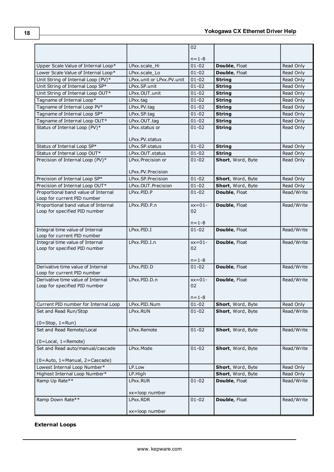| $n = 1 - 8$<br>Double, Float<br>Upper Scale Value of Internal Loop*<br>LPxx.scale Hi<br>$01 - 02$<br>Read Only<br>Lower Scale Value of Internal Loop*<br>LPxx.scale Lo<br>$01 - 02$<br>Double, Float<br>Read Only<br>Unit String of Internal Loop (PV)*<br>LPxx.unit or LPxx.PV.unit<br>$01 - 02$<br><b>String</b><br>Read Only<br>Unit String of Internal Loop SP*<br>$01 - 02$<br>LPxx.SP.unit<br><b>String</b><br>Read Only<br>Unit String of Internal Loop OUT*<br>LPxx.OUT.unit<br>$01 - 02$<br><b>String</b><br>Read Only<br>Tagname of Internal Loop*<br>$01 - 02$<br>LPxx.tag<br><b>String</b><br>Read Only<br>Tagname of Internal Loop PV*<br>LPxx.PV.tag<br>$01 - 02$<br>Read Only<br><b>String</b><br>Tagname of Internal Loop SP*<br>LPxx.SP.tag<br>$01 - 02$<br>Read Only<br><b>String</b><br>Tagname of Internal Loop OUT*<br>LPxx.OUT.tag<br>$01 - 02$<br><b>String</b><br>Read Only<br>Status of Internal Loop (PV)*<br>$01 - 02$<br><b>String</b><br>Read Only<br>LPxx.status or<br>LPxx.PV.status<br>Status of Internal Loop SP*<br>$01 - 02$<br>LPxx.SP.status<br><b>String</b><br>Read Only<br>Status of Internal Loop OUT*<br>LPxx.OUT.status<br>$01 - 02$<br><b>String</b><br>Read Only<br>Precision of Internal Loop (PV)*<br>$01 - 02$<br>Short, Word, Byte<br>LPxx.Precision or<br>Read Only<br>LPxx.PV.Precision<br>Precision of Internal Loop SP*<br>$01 - 02$<br>LPxx.SP.Precision<br>Short, Word, Byte<br>Read Only<br>Precision of Internal Loop OUT*<br>$01 - 02$<br>LPxx.OUT.Precision<br>Short, Word, Byte<br>Read Only<br>Proportional band value of Internal<br>LPxx.PID.P<br>$01 - 02$<br>Double, Float<br>Read/Write<br>Loop for current PID number<br>Proportional band value of Internal<br>LPxx.PID.P.n<br>$xx=01-$<br>Double, Float<br>Read/Write<br>Loop for specified PID number<br>02<br>$n = 1 - 8$<br>Integral time value of Internal<br>LPxx.PID.I<br>Double, Float<br>$01 - 02$<br>Read/Write<br>Loop for current PID number<br>Integral time value of Internal<br>$LPXX$ . PID. I. n<br>$xx=01-$<br>Double, Float<br>Read/Write<br>Loop for specified PID number<br>02<br>$n = 1 - 8$<br>Derivative time value of Internal<br>LPxx.PID.D<br>$01 - 02$<br>Double, Float<br>Read/Write<br>Loop for current PID number<br>Derivative time value of Internal<br>LPxx.PID.D.n<br>$xx=01-$<br>Double, Float<br>Read/Write<br>02<br>Loop for specified PID number<br>$n = 1 - 8$<br>$01 - 02$<br>Current PID number for Internal Loop<br>LPxx.PID.Num<br>Short, Word, Byte<br>Read Only<br>LPxx.RUN<br>Read/Write<br>Set and Read Run/Stop<br>$01 - 02$<br>Short, Word, Byte<br>$(0 = Stop, 1 = Run)$<br>Set and Read Remote/Local<br>$01 - 02$<br>Read/Write<br>LPxx.Remote<br>Short, Word, Byte<br>$(0 = Local, 1 = Remote)$<br>$01 - 02$<br>Set and Read auto/manual/cascade<br>LPxx.Mode<br>Short, Word, Byte<br>Read/Write<br>(0=Auto, 1=Manual, 2=Cascade)<br>Lowest Internal Loop Number*<br>LP.Low<br>Short, Word, Byte<br>Read Only<br>Highest Internal Loop Number*<br>LP.High<br>Short, Word, Byte<br>Read Only<br>Ramp Up Rate**<br>$01 - 02$<br>Double, Float<br>Read/Write<br>LPxx.RUR<br>xx=loop number<br>Ramp Down Rate**<br>$01 - 02$<br>Double, Float<br>LPxx.RDR<br>Read/Write<br>xx=loop number |  | 02 |  |
|----------------------------------------------------------------------------------------------------------------------------------------------------------------------------------------------------------------------------------------------------------------------------------------------------------------------------------------------------------------------------------------------------------------------------------------------------------------------------------------------------------------------------------------------------------------------------------------------------------------------------------------------------------------------------------------------------------------------------------------------------------------------------------------------------------------------------------------------------------------------------------------------------------------------------------------------------------------------------------------------------------------------------------------------------------------------------------------------------------------------------------------------------------------------------------------------------------------------------------------------------------------------------------------------------------------------------------------------------------------------------------------------------------------------------------------------------------------------------------------------------------------------------------------------------------------------------------------------------------------------------------------------------------------------------------------------------------------------------------------------------------------------------------------------------------------------------------------------------------------------------------------------------------------------------------------------------------------------------------------------------------------------------------------------------------------------------------------------------------------------------------------------------------------------------------------------------------------------------------------------------------------------------------------------------------------------------------------------------------------------------------------------------------------------------------------------------------------------------------------------------------------------------------------------------------------------------------------------------------------------------------------------------------------------------------------------------------------------------------------------------------------------------------------------------------------------------------------------------------------------------------------------------------------------------------------------------------------------------------------------------------------------------------------------------------------------------------------------------------------------------------------------------------------------------------------------------------------------------------------------------------------|--|----|--|
|                                                                                                                                                                                                                                                                                                                                                                                                                                                                                                                                                                                                                                                                                                                                                                                                                                                                                                                                                                                                                                                                                                                                                                                                                                                                                                                                                                                                                                                                                                                                                                                                                                                                                                                                                                                                                                                                                                                                                                                                                                                                                                                                                                                                                                                                                                                                                                                                                                                                                                                                                                                                                                                                                                                                                                                                                                                                                                                                                                                                                                                                                                                                                                                                                                                                |  |    |  |
|                                                                                                                                                                                                                                                                                                                                                                                                                                                                                                                                                                                                                                                                                                                                                                                                                                                                                                                                                                                                                                                                                                                                                                                                                                                                                                                                                                                                                                                                                                                                                                                                                                                                                                                                                                                                                                                                                                                                                                                                                                                                                                                                                                                                                                                                                                                                                                                                                                                                                                                                                                                                                                                                                                                                                                                                                                                                                                                                                                                                                                                                                                                                                                                                                                                                |  |    |  |
|                                                                                                                                                                                                                                                                                                                                                                                                                                                                                                                                                                                                                                                                                                                                                                                                                                                                                                                                                                                                                                                                                                                                                                                                                                                                                                                                                                                                                                                                                                                                                                                                                                                                                                                                                                                                                                                                                                                                                                                                                                                                                                                                                                                                                                                                                                                                                                                                                                                                                                                                                                                                                                                                                                                                                                                                                                                                                                                                                                                                                                                                                                                                                                                                                                                                |  |    |  |
|                                                                                                                                                                                                                                                                                                                                                                                                                                                                                                                                                                                                                                                                                                                                                                                                                                                                                                                                                                                                                                                                                                                                                                                                                                                                                                                                                                                                                                                                                                                                                                                                                                                                                                                                                                                                                                                                                                                                                                                                                                                                                                                                                                                                                                                                                                                                                                                                                                                                                                                                                                                                                                                                                                                                                                                                                                                                                                                                                                                                                                                                                                                                                                                                                                                                |  |    |  |
|                                                                                                                                                                                                                                                                                                                                                                                                                                                                                                                                                                                                                                                                                                                                                                                                                                                                                                                                                                                                                                                                                                                                                                                                                                                                                                                                                                                                                                                                                                                                                                                                                                                                                                                                                                                                                                                                                                                                                                                                                                                                                                                                                                                                                                                                                                                                                                                                                                                                                                                                                                                                                                                                                                                                                                                                                                                                                                                                                                                                                                                                                                                                                                                                                                                                |  |    |  |
|                                                                                                                                                                                                                                                                                                                                                                                                                                                                                                                                                                                                                                                                                                                                                                                                                                                                                                                                                                                                                                                                                                                                                                                                                                                                                                                                                                                                                                                                                                                                                                                                                                                                                                                                                                                                                                                                                                                                                                                                                                                                                                                                                                                                                                                                                                                                                                                                                                                                                                                                                                                                                                                                                                                                                                                                                                                                                                                                                                                                                                                                                                                                                                                                                                                                |  |    |  |
|                                                                                                                                                                                                                                                                                                                                                                                                                                                                                                                                                                                                                                                                                                                                                                                                                                                                                                                                                                                                                                                                                                                                                                                                                                                                                                                                                                                                                                                                                                                                                                                                                                                                                                                                                                                                                                                                                                                                                                                                                                                                                                                                                                                                                                                                                                                                                                                                                                                                                                                                                                                                                                                                                                                                                                                                                                                                                                                                                                                                                                                                                                                                                                                                                                                                |  |    |  |
|                                                                                                                                                                                                                                                                                                                                                                                                                                                                                                                                                                                                                                                                                                                                                                                                                                                                                                                                                                                                                                                                                                                                                                                                                                                                                                                                                                                                                                                                                                                                                                                                                                                                                                                                                                                                                                                                                                                                                                                                                                                                                                                                                                                                                                                                                                                                                                                                                                                                                                                                                                                                                                                                                                                                                                                                                                                                                                                                                                                                                                                                                                                                                                                                                                                                |  |    |  |
|                                                                                                                                                                                                                                                                                                                                                                                                                                                                                                                                                                                                                                                                                                                                                                                                                                                                                                                                                                                                                                                                                                                                                                                                                                                                                                                                                                                                                                                                                                                                                                                                                                                                                                                                                                                                                                                                                                                                                                                                                                                                                                                                                                                                                                                                                                                                                                                                                                                                                                                                                                                                                                                                                                                                                                                                                                                                                                                                                                                                                                                                                                                                                                                                                                                                |  |    |  |
|                                                                                                                                                                                                                                                                                                                                                                                                                                                                                                                                                                                                                                                                                                                                                                                                                                                                                                                                                                                                                                                                                                                                                                                                                                                                                                                                                                                                                                                                                                                                                                                                                                                                                                                                                                                                                                                                                                                                                                                                                                                                                                                                                                                                                                                                                                                                                                                                                                                                                                                                                                                                                                                                                                                                                                                                                                                                                                                                                                                                                                                                                                                                                                                                                                                                |  |    |  |
|                                                                                                                                                                                                                                                                                                                                                                                                                                                                                                                                                                                                                                                                                                                                                                                                                                                                                                                                                                                                                                                                                                                                                                                                                                                                                                                                                                                                                                                                                                                                                                                                                                                                                                                                                                                                                                                                                                                                                                                                                                                                                                                                                                                                                                                                                                                                                                                                                                                                                                                                                                                                                                                                                                                                                                                                                                                                                                                                                                                                                                                                                                                                                                                                                                                                |  |    |  |
|                                                                                                                                                                                                                                                                                                                                                                                                                                                                                                                                                                                                                                                                                                                                                                                                                                                                                                                                                                                                                                                                                                                                                                                                                                                                                                                                                                                                                                                                                                                                                                                                                                                                                                                                                                                                                                                                                                                                                                                                                                                                                                                                                                                                                                                                                                                                                                                                                                                                                                                                                                                                                                                                                                                                                                                                                                                                                                                                                                                                                                                                                                                                                                                                                                                                |  |    |  |
|                                                                                                                                                                                                                                                                                                                                                                                                                                                                                                                                                                                                                                                                                                                                                                                                                                                                                                                                                                                                                                                                                                                                                                                                                                                                                                                                                                                                                                                                                                                                                                                                                                                                                                                                                                                                                                                                                                                                                                                                                                                                                                                                                                                                                                                                                                                                                                                                                                                                                                                                                                                                                                                                                                                                                                                                                                                                                                                                                                                                                                                                                                                                                                                                                                                                |  |    |  |
|                                                                                                                                                                                                                                                                                                                                                                                                                                                                                                                                                                                                                                                                                                                                                                                                                                                                                                                                                                                                                                                                                                                                                                                                                                                                                                                                                                                                                                                                                                                                                                                                                                                                                                                                                                                                                                                                                                                                                                                                                                                                                                                                                                                                                                                                                                                                                                                                                                                                                                                                                                                                                                                                                                                                                                                                                                                                                                                                                                                                                                                                                                                                                                                                                                                                |  |    |  |
|                                                                                                                                                                                                                                                                                                                                                                                                                                                                                                                                                                                                                                                                                                                                                                                                                                                                                                                                                                                                                                                                                                                                                                                                                                                                                                                                                                                                                                                                                                                                                                                                                                                                                                                                                                                                                                                                                                                                                                                                                                                                                                                                                                                                                                                                                                                                                                                                                                                                                                                                                                                                                                                                                                                                                                                                                                                                                                                                                                                                                                                                                                                                                                                                                                                                |  |    |  |
|                                                                                                                                                                                                                                                                                                                                                                                                                                                                                                                                                                                                                                                                                                                                                                                                                                                                                                                                                                                                                                                                                                                                                                                                                                                                                                                                                                                                                                                                                                                                                                                                                                                                                                                                                                                                                                                                                                                                                                                                                                                                                                                                                                                                                                                                                                                                                                                                                                                                                                                                                                                                                                                                                                                                                                                                                                                                                                                                                                                                                                                                                                                                                                                                                                                                |  |    |  |
|                                                                                                                                                                                                                                                                                                                                                                                                                                                                                                                                                                                                                                                                                                                                                                                                                                                                                                                                                                                                                                                                                                                                                                                                                                                                                                                                                                                                                                                                                                                                                                                                                                                                                                                                                                                                                                                                                                                                                                                                                                                                                                                                                                                                                                                                                                                                                                                                                                                                                                                                                                                                                                                                                                                                                                                                                                                                                                                                                                                                                                                                                                                                                                                                                                                                |  |    |  |
|                                                                                                                                                                                                                                                                                                                                                                                                                                                                                                                                                                                                                                                                                                                                                                                                                                                                                                                                                                                                                                                                                                                                                                                                                                                                                                                                                                                                                                                                                                                                                                                                                                                                                                                                                                                                                                                                                                                                                                                                                                                                                                                                                                                                                                                                                                                                                                                                                                                                                                                                                                                                                                                                                                                                                                                                                                                                                                                                                                                                                                                                                                                                                                                                                                                                |  |    |  |
|                                                                                                                                                                                                                                                                                                                                                                                                                                                                                                                                                                                                                                                                                                                                                                                                                                                                                                                                                                                                                                                                                                                                                                                                                                                                                                                                                                                                                                                                                                                                                                                                                                                                                                                                                                                                                                                                                                                                                                                                                                                                                                                                                                                                                                                                                                                                                                                                                                                                                                                                                                                                                                                                                                                                                                                                                                                                                                                                                                                                                                                                                                                                                                                                                                                                |  |    |  |
|                                                                                                                                                                                                                                                                                                                                                                                                                                                                                                                                                                                                                                                                                                                                                                                                                                                                                                                                                                                                                                                                                                                                                                                                                                                                                                                                                                                                                                                                                                                                                                                                                                                                                                                                                                                                                                                                                                                                                                                                                                                                                                                                                                                                                                                                                                                                                                                                                                                                                                                                                                                                                                                                                                                                                                                                                                                                                                                                                                                                                                                                                                                                                                                                                                                                |  |    |  |
|                                                                                                                                                                                                                                                                                                                                                                                                                                                                                                                                                                                                                                                                                                                                                                                                                                                                                                                                                                                                                                                                                                                                                                                                                                                                                                                                                                                                                                                                                                                                                                                                                                                                                                                                                                                                                                                                                                                                                                                                                                                                                                                                                                                                                                                                                                                                                                                                                                                                                                                                                                                                                                                                                                                                                                                                                                                                                                                                                                                                                                                                                                                                                                                                                                                                |  |    |  |
|                                                                                                                                                                                                                                                                                                                                                                                                                                                                                                                                                                                                                                                                                                                                                                                                                                                                                                                                                                                                                                                                                                                                                                                                                                                                                                                                                                                                                                                                                                                                                                                                                                                                                                                                                                                                                                                                                                                                                                                                                                                                                                                                                                                                                                                                                                                                                                                                                                                                                                                                                                                                                                                                                                                                                                                                                                                                                                                                                                                                                                                                                                                                                                                                                                                                |  |    |  |
|                                                                                                                                                                                                                                                                                                                                                                                                                                                                                                                                                                                                                                                                                                                                                                                                                                                                                                                                                                                                                                                                                                                                                                                                                                                                                                                                                                                                                                                                                                                                                                                                                                                                                                                                                                                                                                                                                                                                                                                                                                                                                                                                                                                                                                                                                                                                                                                                                                                                                                                                                                                                                                                                                                                                                                                                                                                                                                                                                                                                                                                                                                                                                                                                                                                                |  |    |  |
|                                                                                                                                                                                                                                                                                                                                                                                                                                                                                                                                                                                                                                                                                                                                                                                                                                                                                                                                                                                                                                                                                                                                                                                                                                                                                                                                                                                                                                                                                                                                                                                                                                                                                                                                                                                                                                                                                                                                                                                                                                                                                                                                                                                                                                                                                                                                                                                                                                                                                                                                                                                                                                                                                                                                                                                                                                                                                                                                                                                                                                                                                                                                                                                                                                                                |  |    |  |
|                                                                                                                                                                                                                                                                                                                                                                                                                                                                                                                                                                                                                                                                                                                                                                                                                                                                                                                                                                                                                                                                                                                                                                                                                                                                                                                                                                                                                                                                                                                                                                                                                                                                                                                                                                                                                                                                                                                                                                                                                                                                                                                                                                                                                                                                                                                                                                                                                                                                                                                                                                                                                                                                                                                                                                                                                                                                                                                                                                                                                                                                                                                                                                                                                                                                |  |    |  |
|                                                                                                                                                                                                                                                                                                                                                                                                                                                                                                                                                                                                                                                                                                                                                                                                                                                                                                                                                                                                                                                                                                                                                                                                                                                                                                                                                                                                                                                                                                                                                                                                                                                                                                                                                                                                                                                                                                                                                                                                                                                                                                                                                                                                                                                                                                                                                                                                                                                                                                                                                                                                                                                                                                                                                                                                                                                                                                                                                                                                                                                                                                                                                                                                                                                                |  |    |  |
|                                                                                                                                                                                                                                                                                                                                                                                                                                                                                                                                                                                                                                                                                                                                                                                                                                                                                                                                                                                                                                                                                                                                                                                                                                                                                                                                                                                                                                                                                                                                                                                                                                                                                                                                                                                                                                                                                                                                                                                                                                                                                                                                                                                                                                                                                                                                                                                                                                                                                                                                                                                                                                                                                                                                                                                                                                                                                                                                                                                                                                                                                                                                                                                                                                                                |  |    |  |
|                                                                                                                                                                                                                                                                                                                                                                                                                                                                                                                                                                                                                                                                                                                                                                                                                                                                                                                                                                                                                                                                                                                                                                                                                                                                                                                                                                                                                                                                                                                                                                                                                                                                                                                                                                                                                                                                                                                                                                                                                                                                                                                                                                                                                                                                                                                                                                                                                                                                                                                                                                                                                                                                                                                                                                                                                                                                                                                                                                                                                                                                                                                                                                                                                                                                |  |    |  |
|                                                                                                                                                                                                                                                                                                                                                                                                                                                                                                                                                                                                                                                                                                                                                                                                                                                                                                                                                                                                                                                                                                                                                                                                                                                                                                                                                                                                                                                                                                                                                                                                                                                                                                                                                                                                                                                                                                                                                                                                                                                                                                                                                                                                                                                                                                                                                                                                                                                                                                                                                                                                                                                                                                                                                                                                                                                                                                                                                                                                                                                                                                                                                                                                                                                                |  |    |  |
|                                                                                                                                                                                                                                                                                                                                                                                                                                                                                                                                                                                                                                                                                                                                                                                                                                                                                                                                                                                                                                                                                                                                                                                                                                                                                                                                                                                                                                                                                                                                                                                                                                                                                                                                                                                                                                                                                                                                                                                                                                                                                                                                                                                                                                                                                                                                                                                                                                                                                                                                                                                                                                                                                                                                                                                                                                                                                                                                                                                                                                                                                                                                                                                                                                                                |  |    |  |
|                                                                                                                                                                                                                                                                                                                                                                                                                                                                                                                                                                                                                                                                                                                                                                                                                                                                                                                                                                                                                                                                                                                                                                                                                                                                                                                                                                                                                                                                                                                                                                                                                                                                                                                                                                                                                                                                                                                                                                                                                                                                                                                                                                                                                                                                                                                                                                                                                                                                                                                                                                                                                                                                                                                                                                                                                                                                                                                                                                                                                                                                                                                                                                                                                                                                |  |    |  |
|                                                                                                                                                                                                                                                                                                                                                                                                                                                                                                                                                                                                                                                                                                                                                                                                                                                                                                                                                                                                                                                                                                                                                                                                                                                                                                                                                                                                                                                                                                                                                                                                                                                                                                                                                                                                                                                                                                                                                                                                                                                                                                                                                                                                                                                                                                                                                                                                                                                                                                                                                                                                                                                                                                                                                                                                                                                                                                                                                                                                                                                                                                                                                                                                                                                                |  |    |  |
|                                                                                                                                                                                                                                                                                                                                                                                                                                                                                                                                                                                                                                                                                                                                                                                                                                                                                                                                                                                                                                                                                                                                                                                                                                                                                                                                                                                                                                                                                                                                                                                                                                                                                                                                                                                                                                                                                                                                                                                                                                                                                                                                                                                                                                                                                                                                                                                                                                                                                                                                                                                                                                                                                                                                                                                                                                                                                                                                                                                                                                                                                                                                                                                                                                                                |  |    |  |
|                                                                                                                                                                                                                                                                                                                                                                                                                                                                                                                                                                                                                                                                                                                                                                                                                                                                                                                                                                                                                                                                                                                                                                                                                                                                                                                                                                                                                                                                                                                                                                                                                                                                                                                                                                                                                                                                                                                                                                                                                                                                                                                                                                                                                                                                                                                                                                                                                                                                                                                                                                                                                                                                                                                                                                                                                                                                                                                                                                                                                                                                                                                                                                                                                                                                |  |    |  |
|                                                                                                                                                                                                                                                                                                                                                                                                                                                                                                                                                                                                                                                                                                                                                                                                                                                                                                                                                                                                                                                                                                                                                                                                                                                                                                                                                                                                                                                                                                                                                                                                                                                                                                                                                                                                                                                                                                                                                                                                                                                                                                                                                                                                                                                                                                                                                                                                                                                                                                                                                                                                                                                                                                                                                                                                                                                                                                                                                                                                                                                                                                                                                                                                                                                                |  |    |  |
|                                                                                                                                                                                                                                                                                                                                                                                                                                                                                                                                                                                                                                                                                                                                                                                                                                                                                                                                                                                                                                                                                                                                                                                                                                                                                                                                                                                                                                                                                                                                                                                                                                                                                                                                                                                                                                                                                                                                                                                                                                                                                                                                                                                                                                                                                                                                                                                                                                                                                                                                                                                                                                                                                                                                                                                                                                                                                                                                                                                                                                                                                                                                                                                                                                                                |  |    |  |
|                                                                                                                                                                                                                                                                                                                                                                                                                                                                                                                                                                                                                                                                                                                                                                                                                                                                                                                                                                                                                                                                                                                                                                                                                                                                                                                                                                                                                                                                                                                                                                                                                                                                                                                                                                                                                                                                                                                                                                                                                                                                                                                                                                                                                                                                                                                                                                                                                                                                                                                                                                                                                                                                                                                                                                                                                                                                                                                                                                                                                                                                                                                                                                                                                                                                |  |    |  |
|                                                                                                                                                                                                                                                                                                                                                                                                                                                                                                                                                                                                                                                                                                                                                                                                                                                                                                                                                                                                                                                                                                                                                                                                                                                                                                                                                                                                                                                                                                                                                                                                                                                                                                                                                                                                                                                                                                                                                                                                                                                                                                                                                                                                                                                                                                                                                                                                                                                                                                                                                                                                                                                                                                                                                                                                                                                                                                                                                                                                                                                                                                                                                                                                                                                                |  |    |  |
|                                                                                                                                                                                                                                                                                                                                                                                                                                                                                                                                                                                                                                                                                                                                                                                                                                                                                                                                                                                                                                                                                                                                                                                                                                                                                                                                                                                                                                                                                                                                                                                                                                                                                                                                                                                                                                                                                                                                                                                                                                                                                                                                                                                                                                                                                                                                                                                                                                                                                                                                                                                                                                                                                                                                                                                                                                                                                                                                                                                                                                                                                                                                                                                                                                                                |  |    |  |
|                                                                                                                                                                                                                                                                                                                                                                                                                                                                                                                                                                                                                                                                                                                                                                                                                                                                                                                                                                                                                                                                                                                                                                                                                                                                                                                                                                                                                                                                                                                                                                                                                                                                                                                                                                                                                                                                                                                                                                                                                                                                                                                                                                                                                                                                                                                                                                                                                                                                                                                                                                                                                                                                                                                                                                                                                                                                                                                                                                                                                                                                                                                                                                                                                                                                |  |    |  |
|                                                                                                                                                                                                                                                                                                                                                                                                                                                                                                                                                                                                                                                                                                                                                                                                                                                                                                                                                                                                                                                                                                                                                                                                                                                                                                                                                                                                                                                                                                                                                                                                                                                                                                                                                                                                                                                                                                                                                                                                                                                                                                                                                                                                                                                                                                                                                                                                                                                                                                                                                                                                                                                                                                                                                                                                                                                                                                                                                                                                                                                                                                                                                                                                                                                                |  |    |  |
|                                                                                                                                                                                                                                                                                                                                                                                                                                                                                                                                                                                                                                                                                                                                                                                                                                                                                                                                                                                                                                                                                                                                                                                                                                                                                                                                                                                                                                                                                                                                                                                                                                                                                                                                                                                                                                                                                                                                                                                                                                                                                                                                                                                                                                                                                                                                                                                                                                                                                                                                                                                                                                                                                                                                                                                                                                                                                                                                                                                                                                                                                                                                                                                                                                                                |  |    |  |
|                                                                                                                                                                                                                                                                                                                                                                                                                                                                                                                                                                                                                                                                                                                                                                                                                                                                                                                                                                                                                                                                                                                                                                                                                                                                                                                                                                                                                                                                                                                                                                                                                                                                                                                                                                                                                                                                                                                                                                                                                                                                                                                                                                                                                                                                                                                                                                                                                                                                                                                                                                                                                                                                                                                                                                                                                                                                                                                                                                                                                                                                                                                                                                                                                                                                |  |    |  |
|                                                                                                                                                                                                                                                                                                                                                                                                                                                                                                                                                                                                                                                                                                                                                                                                                                                                                                                                                                                                                                                                                                                                                                                                                                                                                                                                                                                                                                                                                                                                                                                                                                                                                                                                                                                                                                                                                                                                                                                                                                                                                                                                                                                                                                                                                                                                                                                                                                                                                                                                                                                                                                                                                                                                                                                                                                                                                                                                                                                                                                                                                                                                                                                                                                                                |  |    |  |
|                                                                                                                                                                                                                                                                                                                                                                                                                                                                                                                                                                                                                                                                                                                                                                                                                                                                                                                                                                                                                                                                                                                                                                                                                                                                                                                                                                                                                                                                                                                                                                                                                                                                                                                                                                                                                                                                                                                                                                                                                                                                                                                                                                                                                                                                                                                                                                                                                                                                                                                                                                                                                                                                                                                                                                                                                                                                                                                                                                                                                                                                                                                                                                                                                                                                |  |    |  |
|                                                                                                                                                                                                                                                                                                                                                                                                                                                                                                                                                                                                                                                                                                                                                                                                                                                                                                                                                                                                                                                                                                                                                                                                                                                                                                                                                                                                                                                                                                                                                                                                                                                                                                                                                                                                                                                                                                                                                                                                                                                                                                                                                                                                                                                                                                                                                                                                                                                                                                                                                                                                                                                                                                                                                                                                                                                                                                                                                                                                                                                                                                                                                                                                                                                                |  |    |  |
|                                                                                                                                                                                                                                                                                                                                                                                                                                                                                                                                                                                                                                                                                                                                                                                                                                                                                                                                                                                                                                                                                                                                                                                                                                                                                                                                                                                                                                                                                                                                                                                                                                                                                                                                                                                                                                                                                                                                                                                                                                                                                                                                                                                                                                                                                                                                                                                                                                                                                                                                                                                                                                                                                                                                                                                                                                                                                                                                                                                                                                                                                                                                                                                                                                                                |  |    |  |
|                                                                                                                                                                                                                                                                                                                                                                                                                                                                                                                                                                                                                                                                                                                                                                                                                                                                                                                                                                                                                                                                                                                                                                                                                                                                                                                                                                                                                                                                                                                                                                                                                                                                                                                                                                                                                                                                                                                                                                                                                                                                                                                                                                                                                                                                                                                                                                                                                                                                                                                                                                                                                                                                                                                                                                                                                                                                                                                                                                                                                                                                                                                                                                                                                                                                |  |    |  |
|                                                                                                                                                                                                                                                                                                                                                                                                                                                                                                                                                                                                                                                                                                                                                                                                                                                                                                                                                                                                                                                                                                                                                                                                                                                                                                                                                                                                                                                                                                                                                                                                                                                                                                                                                                                                                                                                                                                                                                                                                                                                                                                                                                                                                                                                                                                                                                                                                                                                                                                                                                                                                                                                                                                                                                                                                                                                                                                                                                                                                                                                                                                                                                                                                                                                |  |    |  |
|                                                                                                                                                                                                                                                                                                                                                                                                                                                                                                                                                                                                                                                                                                                                                                                                                                                                                                                                                                                                                                                                                                                                                                                                                                                                                                                                                                                                                                                                                                                                                                                                                                                                                                                                                                                                                                                                                                                                                                                                                                                                                                                                                                                                                                                                                                                                                                                                                                                                                                                                                                                                                                                                                                                                                                                                                                                                                                                                                                                                                                                                                                                                                                                                                                                                |  |    |  |
|                                                                                                                                                                                                                                                                                                                                                                                                                                                                                                                                                                                                                                                                                                                                                                                                                                                                                                                                                                                                                                                                                                                                                                                                                                                                                                                                                                                                                                                                                                                                                                                                                                                                                                                                                                                                                                                                                                                                                                                                                                                                                                                                                                                                                                                                                                                                                                                                                                                                                                                                                                                                                                                                                                                                                                                                                                                                                                                                                                                                                                                                                                                                                                                                                                                                |  |    |  |

# **External Loops**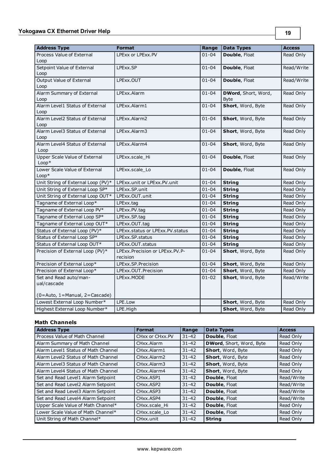| <b>Address Type</b>                     | <b>Format</b>                     | Range     | <b>Data Types</b>   | <b>Access</b> |
|-----------------------------------------|-----------------------------------|-----------|---------------------|---------------|
| Process Value of External               | LPExx or LPExx.PV                 | $01 - 04$ | Double, Float       | Read Only     |
| Loop                                    |                                   |           |                     |               |
| Setpoint Value of External              | LPExx.SP                          | $01 - 04$ | Double, Float       | Read/Write    |
| Loop                                    |                                   |           |                     |               |
| <b>Output Value of External</b>         | LPExx.OUT                         | $01 - 04$ | Double, Float       | Read/Write    |
| Loop                                    |                                   |           |                     |               |
| Alarm Summary of External               | LPExx.Alarm                       | $01 - 04$ | DWord, Short, Word, | Read Only     |
| Loop                                    |                                   |           | <b>Byte</b>         |               |
| Alarm Level1 Status of External<br>Loop | LPExx.Alarm1                      | $01 - 04$ | Short, Word, Byte   | Read Only     |
| Alarm Level2 Status of External         | LPExx.Alarm2                      | $01 - 04$ | Short, Word, Byte   | Read Only     |
| Loop                                    |                                   |           |                     |               |
| Alarm Level3 Status of External         | LPExx.Alarm3                      | $01 - 04$ | Short, Word, Byte   | Read Only     |
| Loop                                    |                                   |           |                     |               |
| Alarm Level4 Status of External         | LPExx.Alarm4                      | $01 - 04$ | Short, Word, Byte   | Read Only     |
| Loop                                    |                                   |           |                     |               |
| Upper Scale Value of External           | LPExx.scale_Hi                    | $01 - 04$ | Double, Float       | Read Only     |
| $Loop*$                                 |                                   |           |                     |               |
| Lower Scale Value of External           | LPExx.scale Lo                    | $01 - 04$ | Double, Float       | Read Only     |
| $Loop*$                                 |                                   |           |                     |               |
| Unit String of External Loop (PV)*      | LPExx.unit or LPExx.PV.unit       | $01 - 04$ | <b>String</b>       | Read Only     |
| Unit String of External Loop SP*        | LPExx.SP.unit                     | $01 - 04$ | <b>String</b>       | Read Only     |
| Unit String of External Loop OUT*       | LPExx.OUT.unit                    | $01 - 04$ | <b>String</b>       | Read Only     |
| Tagname of External Loop*               | LPExx.tag                         | $01 - 04$ | <b>String</b>       | Read Only     |
| Tagname of External Loop PV*            | LPExx.PV.tag                      | $01 - 04$ | <b>String</b>       | Read Only     |
| Tagname of External Loop SP*            | LPExx.SP.tag                      | $01 - 04$ | <b>String</b>       | Read Only     |
| Tagname of External Loop OUT*           | LPExx.OUT.tag                     | $01 - 04$ | <b>String</b>       | Read Only     |
| Status of External Loop (PV)*           | LPExx.status or LPExx.PV.status   | $01 - 04$ | <b>String</b>       | Read Only     |
| Status of External Loop SP*             | LPExx.SP.status                   | $01 - 04$ | <b>String</b>       | Read Only     |
| Status of External Loop OUT*            | LPExx.OUT.status                  | $01 - 04$ | <b>String</b>       | Read Only     |
| Precision of External Loop (PV)*        | LPExx. Precision or LPExx. PV. P- | $01 - 04$ | Short, Word, Byte   | Read Only     |
|                                         | recision                          |           |                     |               |
| Precision of External Loop*             | LPExx.SP.Precision                | $01 - 04$ | Short, Word, Byte   | Read Only     |
| Precision of External Loop*             | LPExx.OUT.Precision               | $01 - 04$ | Short, Word, Byte   | Read Only     |
| Set and Read auto/man-                  | LPExx.MODE                        | $01 - 02$ | Short, Word, Byte   | Read/Write    |
| ual/cascade                             |                                   |           |                     |               |
|                                         |                                   |           |                     |               |
| (0=Auto, 1=Manual, 2=Cascade)           |                                   |           |                     |               |
| Lowest External Loop Number*            | LPE.Low                           |           | Short, Word, Byte   | Read Only     |
| Highest External Loop Number*           | LPE.High                          |           | Short, Word, Byte   | Read Only     |

# **Math Channels**

| <b>Address Type</b>                 | <b>Format</b>                       | Range     | <b>Data Types</b>               | <b>Access</b> |
|-------------------------------------|-------------------------------------|-----------|---------------------------------|---------------|
| Process Value of Math Channel       | CHxx or CHxx.PV                     | $31 - 42$ | Double, Float                   | Read Only     |
| Alarm Summary of Math Channel       | CHxx.Alarm                          | $31 - 42$ | <b>DWord, Short, Word, Byte</b> | Read Only     |
| Alarm Level1 Status of Math Channel | CHxx.Alarm1                         | $31 - 42$ | Short, Word, Byte               | Read Only     |
| Alarm Level2 Status of Math Channel | CHxx.Alarm2                         | $31 - 42$ | Short, Word, Byte               | Read Only     |
| Alarm Level3 Status of Math Channel | CHxx.Alarm3                         | $31 - 42$ | Short, Word, Byte               | Read Only     |
| Alarm Level4 Status of Math Channel | CHxx.Alarm4                         | $31 - 42$ | Short, Word, Byte               | Read Only     |
| Set and Read Level1 Alarm Setpoint  | CHxx.ASP1                           | $31 - 42$ | Double, Float                   | Read/Write    |
| Set and Read Level2 Alarm Setpoint  | CH <sub>xx</sub> , ASP <sub>2</sub> | $31 - 42$ | Double, Float                   | Read/Write    |
| Set and Read Level3 Alarm Setpoint  | CH <sub>xx</sub> , ASP3             | $31 - 42$ | Double, Float                   | Read/Write    |
| Set and Read Level4 Alarm Setpoint  | CHxx.ASP4                           | $31 - 42$ | Double, Float                   | Read/Write    |
| Upper Scale Value of Math Channel*  | CHxx.scale Hi                       | $31 - 42$ | Double, Float                   | Read Only     |
| Lower Scale Value of Math Channel*  | CHxx.scale Lo                       | $31 - 42$ | Double, Float                   | Read Only     |
| Unit String of Math Channel*        | CH <sub>xx</sub> unit               | $31 - 42$ | <b>String</b>                   | Read Only     |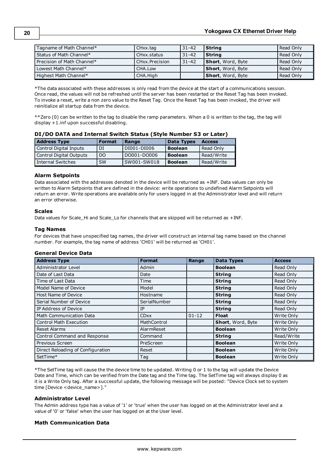| Tagname of Math Channel*   | CHxx.tag       | 31-42 | <b>String</b>             | Read Only |
|----------------------------|----------------|-------|---------------------------|-----------|
| Status of Math Channel*    | CHxx.status    | 31-42 | String                    | Read Only |
| Precision of Math Channel* | CHxx.Precision | 31-42 | Short, Word, Byte         | Read Only |
| Lowest Math Channel*       | CHA.Low        |       | <b>Short</b> , Word, Byte | Read Only |
| Highest Math Channel*      | CHA.High       |       | <b>Short</b> , Word, Byte | Read Only |

\*The data associated with these addresses is only read from the device at the start of a communications session. Once read, the values will not be refreshed until the server has been restarted or the Reset Tag has been invoked. To invoke a reset, write a non zero value to the Reset Tag. Once the Reset Tag has been invoked, the driver will reinitialize all startup data from the device.

\*\*Zero (0) can be written to the tag to disable the ramp parameters. When a 0 is written to the tag, the tag will display +1.inf upon successful disabling.

|   |  | DI/DO DATA and Internal Switch Status (Style Number S3 or Later) |  |
|---|--|------------------------------------------------------------------|--|
| . |  |                                                                  |  |

| <b>Address Type</b>     | <b>Format</b> | Range       | <b>Data Types</b> | l Access   |
|-------------------------|---------------|-------------|-------------------|------------|
| Control Digital Inputs  | DI            | DI001-DI006 | <b>Boolean</b>    | Read Only  |
| Control Digital Outputs | DO.           | DO001-DO006 | <b>Boolean</b>    | Read/Write |
| Internal Switches       | <b>SW</b>     | SW001-SW018 | <b>Boolean</b>    | Read/Write |

#### **Alarm Setpoints**

Data associated with the addresses denoted in the device will be returned as +INF. Data values can only be written to Alarm Setpoints that are defined in the device: write operations to undefined Alarm Setpoints will return an error. Write operations are available only for users logged in at the Administrator level and will return an error otherwise.

# **Scales**

Data values for Scale\_Hi and Scale\_Lo for channels that are skipped will be returned as +INF.

# **Tag Names**

For devices that have unspecified tag names, the driver will construct an internal tag name based on the channel number. For example, the tag name of address 'CH01' will be returned as 'CH01'.

#### **General Device Data**

| <b>Address Type</b>               | <b>Format</b> | Range     | <b>Data Types</b> | <b>Access</b> |
|-----------------------------------|---------------|-----------|-------------------|---------------|
| Administrator Level               | Admin         |           | <b>Boolean</b>    | Read Only     |
| Date of Last Data                 | Date          |           | <b>String</b>     | Read Only     |
| Time of Last Data                 | Time          |           | <b>String</b>     | Read Only     |
| Model Name of Device              | Model         |           | <b>String</b>     | Read Only     |
| Host Name of Device               | Hostname      |           | <b>String</b>     | Read Only     |
| Serial Number of Device           | SerialNumber  |           | <b>String</b>     | Read Only     |
| IP Address of Device              | IP            |           | <b>String</b>     | Read Only     |
| Math Communication Data           | <b>CDxx</b>   | $01 - 12$ | <b>Float</b>      | Write Only    |
| <b>Control Math Execution</b>     | MathControl   |           | Short, Word, Byte | Write Only    |
| <b>Reset Alarms</b>               | AlarmReset    |           | <b>Boolean</b>    | Write Only    |
| Control Command and Response      | Command       |           | <b>String</b>     | Read/Write    |
| Previous Screen                   | PreScreen     |           | <b>Boolean</b>    | Write Only    |
| Direct Reloading of Configuration | Reset         |           | <b>Boolean</b>    | Write Only    |
| SetTime*                          | Tag           |           | <b>Boolean</b>    | Write Only    |

\*The SetTime tag will cause the the device time to be updated. Writing 0 or 1 to the tag will update the Device Date and Time, which can be verified from the Date tag and the Time tag. The SetTime tag will always display 0 as it is a Write Only tag. After a successful update, the following message will be posted: "Device Clock set to system time [Device <device\_name>]."

#### **Administrator Level**

The Admin address type has a value of '1' or 'true' when the user has logged on at the Administrator level and a value of '0' or 'false' when the user has logged on at the User level.

# **Math Communication Data**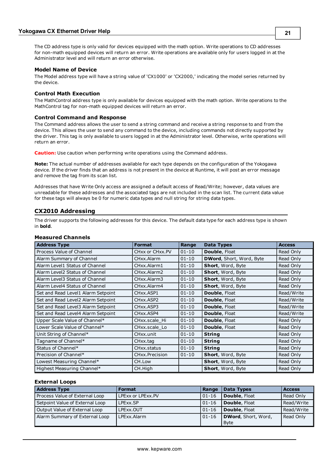The CD address type is only valid for devices equipped with the math option. Write operations to CD addresses for non-math equipped devices will return an error. Write operations are available only for users logged in at the Administrator level and will return an error otherwise.

#### **Model Name of Device**

The Model address type will have a string value of 'CX1000' or 'CX2000,' indicating the model series returned by the device.

# **Control Math Execution**

The MathControl address type is only available for devices equipped with the math option. Write operations to the MathControl tag for non-math equipped devices will return an error.

#### **Control Command and Response**

The Command address allows the user to send a string command and receive a string response to and from the device. This allows the user to send any command to the device, including commands not directly supported by the driver. This tag is only available to users logged in at the Administrator level. Otherwise, write operations will return an error.

**Caution:** Use caution when performing write operations using the Command address.

**Note:** The actual number of addresses available for each type depends on the configuration of the Yokogawa device. If the driver finds that an address is not present in the device at Runtime, it will post an error message and remove the tag from its scan list.

Addresses that have Write Only access are assigned a default access of Read/Write; however, data values are unreadable for these addresses and the associated tags are not included in the scan list. The current data value for these tags will always be 0 for numeric data types and null string for string data types.

# <span id="page-19-0"></span>**CX2010 Addressing**

The driver supports the following addresses for this device. The default data type for each address type is shown in **bold**.

#### **Measured Channels**

| <b>Address Type</b>                | <b>Format</b>              | Range     | <b>Data Types</b>               | <b>Access</b> |
|------------------------------------|----------------------------|-----------|---------------------------------|---------------|
| Process Value of Channel           | CHxx or CHxx.PV            | $01 - 10$ | Double, Float                   | Read Only     |
| Alarm Summary of Channel           | CHxx.Alarm                 | $01 - 10$ | <b>DWord, Short, Word, Byte</b> | Read Only     |
| Alarm Level1 Status of Channel     | CHxx.Alarm1                | $01 - 10$ | Short, Word, Byte               | Read Only     |
| Alarm Level2 Status of Channel     | CHxx.Alarm2                | $01 - 10$ | Short, Word, Byte               | Read Only     |
| Alarm Level3 Status of Channel     | CHxx.Alarm3                | $01 - 10$ | Short, Word, Byte               | Read Only     |
| Alarm Level4 Status of Channel     | CHxx.Alarm4                | $01 - 10$ | Short, Word, Byte               | Read Only     |
| Set and Read Level1 Alarm Setpoint | CHxx.ASP1                  | $01 - 10$ | <b>Double, Float</b>            | Read/Write    |
| Set and Read Level2 Alarm Setpoint | CHxx.ASP2                  | $01 - 10$ | <b>Double, Float</b>            | Read/Write    |
| Set and Read Level3 Alarm Setpoint | CHxx.ASP3                  | $01 - 10$ | <b>Double, Float</b>            | Read/Write    |
| Set and Read Level4 Alarm Setpoint | CHxx.ASP4                  | $01 - 10$ | <b>Double, Float</b>            | Read/Write    |
| Upper Scale Value of Channel*      | CHxx.scale Hi              | $01 - 10$ | <b>Double, Float</b>            | Read Only     |
| Lower Scale Value of Channel*      | CHxx.scale Lo              | $01 - 10$ | <b>Double, Float</b>            | Read Only     |
| Unit String of Channel*            | CHxx.unit                  | $01 - 10$ | <b>String</b>                   | Read Only     |
| Tagname of Channel*                | CHxx.tag                   | $01 - 10$ | <b>String</b>                   | Read Only     |
| Status of Channel*                 | CHxx.status                | $01 - 10$ | <b>String</b>                   | Read Only     |
| Precision of Channel*              | CH <sub>xx</sub> Precision | $01 - 10$ | Short, Word, Byte               | Read Only     |
| Lowest Measuring Channel*          | CH.Low                     |           | Short, Word, Byte               | Read Only     |
| Highest Measuring Channel*         | CH.High                    |           | Short, Word, Byte               | Read Only     |

#### **External Loops**

| <b>Address Type</b>             | Format            | Range       | <b>Data Types</b>    | <b>Access</b> |
|---------------------------------|-------------------|-------------|----------------------|---------------|
| Process Value of External Loop  | LPExx or LPExx.PV | $ 01 - 16 $ | <b>Double, Float</b> | Read Only     |
| Setpoint Value of External Loop | I PFxx.SP         | $ 01 - 16 $ | <b>Double, Float</b> | Read/Write    |
| Output Value of External Loop   | LPExx.OUT         | $ 01 - 16 $ | <b>Double, Float</b> | Read/Write    |
| Alarm Summary of External Loop  | LPExx.Alarm       | $01 - 16$   | DWord, Short, Word,  | Read Only     |
|                                 |                   |             | l Byte               |               |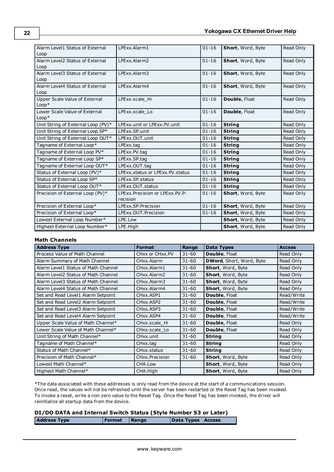| Alarm Level1 Status of External    | LPExx.Alarm1                      | $01 - 16$ | Short, Word, Byte | Read Only |
|------------------------------------|-----------------------------------|-----------|-------------------|-----------|
| Loop                               |                                   |           |                   |           |
| Alarm Level2 Status of External    | LPExx.Alarm2                      | $01 - 16$ | Short, Word, Byte | Read Only |
| Loop                               |                                   |           |                   |           |
| Alarm Level3 Status of External    | LPExx.Alarm3                      | $01 - 16$ | Short, Word, Byte | Read Only |
| Loop                               |                                   |           |                   |           |
| Alarm Level4 Status of External    | LPExx.Alarm4                      | $01 - 16$ | Short, Word, Byte | Read Only |
| Loop                               |                                   |           |                   |           |
| Upper Scale Value of External      | LPExx.scale Hi                    | $01 - 16$ | Double, Float     | Read Only |
| $Loop*$                            |                                   |           |                   |           |
| Lower Scale Value of External      | LPExx.scale Lo                    | $01 - 16$ | Double, Float     | Read Only |
| $Loop*$                            |                                   |           |                   |           |
| Unit String of External Loop (PV)* | LPExx.unit or LPExx.PV.unit       | $01 - 16$ | <b>String</b>     | Read Only |
| Unit String of External Loop SP*   | LPExx.SP.unit                     | $01 - 16$ | <b>String</b>     | Read Only |
| Unit String of External Loop OUT*  | LPExx.OUT.unit                    | $01 - 16$ | <b>String</b>     | Read Only |
| Tagname of External Loop*          | LPExx.tag                         | $01 - 16$ | <b>String</b>     | Read Only |
| Tagname of External Loop PV*       | LPExx.PV.tag                      | $01 - 16$ | <b>String</b>     | Read Only |
| Tagname of External Loop SP*       | LPExx.SP.tag                      | $01 - 16$ | <b>String</b>     | Read Only |
| Tagname of External Loop OUT*      | LPExx.OUT.tag                     | $01 - 16$ | <b>String</b>     | Read Only |
| Status of External Loop (PV)*      | LPExx.status or LPExx.PV.status   | $01 - 16$ | <b>String</b>     | Read Only |
| Status of External Loop SP*        | LPExx.SP.status                   | $01 - 16$ | <b>String</b>     | Read Only |
| Status of External Loop OUT*       | LPExx.OUT.status                  | $01 - 16$ | <b>String</b>     | Read Only |
| Precision of External Loop (PV)*   | LPExx. Precision or LPExx. PV. P- | $01 - 16$ | Short, Word, Byte | Read Only |
|                                    | recision                          |           |                   |           |
| Precision of External Loop*        | LPExx.SP.Precision                | $01 - 16$ | Short, Word, Byte | Read Only |
| Precision of External Loop*        | LPExx.OUT.Precision               | $01 - 16$ | Short, Word, Byte | Read Only |
| Lowest External Loop Number*       | LPE.Low                           |           | Short, Word, Byte | Read Only |
| Highest External Loop Number*      | LPE.High                          |           | Short, Word, Byte | Read Only |

# **Math Channels**

| <b>Address Type</b>                 | <b>Format</b>                       | Range     | <b>Data Types</b>        | <b>Access</b> |
|-------------------------------------|-------------------------------------|-----------|--------------------------|---------------|
| Process Value of Math Channel       | CHxx or CHxx.PV                     | $31 - 60$ | <b>Double, Float</b>     | Read Only     |
| Alarm Summary of Math Channel       | CHxx.Alarm                          | $31 - 60$ | DWord, Short, Word, Byte | Read Only     |
| Alarm Level1 Status of Math Channel | CHxx.Alarm1                         | $31 - 60$ | Short, Word, Byte        | Read Only     |
| Alarm Level2 Status of Math Channel | CHxx.Alarm2                         | $31 - 60$ | Short, Word, Byte        | Read Only     |
| Alarm Level3 Status of Math Channel | CHxx.Alarm3                         | $31 - 60$ | Short, Word, Byte        | Read Only     |
| Alarm Level4 Status of Math Channel | CHxx.Alarm4                         | $31 - 60$ | Short, Word, Byte        | Read Only     |
| Set and Read Level1 Alarm Setpoint  | CH <sub>xx</sub> , ASP <sub>1</sub> | $31 - 60$ | Double, Float            | Read/Write    |
| Set and Read Level2 Alarm Setpoint  | CHxx.ASP2                           | $31 - 60$ | Double, Float            | Read/Write    |
| Set and Read Level3 Alarm Setpoint  | CHxx.ASP3                           | $31 - 60$ | <b>Double, Float</b>     | Read/Write    |
| Set and Read Level4 Alarm Setpoint  | CH <sub>xx</sub> , ASP4             | $31 - 60$ | Double, Float            | Read/Write    |
| Upper Scale Value of Math Channel*  | CHxx.scale Hi                       | $31 - 60$ | <b>Double, Float</b>     | Read Only     |
| Lower Scale Value of Math Channel*  | CHxx.scale Lo                       | $31 - 60$ | <b>Double, Float</b>     | Read Only     |
| Unit String of Math Channel*        | CHxx.unit                           | $31 - 60$ | <b>String</b>            | Read Only     |
| Tagname of Math Channel*            | CHxx.tag                            | $31 - 60$ | <b>String</b>            | Read Only     |
| Status of Math Channel*             | CHxx.status                         | $31 - 60$ | <b>String</b>            | Read Only     |
| Precision of Math Channel*          | CHxx.Precision                      | $31 - 60$ | Short, Word, Byte        | Read Only     |
| Lowest Math Channel*                | CHA.Low                             |           | Short, Word, Byte        | Read Only     |
| Highest Math Channel*               | CHA.High                            |           | Short, Word, Byte        | Read Only     |

\*The data associated with these addresses is only read from the device at the start of a communications session. Once read, the values will not be refreshed until the server has been restarted or the Reset Tag has been invoked. To invoke a reset, write a non zero value to the Reset Tag. Once the Reset Tag has been invoked, the driver will reinitialize all startup data from the device.

# **DI/DO DATA and Internal Switch Status (Style Number S3 or Later) Address Type Format Range Data Types Access**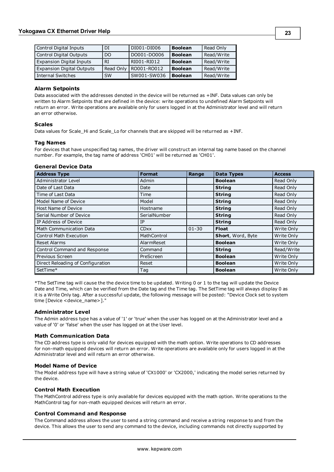| Control Digital Inputs           | DI        | DI001-DI006 | <b>Boolean</b> | Read Only  |
|----------------------------------|-----------|-------------|----------------|------------|
| Control Digital Outputs          | DO        | DO001-DO006 | <b>Boolean</b> | Read/Write |
| <b>Expansion Digital Inputs</b>  | RT        | RI001-RI012 | <b>Boolean</b> | Read/Write |
| <b>Expansion Digital Outputs</b> | Read Only | RO001-RO012 | <b>Boolean</b> | Read/Write |
| Internal Switches                | <b>SW</b> | SW001-SW036 | <b>Boolean</b> | Read/Write |

#### **Alarm Setpoints**

Data associated with the addresses denoted in the device will be returned as +INF. Data values can only be written to Alarm Setpoints that are defined in the device: write operations to undefined Alarm Setpoints will return an error. Write operations are available only for users logged in at the Administrator level and will return an error otherwise.

#### **Scales**

Data values for Scale\_Hi and Scale\_Lo for channels that are skipped will be returned as +INF.

#### **Tag Names**

For devices that have unspecified tag names, the driver will construct an internal tag name based on the channel number. For example, the tag name of address 'CH01' will be returned as 'CH01'.

#### **General Device Data**

| <b>Address Type</b>               | <b>Format</b> | Range     | <b>Data Types</b>        | <b>Access</b> |
|-----------------------------------|---------------|-----------|--------------------------|---------------|
| Administrator Level               | Admin         |           | <b>Boolean</b>           | Read Only     |
| Date of Last Data                 | Date          |           | <b>String</b>            | Read Only     |
| Time of Last Data                 | Time          |           | <b>String</b>            | Read Only     |
| Model Name of Device              | Model         |           | <b>String</b>            | Read Only     |
| Host Name of Device               | Hostname      |           | <b>String</b>            | Read Only     |
| Serial Number of Device           | SerialNumber  |           | <b>String</b>            | Read Only     |
| IP Address of Device              | IP            |           | <b>String</b>            | Read Only     |
| <b>Math Communication Data</b>    | <b>CDxx</b>   | $01 - 30$ | <b>Float</b>             | Write Only    |
| <b>Control Math Execution</b>     | MathControl   |           | <b>Short, Word, Byte</b> | Write Only    |
| Reset Alarms                      | AlarmReset    |           | <b>Boolean</b>           | Write Only    |
| Control Command and Response      | Command       |           | <b>String</b>            | Read/Write    |
| Previous Screen                   | PreScreen     |           | <b>Boolean</b>           | Write Only    |
| Direct Reloading of Configuration | Reset         |           | <b>Boolean</b>           | Write Only    |
| SetTime*                          | Tag           |           | <b>Boolean</b>           | Write Only    |

\*The SetTime tag will cause the the device time to be updated. Writing 0 or 1 to the tag will update the Device Date and Time, which can be verified from the Date tag and the Time tag. The SetTime tag will always display 0 as it is a Write Only tag. After a successful update, the following message will be posted: "Device Clock set to system time [Device <device\_name>]."

#### **Administrator Level**

The Admin address type has a value of '1' or 'true' when the user has logged on at the Administrator level and a value of '0' or 'false' when the user has logged on at the User level.

#### **Math Communication Data**

The CD address type is only valid for devices equipped with the math option. Write operations to CD addresses for non-math equipped devices will return an error. Write operations are available only for users logged in at the Administrator level and will return an error otherwise.

#### **Model Name of Device**

The Model address type will have a string value of 'CX1000' or 'CX2000,' indicating the model series returned by the device.

#### **Control Math Execution**

The MathControl address type is only available for devices equipped with the math option. Write operations to the MathControl tag for non-math equipped devices will return an error.

#### **Control Command and Response**

The Command address allows the user to send a string command and receive a string response to and from the device. This allows the user to send any command to the device, including commands not directly supported by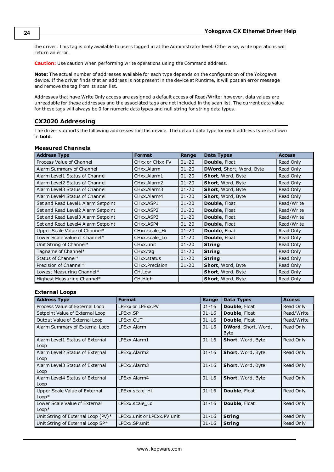the driver. This tag is only available to users logged in at the Administrator level. Otherwise, write operations will return an error.

**Caution:** Use caution when performing write operations using the Command address.

**Note:** The actual number of addresses available for each type depends on the configuration of the Yokogawa device. If the driver finds that an address is not present in the device at Runtime, it will post an error message and remove the tag from its scan list.

Addresses that have Write Only access are assigned a default access of Read/Write; however, data values are unreadable for these addresses and the associated tags are not included in the scan list. The current data value for these tags will always be 0 for numeric data types and null string for string data types.

#### <span id="page-22-0"></span>**CX2020 Addressing**

The driver supports the following addresses for this device. The default data type for each address type is shown in **bold**.

#### **Measured Channels**

| <b>Address Type</b>                | <b>Format</b>   | Range     | <b>Data Types</b>               | <b>Access</b> |
|------------------------------------|-----------------|-----------|---------------------------------|---------------|
| Process Value of Channel           | CHxx or CHxx.PV | $01 - 20$ | <b>Double, Float</b>            | Read Only     |
| Alarm Summary of Channel           | CHxx.Alarm      | $01 - 20$ | <b>DWord, Short, Word, Byte</b> | Read Only     |
| Alarm Level1 Status of Channel     | CHxx.Alarm1     | $01 - 20$ | Short, Word, Byte               | Read Only     |
| Alarm Level2 Status of Channel     | CHxx.Alarm2     | $01 - 20$ | Short, Word, Byte               | Read Only     |
| Alarm Level3 Status of Channel     | CHxx.Alarm3     | $01 - 20$ | Short, Word, Byte               | Read Only     |
| Alarm Level4 Status of Channel     | CHxx.Alarm4     | $01 - 20$ | Short, Word, Byte               | Read Only     |
| Set and Read Level1 Alarm Setpoint | CHxx.ASP1       | $01 - 20$ | Double, Float                   | Read/Write    |
| Set and Read Level2 Alarm Setpoint | CHxx.ASP2       | $01 - 20$ | <b>Double, Float</b>            | Read/Write    |
| Set and Read Level3 Alarm Setpoint | CHxx.ASP3       | $01 - 20$ | <b>Double, Float</b>            | Read/Write    |
| Set and Read Level4 Alarm Setpoint | CHxx.ASP4       | $01 - 20$ | Double, Float                   | Read/Write    |
| Upper Scale Value of Channel*      | CHxx.scale_Hi   | $01 - 20$ | Double, Float                   | Read Only     |
| Lower Scale Value of Channel*      | CHxx.scale_Lo   | $01 - 20$ | Double, Float                   | Read Only     |
| Unit String of Channel*            | CHxx.unit       | $01 - 20$ | <b>String</b>                   | Read Only     |
| Tagname of Channel*                | CHxx.tag        | $01 - 20$ | <b>String</b>                   | Read Only     |
| Status of Channel*                 | CHxx.status     | $01 - 20$ | <b>String</b>                   | Read Only     |
| Precision of Channel*              | CHxx.Precision  | $01 - 20$ | Short, Word, Byte               | Read Only     |
| Lowest Measuring Channel*          | CH.Low          |           | Short, Word, Byte               | Read Only     |
| Highest Measuring Channel*         | CH.High         |           | Short, Word, Byte               | Read Only     |

#### **External Loops**

| <b>Address Type</b>                      | <b>Format</b>               | Range     | Data Types                         | <b>Access</b> |
|------------------------------------------|-----------------------------|-----------|------------------------------------|---------------|
| Process Value of External Loop           | LPExx or LPExx.PV           | $01 - 16$ | <b>Double, Float</b>               | Read Only     |
| Setpoint Value of External Loop          | LPExx.SP                    | $01 - 16$ | Double, Float                      | Read/Write    |
| Output Value of External Loop            | LPExx.OUT                   | $01 - 16$ | Double, Float                      | Read/Write    |
| Alarm Summary of External Loop           | LPExx.Alarm                 | $01 - 16$ | DWord, Short, Word,<br><b>Byte</b> | Read Only     |
| Alarm Level1 Status of External<br>Loop  | LPExx.Alarm1                | $01 - 16$ | Short, Word, Byte                  | Read Only     |
| Alarm Level2 Status of External<br>Loop  | LPExx Alarm2                | $01 - 16$ | Short, Word, Byte                  | Read Only     |
| Alarm Level3 Status of External<br>Loop  | LPExx Alarm3                | $01 - 16$ | Short, Word, Byte                  | Read Only     |
| Alarm Level4 Status of External<br>Loop  | LPExx Alarm4                | $01 - 16$ | Short, Word, Byte                  | Read Only     |
| Upper Scale Value of External<br>$Loop*$ | LPExx.scale Hi              | $01 - 16$ | <b>Double, Float</b>               | Read Only     |
| Lower Scale Value of External<br>$Loop*$ | LPExx.scale Lo              | $01 - 16$ | <b>Double, Float</b>               | Read Only     |
| Unit String of External Loop (PV)*       | LPExx.unit or LPExx.PV.unit | $01 - 16$ | <b>String</b>                      | Read Only     |
| Unit String of External Loop SP*         | LPExx.SP.unit               | $01 - 16$ | <b>String</b>                      | Read Only     |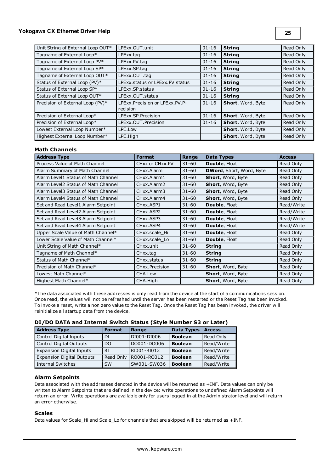| Unit String of External Loop OUT* | LPExx.OUT.unit                                | $01 - 16$ | <b>String</b>            | Read Only |
|-----------------------------------|-----------------------------------------------|-----------|--------------------------|-----------|
| Tagname of External Loop*         | LPExx.tag                                     | $01 - 16$ | <b>String</b>            | Read Only |
| Tagname of External Loop PV*      | LPExx.PV.tag                                  | $01 - 16$ | <b>String</b>            | Read Only |
| Tagname of External Loop SP*      | LPExx.SP.tag                                  | $01 - 16$ | <b>String</b>            | Read Only |
| Tagname of External Loop OUT*     | LPExx.OUT.tag                                 | $01 - 16$ | <b>String</b>            | Read Only |
| Status of External Loop (PV)*     | LPExx.status or LPExx.PV.status               | $01 - 16$ | <b>String</b>            | Read Only |
| Status of External Loop SP*       | LPExx SP status                               | $01 - 16$ | <b>String</b>            | Read Only |
| Status of External Loop OUT*      | LPExx.OUT.status                              | $01 - 16$ | <b>String</b>            | Read Only |
| Precision of External Loop (PV)*  | LPExx. Precision or LPExx. PV. P-<br>recision | $01 - 16$ | Short, Word, Byte        | Read Only |
| Precision of External Loop*       | LPExx.SP.Precision                            | $01 - 16$ | <b>Short, Word, Byte</b> | Read Only |
| Precision of External Loop*       | LPExx.OUT.Precision                           | $01 - 16$ | Short, Word, Byte        | Read Only |
| Lowest External Loop Number*      | LPE.Low                                       |           | Short, Word, Byte        | Read Only |
| Highest External Loop Number*     | LPE.High                                      |           | Short, Word, Byte        | Read Only |

#### **Math Channels**

| <b>Address Type</b>                 | <b>Format</b>                     | Range     | <b>Data Types</b>        | <b>Access</b> |
|-------------------------------------|-----------------------------------|-----------|--------------------------|---------------|
| Process Value of Math Channel       | CHxx or CHxx.PV                   | $31 - 60$ | <b>Double, Float</b>     | Read Only     |
| Alarm Summary of Math Channel       | CHxx.Alarm                        | $31 - 60$ | DWord, Short, Word, Byte | Read Only     |
| Alarm Level1 Status of Math Channel | CHxx.Alarm1                       | $31 - 60$ | Short, Word, Byte        | Read Only     |
| Alarm Level2 Status of Math Channel | CHxx.Alarm2                       | $31 - 60$ | Short, Word, Byte        | Read Only     |
| Alarm Level3 Status of Math Channel | CHxx.Alarm3                       | $31 - 60$ | Short, Word, Byte        | Read Only     |
| Alarm Level4 Status of Math Channel | CHxx.Alarm4                       | $31 - 60$ | Short, Word, Byte        | Read Only     |
| Set and Read Level1 Alarm Setpoint  | CH <sub>xx</sub> ASP <sub>1</sub> | $31 - 60$ | <b>Double, Float</b>     | Read/Write    |
| Set and Read Level2 Alarm Setpoint  | CHxx.ASP2                         | $31 - 60$ | <b>Double, Float</b>     | Read/Write    |
| Set and Read Level3 Alarm Setpoint  | CH <sub>xx</sub> , ASP3           | $31 - 60$ | <b>Double, Float</b>     | Read/Write    |
| Set and Read Level4 Alarm Setpoint  | CH <sub>xx</sub> , ASP4           | $31 - 60$ | Double, Float            | Read/Write    |
| Upper Scale Value of Math Channel*  | CHxx.scale Hi                     | $31 - 60$ | <b>Double, Float</b>     | Read Only     |
| Lower Scale Value of Math Channel*  | CHxx.scale Lo                     | $31 - 60$ | Double, Float            | Read Only     |
| Unit String of Math Channel*        | CHxx.unit                         | $31 - 60$ | <b>String</b>            | Read Only     |
| Tagname of Math Channel*            | CHxx.tag                          | $31 - 60$ | <b>String</b>            | Read Only     |
| Status of Math Channel*             | CHxx.status                       | $31 - 60$ | <b>String</b>            | Read Only     |
| Precision of Math Channel*          | CHxx.Precision                    | $31 - 60$ | Short, Word, Byte        | Read Only     |
| Lowest Math Channel*                | CHA.Low                           |           | Short, Word, Byte        | Read Only     |
| Highest Math Channel*               | CHA.High                          |           | Short, Word, Byte        | Read Only     |

\*The data associated with these addresses is only read from the device at the start of a communications session. Once read, the values will not be refreshed until the server has been restarted or the Reset Tag has been invoked. To invoke a reset, write a non zero value to the Reset Tag. Once the Reset Tag has been invoked, the driver will reinitialize all startup data from the device.

| DI/DO DATA and Internal Switch Status (Style Number S3 or Later) |  |  |  |
|------------------------------------------------------------------|--|--|--|
|------------------------------------------------------------------|--|--|--|

| <b>Address Type</b>              | <b>Format</b>  | Range       | <b>Data Types</b> | <b>Access</b> |
|----------------------------------|----------------|-------------|-------------------|---------------|
| Control Digital Inputs           | DI             | DI001-DI006 | <b>Boolean</b>    | Read Only     |
| <b>Control Digital Outputs</b>   | D <sub>O</sub> | DO001-DO006 | <b>Boolean</b>    | Read/Write    |
| <b>Expansion Digital Inputs</b>  | RI             | RI001-RI012 | <b>Boolean</b>    | Read/Write    |
| <b>Expansion Digital Outputs</b> | Read Only      | RO001-RO012 | <b>Boolean</b>    | Read/Write    |
| <b>Internal Switches</b>         | <b>SW</b>      | SW001-SW036 | <b>Boolean</b>    | Read/Write    |

## **Alarm Setpoints**

Data associated with the addresses denoted in the device will be returned as +INF. Data values can only be written to Alarm Setpoints that are defined in the device: write operations to undefined Alarm Setpoints will return an error. Write operations are available only for users logged in at the Administrator level and will return an error otherwise.

#### **Scales**

Data values for Scale\_Hi and Scale\_Lo for channels that are skipped will be returned as +INF.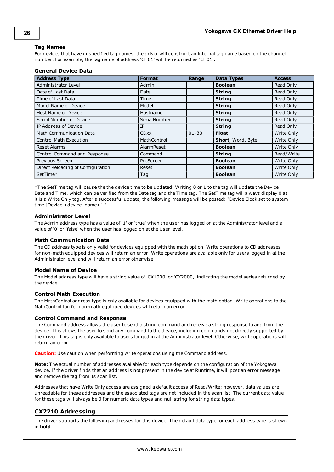## **26**

#### **Tag Names**

For devices that have unspecified tag names, the driver will construct an internal tag name based on the channel number. For example, the tag name of address 'CH01' will be returned as 'CH01'.

#### **General Device Data**

| <b>Address Type</b>               | <b>Format</b> | Range     | <b>Data Types</b> | <b>Access</b> |
|-----------------------------------|---------------|-----------|-------------------|---------------|
| Administrator Level               | Admin         |           | <b>Boolean</b>    | Read Only     |
| Date of Last Data                 | Date          |           | <b>String</b>     | Read Only     |
| Time of Last Data                 | Time          |           | <b>String</b>     | Read Only     |
| Model Name of Device              | Model         |           | <b>String</b>     | Read Only     |
| Host Name of Device               | Hostname      |           | <b>String</b>     | Read Only     |
| Serial Number of Device           | SerialNumber  |           | <b>String</b>     | Read Only     |
| IP Address of Device              | IP            |           | <b>String</b>     | Read Only     |
| Math Communication Data           | <b>CDxx</b>   | $01 - 30$ | <b>Float</b>      | Write Only    |
| <b>Control Math Execution</b>     | MathControl   |           | Short, Word, Byte | Write Only    |
| <b>Reset Alarms</b>               | AlarmReset    |           | <b>Boolean</b>    | Write Only    |
| Control Command and Response      | Command       |           | <b>String</b>     | Read/Write    |
| Previous Screen                   | PreScreen     |           | <b>Boolean</b>    | Write Only    |
| Direct Reloading of Configuration | Reset         |           | <b>Boolean</b>    | Write Only    |
| SetTime*                          | Tag           |           | <b>Boolean</b>    | Write Only    |

\*The SetTime tag will cause the the device time to be updated. Writing 0 or 1 to the tag will update the Device Date and Time, which can be verified from the Date tag and the Time tag. The SetTime tag will always display 0 as it is a Write Only tag. After a successful update, the following message will be posted: "Device Clock set to system time [Device <device\_name>]."

#### **Administrator Level**

The Admin address type has a value of '1' or 'true' when the user has logged on at the Administrator level and a value of '0' or 'false' when the user has logged on at the User level.

#### **Math Communication Data**

The CD address type is only valid for devices equipped with the math option. Write operations to CD addresses for non-math equipped devices will return an error. Write operations are available only for users logged in at the Administrator level and will return an error otherwise.

#### **Model Name of Device**

The Model address type will have a string value of 'CX1000' or 'CX2000,' indicating the model series returned by the device.

#### **Control Math Execution**

The MathControl address type is only available for devices equipped with the math option. Write operations to the MathControl tag for non-math equipped devices will return an error.

#### **Control Command and Response**

The Command address allows the user to send a string command and receive a string response to and from the device. This allows the user to send any command to the device, including commands not directly supported by the driver. This tag is only available to users logged in at the Administrator level. Otherwise, write operations will return an error.

**Caution:** Use caution when performing write operations using the Command address.

**Note:** The actual number of addresses available for each type depends on the configuration of the Yokogawa device. If the driver finds that an address is not present in the device at Runtime, it will post an error message and remove the tag from its scan list.

Addresses that have Write Only access are assigned a default access of Read/Write; however, data values are unreadable for these addresses and the associated tags are not included in the scan list. The current data value for these tags will always be 0 for numeric data types and null string for string data types.

# <span id="page-24-0"></span>**CX2210 Addressing**

The driver supports the following addresses for this device. The default data type for each address type is shown in **bold**.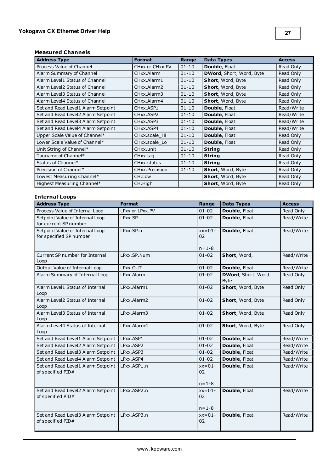# **Measured Channels**

| <b>Address Type</b>                | <b>Format</b>   | Range     | <b>Data Types</b>               | <b>Access</b> |
|------------------------------------|-----------------|-----------|---------------------------------|---------------|
| Process Value of Channel           | CHxx or CHxx.PV | $01 - 10$ | <b>Double, Float</b>            | Read Only     |
| Alarm Summary of Channel           | CHxx.Alarm      | $01 - 10$ | <b>DWord, Short, Word, Byte</b> | Read Only     |
| Alarm Level1 Status of Channel     | CHxx.Alarm1     | $01 - 10$ | Short, Word, Byte               | Read Only     |
| Alarm Level2 Status of Channel     | CHxx.Alarm2     | $01 - 10$ | Short, Word, Byte               | Read Only     |
| Alarm Level3 Status of Channel     | CHxx.Alarm3     | $01 - 10$ | Short, Word, Byte               | Read Only     |
| Alarm Level4 Status of Channel     | CHxx.Alarm4     | $01 - 10$ | Short, Word, Byte               | Read Only     |
| Set and Read Level1 Alarm Setpoint | CHxx.ASP1       | $01 - 10$ | Double, Float                   | Read/Write    |
| Set and Read Level2 Alarm Setpoint | CHxx.ASP2       | $01 - 10$ | Double, Float                   | Read/Write    |
| Set and Read Level3 Alarm Setpoint | CHxx.ASP3       | $01 - 10$ | Double, Float                   | Read/Write    |
| Set and Read Level4 Alarm Setpoint | CHxx.ASP4       | $01 - 10$ | Double, Float                   | Read/Write    |
| Upper Scale Value of Channel*      | CHxx.scale Hi   | $01 - 10$ | Double, Float                   | Read Only     |
| Lower Scale Value of Channel*      | CHxx.scale_Lo   | $01 - 10$ | Double, Float                   | Read Only     |
| Unit String of Channel*            | CHxx.unit       | $01 - 10$ | <b>String</b>                   | Read Only     |
| Tagname of Channel*                | CHxx.tag        | $01 - 10$ | <b>String</b>                   | Read Only     |
| Status of Channel*                 | CHxx.status     | $01 - 10$ | <b>String</b>                   | Read Only     |
| Precision of Channel*              | CHxx.Precision  | $01 - 10$ | Short, Word, Byte               | Read Only     |
| Lowest Measuring Channel*          | CH.Low          |           | Short, Word, Byte               | Read Only     |
| Highest Measuring Channel*         | CH.High         |           | Short, Word, Byte               | Read Only     |

# **Internal Loops**

| <b>Address Type</b>                                        | <b>Format</b>   | Range                         | <b>Data Types</b>                   | <b>Access</b> |
|------------------------------------------------------------|-----------------|-------------------------------|-------------------------------------|---------------|
| Process Value of Internal Loop                             | LPxx or LPxx.PV | $01 - 02$                     | Double, Float                       | Read Only     |
| Setpoint Value of Internal Loop<br>for current SP number   | LPxx.SP         | $01 - 02$                     | Double, Float                       | Read/Write    |
| Setpoint Value of Internal Loop<br>for specified SP number | LPxx.SP.n       | $xx=01-$<br>02<br>$n = 1 - 8$ | Double, Float                       | Read/Write    |
| Current SP number for Internal<br>Loop                     | LPxx.SP.Num     | $01 - 02$                     | Short, Word,                        | Read/Write    |
| Output Value of Internal Loop                              | LPxx.OUT        | $01 - 02$                     | Double, Float                       | Read/Write    |
| Alarm Summary of Internal Loop                             | LPxx.Alarm      | $01 - 02$                     | DWord, Short, Word,<br><b>B</b> vte | Read Only     |
| Alarm Level1 Status of Internal<br>Loop                    | LPxx.Alarm1     | $01 - 02$                     | Short, Word, Byte                   | Read Only     |
| Alarm Level2 Status of Internal<br>Loop                    | LPxx.Alarm2     | $01 - 02$                     | Short, Word, Byte                   | Read Only     |
| Alarm Level3 Status of Internal<br>Loop                    | LPxx.Alarm3     | $01 - 02$                     | Short, Word, Byte                   | Read Only     |
| Alarm Level4 Status of Internal<br>Loop                    | LPxx.Alarm4     | $01 - 02$                     | Short, Word, Byte                   | Read Only     |
| Set and Read Level1 Alarm Setpoint                         | LPxx.ASP1       | $01 - 02$                     | Double, Float                       | Read/Write    |
| Set and Read Level2 Alarm Setpoint                         | LPxx.ASP2       | $01 - 02$                     | Double, Float                       | Read/Write    |
| Set and Read Level3 Alarm Setpoint                         | LPxx.ASP3       | $01 - 02$                     | Double, Float                       | Read/Write    |
| Set and Read Level4 Alarm Setpoint                         | LPxx.ASP4       | $01 - 02$                     | Double, Float                       | Read/Write    |
| Set and Read Level1 Alarm Setpoint<br>of specified PID#    | LPxx.ASP1.n     | $xx=01-$<br>02<br>$n = 1 - 8$ | Double, Float                       | Read/Write    |
| Set and Read Level2 Alarm Setpoint<br>of specified PID#    | LPxx.ASP2.n     | $xx=01-$<br>02<br>$n = 1 - 8$ | Double, Float                       | Read/Write    |
| Set and Read Level3 Alarm Setpoint<br>of specified PID#    | LPxx.ASP3.n     | $xx=01-$<br>02                | Double, Float                       | Read/Write    |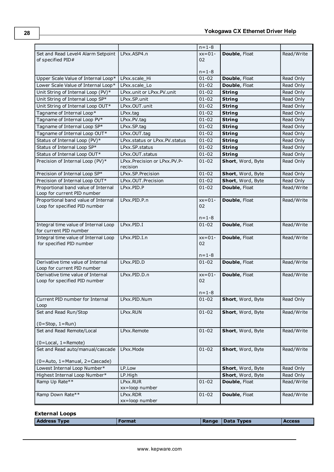|                                                                  |                                             | $n = 1 - 8$              |                   |            |
|------------------------------------------------------------------|---------------------------------------------|--------------------------|-------------------|------------|
| Set and Read Level4 Alarm Setpoint                               | LPxx.ASP4.n                                 | $xx=01-$                 | Double, Float     | Read/Write |
| of specified PID#                                                |                                             | 02                       |                   |            |
|                                                                  |                                             |                          |                   |            |
|                                                                  |                                             | $n = 1 - 8$              |                   |            |
| Upper Scale Value of Internal Loop*                              | LPxx.scale Hi                               | $01 - 02$                | Double, Float     | Read Only  |
| Lower Scale Value of Internal Loop*                              | LPxx.scale Lo                               | $01 - 02$                | Double, Float     | Read Only  |
| Unit String of Internal Loop (PV)*                               | LPxx.unit or LPxx.PV.unit                   | $01 - 02$                | <b>String</b>     | Read Only  |
| Unit String of Internal Loop SP*                                 | LPxx.SP.unit                                | $01 - 02$                | <b>String</b>     | Read Only  |
| Unit String of Internal Loop OUT*                                | LPxx.OUT.unit                               | $01 - 02$                | <b>String</b>     | Read Only  |
| Tagname of Internal Loop*                                        | LPxx.tag                                    | $01 - 02$                | <b>String</b>     | Read Only  |
| Tagname of Internal Loop PV*                                     | LPxx.PV.tag                                 | $01 - 02$                | <b>String</b>     | Read Only  |
| Tagname of Internal Loop SP*                                     | LPxx.SP.tag                                 | $01 - 02$                | <b>String</b>     | Read Only  |
| Tagname of Internal Loop OUT*                                    | LPxx.OUT.tag                                | $01 - 02$                | <b>String</b>     | Read Only  |
| Status of Internal Loop (PV)*                                    | LPxx.status or LPxx.PV.status               | $01 - 02$                | <b>String</b>     | Read Only  |
| Status of Internal Loop SP*                                      | LPxx.SP.status                              | $01 - 02$                | <b>String</b>     | Read Only  |
| Status of Internal Loop OUT*                                     | LPxx.OUT.status                             | $01 - 02$                | <b>String</b>     | Read Only  |
| Precision of Internal Loop (PV)*                                 | LPxx. Precision or LPxx. PV. P-<br>recision | $01 - 02$                | Short, Word, Byte | Read Only  |
| Precision of Internal Loop SP*                                   | LPxx.SP.Precision                           | $01 - 02$                | Short, Word, Byte | Read Only  |
| Precision of Internal Loop OUT*                                  | LPxx.OUT.Precision                          | $01 - 02$                | Short, Word, Byte | Read Only  |
| Proportional band value of Internal                              | LPxx.PID.P                                  | $01 - 02$                | Double, Float     | Read/Write |
| Loop for current PID number                                      |                                             |                          |                   |            |
| Proportional band value of Internal                              | LPxx.PID.P.n                                | $xx=01-$                 | Double, Float     | Read/Write |
| Loop for specified PID number                                    |                                             | 02                       |                   |            |
|                                                                  |                                             |                          |                   |            |
|                                                                  |                                             | $n = 1 - 8$              |                   |            |
| Integral time value of Internal Loop                             | LPxx.PID.I                                  | $01 - 02$                | Double, Float     | Read/Write |
| for current PID number                                           |                                             |                          |                   |            |
| Integral time value of Internal Loop<br>for specified PID number | LPxx.PID.I.n                                | $xx=01-$<br>02           | Double, Float     | Read/Write |
|                                                                  |                                             |                          |                   |            |
|                                                                  |                                             | $n = 1 - 8$              |                   |            |
| Derivative time value of Internal                                | LPxx.PID.D                                  | $01 - 02$                | Double, Float     | Read/Write |
| Loop for current PID number                                      |                                             |                          |                   |            |
| Derivative time value of Internal                                | LPxx.PID.D.n                                | $xx=01-$                 | Double, Float     | Read/Write |
| Loop for specified PID number                                    |                                             | 02                       |                   |            |
|                                                                  |                                             |                          |                   |            |
| Current PID number for Internal                                  | LPxx.PID.Num                                | $n = 1 - 8$<br>$01 - 02$ | Short, Word, Byte |            |
| Loop                                                             |                                             |                          |                   | Read Only  |
| Set and Read Run/Stop                                            | LPxx.RUN                                    | $01 - 02$                | Short, Word, Byte | Read/Write |
|                                                                  |                                             |                          |                   |            |
| $(0 = Stop, 1 = Run)$                                            |                                             |                          |                   |            |
| Set and Read Remote/Local                                        | LPxx.Remote                                 | $01 - 02$                | Short, Word, Byte | Read/Write |
|                                                                  |                                             |                          |                   |            |
| $(0 = Local, 1 = Remote)$                                        |                                             |                          |                   |            |
| Set and Read auto/manual/cascade                                 | LPxx.Mode                                   | $01 - 02$                | Short, Word, Byte | Read/Write |
| (0=Auto, 1=Manual, 2=Cascade)                                    |                                             |                          |                   |            |
| Lowest Internal Loop Number*                                     | LP.Low                                      |                          | Short, Word, Byte | Read Only  |
| Highest Internal Loop Number*                                    | LP.High                                     |                          | Short, Word, Byte | Read Only  |
| Ramp Up Rate**                                                   | LPxx.RUR                                    | $01 - 02$                | Double, Float     | Read/Write |
|                                                                  | xx=loop number                              |                          |                   |            |
| Ramp Down Rate**                                                 | LPxx.RDR                                    | $01 - 02$                | Double, Float     | Read/Write |
|                                                                  | xx=loop number                              |                          |                   |            |

| <b>External Loops</b> |        |                  |          |
|-----------------------|--------|------------------|----------|
| <b>Address Type</b>   | Format | Range Data Types | l Access |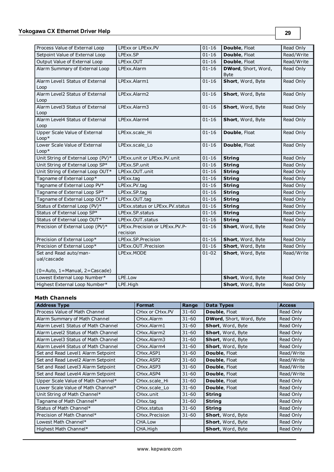| Process Value of External Loop          | LPExx or LPExx.PV               | $01 - 16$ | Double, Float               | Read Only  |
|-----------------------------------------|---------------------------------|-----------|-----------------------------|------------|
| Setpoint Value of External Loop         | LPExx.SP                        | $01 - 16$ | Double, Float               | Read/Write |
| Output Value of External Loop           | LPExx.OUT                       | $01 - 16$ | Double, Float               | Read/Write |
| Alarm Summary of External Loop          | LPExx.Alarm                     | $01 - 16$ | <b>DWord</b> , Short, Word, | Read Only  |
|                                         |                                 |           | <b>Byte</b>                 |            |
| Alarm Level1 Status of External         | LPExx.Alarm1                    | $01 - 16$ | Short, Word, Byte           | Read Only  |
| Loop                                    |                                 |           |                             |            |
| Alarm Level2 Status of External         | LPExx.Alarm2                    | $01 - 16$ | Short, Word, Byte           | Read Only  |
| Loop                                    |                                 |           |                             |            |
| Alarm Level3 Status of External<br>Loop | LPExx.Alarm3                    | $01 - 16$ | Short, Word, Byte           | Read Only  |
| Alarm Level4 Status of External         | LPExx.Alarm4                    | $01 - 16$ | Short, Word, Byte           | Read Only  |
| Loop                                    |                                 |           |                             |            |
| Upper Scale Value of External           | LPExx.scale_Hi                  | $01 - 16$ | Double, Float               | Read Only  |
| $Loop*$                                 |                                 |           |                             |            |
| Lower Scale Value of External           | LPExx.scale Lo                  | $01 - 16$ | Double, Float               | Read Only  |
| $Loop*$                                 |                                 |           |                             |            |
| Unit String of External Loop (PV)*      | LPExx.unit or LPExx.PV.unit     | $01 - 16$ | <b>String</b>               | Read Only  |
| Unit String of External Loop SP*        | LPExx.SP.unit                   | $01 - 16$ | <b>String</b>               | Read Only  |
| Unit String of External Loop OUT*       | LPExx.OUT.unit                  | $01 - 16$ | <b>String</b>               | Read Only  |
| Tagname of External Loop*               | LPExx.tag                       | $01 - 16$ | <b>String</b>               | Read Only  |
| Tagname of External Loop PV*            | LPExx.PV.tag                    | $01 - 16$ | <b>String</b>               | Read Only  |
| Tagname of External Loop SP*            | LPExx.SP.tag                    | $01 - 16$ | <b>String</b>               | Read Only  |
| Tagname of External Loop OUT*           | LPExx.OUT.tag                   | $01 - 16$ | <b>String</b>               | Read Only  |
| Status of External Loop (PV)*           | LPExx.status or LPExx.PV.status | $01 - 16$ | <b>String</b>               | Read Only  |
| Status of External Loop SP*             | LPExx.SP.status                 | $01 - 16$ | <b>String</b>               | Read Only  |
| Status of External Loop OUT*            | LPExx.OUT.status                | $01 - 16$ | <b>String</b>               | Read Only  |
| Precision of External Loop (PV)*        | LPExx.Precision or LPExx.PV.P-  | $01 - 16$ | Short, Word, Byte           | Read Only  |
|                                         | recision                        |           |                             |            |
| Precision of External Loop*             | LPExx.SP.Precision              | $01 - 16$ | Short, Word, Byte           | Read Only  |
| Precision of External Loop*             | LPExx.OUT.Precision             | $01 - 16$ | Short, Word, Byte           | Read Only  |
| Set and Read auto/man-                  | LPExx.MODE                      | $01 - 02$ | Short, Word, Byte           | Read/Write |
| ual/cascade                             |                                 |           |                             |            |
| $(0 = Auto, 1 = Manual, 2 = Cascade)$   |                                 |           |                             |            |
| Lowest External Loop Number*            | LPE.Low                         |           | Short, Word, Byte           | Read Only  |
| Highest External Loop Number*           | LPE.High                        |           | Short, Word, Byte           |            |
|                                         |                                 |           |                             | Read Only  |

#### **Math Channels**

| <b>Address Type</b>                 | <b>Format</b>                      | Range     | <b>Data Types</b>               | <b>Access</b> |
|-------------------------------------|------------------------------------|-----------|---------------------------------|---------------|
| Process Value of Math Channel       | CHxx or CHxx.PV                    | $31 - 60$ | <b>Double, Float</b>            | Read Only     |
| Alarm Summary of Math Channel       | CHxx.Alarm                         | $31 - 60$ | <b>DWord, Short, Word, Byte</b> | Read Only     |
| Alarm Level1 Status of Math Channel | CHxx.Alarm1                        | $31 - 60$ | Short, Word, Byte               | Read Only     |
| Alarm Level2 Status of Math Channel | CHxx.Alarm2                        | $31 - 60$ | Short, Word, Byte               | Read Only     |
| Alarm Level3 Status of Math Channel | CHxx.Alarm3                        | $31 - 60$ | Short, Word, Byte               | Read Only     |
| Alarm Level4 Status of Math Channel | CHxx.Alarm4                        | $31 - 60$ | Short, Word, Byte               | Read Only     |
| Set and Read Level1 Alarm Setpoint  | CH <sub>xx</sub> .ASP <sub>1</sub> | $31 - 60$ | <b>Double, Float</b>            | Read/Write    |
| Set and Read Level2 Alarm Setpoint  | CHxx.ASP2                          | $31 - 60$ | <b>Double, Float</b>            | Read/Write    |
| Set and Read Level3 Alarm Setpoint  | CH <sub>xx</sub> , ASP3            | $31 - 60$ | Double, Float                   | Read/Write    |
| Set and Read Level4 Alarm Setpoint  | CHxx.ASP4                          | $31 - 60$ | <b>Double, Float</b>            | Read/Write    |
| Upper Scale Value of Math Channel*  | CHxx.scale Hi                      | $31 - 60$ | Double, Float                   | Read Only     |
| Lower Scale Value of Math Channel*  | CHxx.scale Lo                      | $31 - 60$ | <b>Double, Float</b>            | Read Only     |
| Unit String of Math Channel*        | CH <sub>xx</sub> unit              | $31 - 60$ | <b>String</b>                   | Read Only     |
| Tagname of Math Channel*            | CHxx.tag                           | $31 - 60$ | <b>String</b>                   | Read Only     |
| Status of Math Channel*             | CHxx.status                        | $31 - 60$ | <b>String</b>                   | Read Only     |
| Precision of Math Channel*          | CHxx.Precision                     | $31 - 60$ | Short, Word, Byte               | Read Only     |
| Lowest Math Channel*                | CHA.Low                            |           | Short, Word, Byte               | Read Only     |
| Highest Math Channel*               | CHA.High                           |           | Short, Word, Byte               | Read Only     |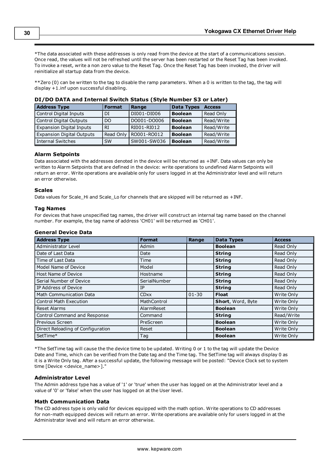\*The data associated with these addresses is only read from the device at the start of a communications session. Once read, the values will not be refreshed until the server has been restarted or the Reset Tag has been invoked. To invoke a reset, write a non zero value to the Reset Tag. Once the Reset Tag has been invoked, the driver will reinitialize all startup data from the device.

\*\*Zero (0) can be written to the tag to disable the ramp parameters. When a 0 is written to the tag, the tag will display +1.inf upon successful disabling.

| <b>Address Type</b>              | <b>Format</b>  | Range       | <b>Data Types</b> | <b>Access</b> |  |
|----------------------------------|----------------|-------------|-------------------|---------------|--|
| Control Digital Inputs           | DI             | DI001-DI006 | <b>Boolean</b>    | Read Only     |  |
| <b>Control Digital Outputs</b>   | D <sub>O</sub> | DO001-DO006 | <b>Boolean</b>    | Read/Write    |  |
| <b>Expansion Digital Inputs</b>  | <b>RI</b>      | RI001-RI012 | <b>Boolean</b>    | Read/Write    |  |
| <b>Expansion Digital Outputs</b> | Read Only      | RO001-RO012 | <b>Boolean</b>    | Read/Write    |  |
| <b>Internal Switches</b>         | <b>SW</b>      | SW001-SW036 | <b>Boolean</b>    | Read/Write    |  |

#### **DI/DO DATA and Internal Switch Status (Style Number S3 or Later)**

#### **Alarm Setpoints**

Data associated with the addresses denoted in the device will be returned as +INF. Data values can only be written to Alarm Setpoints that are defined in the device: write operations to undefined Alarm Setpoints will return an error. Write operations are available only for users logged in at the Administrator level and will return an error otherwise.

#### **Scales**

Data values for Scale\_Hi and Scale\_Lo for channels that are skipped will be returned as +INF.

#### **Tag Names**

For devices that have unspecified tag names, the driver will construct an internal tag name based on the channel number. For example, the tag name of address 'CH01' will be returned as 'CH01'.

#### **General Device Data**

| <b>Address Type</b>               | <b>Format</b> | Range     | <b>Data Types</b>        | <b>Access</b> |
|-----------------------------------|---------------|-----------|--------------------------|---------------|
| Administrator Level               | Admin         |           | <b>Boolean</b>           | Read Only     |
| Date of Last Data                 | Date          |           | <b>String</b>            | Read Only     |
| Time of Last Data                 | Time          |           | <b>String</b>            | Read Only     |
| Model Name of Device              | Model         |           | <b>String</b>            | Read Only     |
| Host Name of Device               | Hostname      |           | <b>String</b>            | Read Only     |
| Serial Number of Device           | SerialNumber  |           | <b>String</b>            | Read Only     |
| IP Address of Device              | IP            |           | <b>String</b>            | Read Only     |
| Math Communication Data           | <b>CDxx</b>   | $01 - 30$ | <b>Float</b>             | Write Only    |
| Control Math Execution            | MathControl   |           | <b>Short, Word, Byte</b> | Write Only    |
| <b>Reset Alarms</b>               | AlarmReset    |           | <b>Boolean</b>           | Write Only    |
| Control Command and Response      | Command       |           | <b>String</b>            | Read/Write    |
| Previous Screen                   | PreScreen     |           | <b>Boolean</b>           | Write Only    |
| Direct Reloading of Configuration | Reset         |           | <b>Boolean</b>           | Write Only    |
| SetTime*                          | Tag           |           | <b>Boolean</b>           | Write Only    |

\*The SetTime tag will cause the the device time to be updated. Writing 0 or 1 to the tag will update the Device Date and Time, which can be verified from the Date tag and the Time tag. The SetTime tag will always display 0 as it is a Write Only tag. After a successful update, the following message will be posted: "Device Clock set to system time [Device <device\_name>]."

#### **Administrator Level**

The Admin address type has a value of '1' or 'true' when the user has logged on at the Administrator level and a value of '0' or 'false' when the user has logged on at the User level.

#### **Math Communication Data**

The CD address type is only valid for devices equipped with the math option. Write operations to CD addresses for non-math equipped devices will return an error. Write operations are available only for users logged in at the Administrator level and will return an error otherwise.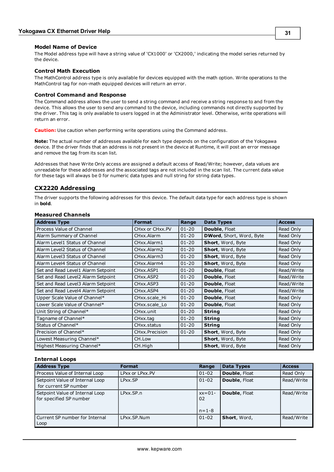#### **Model Name of Device**

The Model address type will have a string value of 'CX1000' or 'CX2000,' indicating the model series returned by the device.

#### **Control Math Execution**

The MathControl address type is only available for devices equipped with the math option. Write operations to the MathControl tag for non-math equipped devices will return an error.

#### **Control Command and Response**

The Command address allows the user to send a string command and receive a string response to and from the device. This allows the user to send any command to the device, including commands not directly supported by the driver. This tag is only available to users logged in at the Administrator level. Otherwise, write operations will return an error.

**Caution:** Use caution when performing write operations using the Command address.

**Note:** The actual number of addresses available for each type depends on the configuration of the Yokogawa device. If the driver finds that an address is not present in the device at Runtime, it will post an error message and remove the tag from its scan list.

Addresses that have Write Only access are assigned a default access of Read/Write; however, data values are unreadable for these addresses and the associated tags are not included in the scan list. The current data value for these tags will always be 0 for numeric data types and null string for string data types.

# <span id="page-29-0"></span>**CX2220 Addressing**

The driver supports the following addresses for this device. The default data type for each address type is shown in **bold**.

| <b>Address Type</b>                | <b>Format</b>   | Range     | Data Types                      | <b>Access</b> |
|------------------------------------|-----------------|-----------|---------------------------------|---------------|
| Process Value of Channel           | CHxx or CHxx.PV | $01 - 20$ | <b>Double, Float</b>            | Read Only     |
| Alarm Summary of Channel           | CHxx.Alarm      | $01 - 20$ | <b>DWord, Short, Word, Byte</b> | Read Only     |
| Alarm Level1 Status of Channel     | CHxx.Alarm1     | $01 - 20$ | Short, Word, Byte               | Read Only     |
| Alarm Level2 Status of Channel     | CHxx.Alarm2     | $01 - 20$ | Short, Word, Byte               | Read Only     |
| Alarm Level3 Status of Channel     | CHxx.Alarm3     | $01 - 20$ | Short, Word, Byte               | Read Only     |
| Alarm Level4 Status of Channel     | CHxx.Alarm4     | $01 - 20$ | Short, Word, Byte               | Read Only     |
| Set and Read Level1 Alarm Setpoint | CHxx.ASP1       | $01 - 20$ | <b>Double, Float</b>            | Read/Write    |
| Set and Read Level2 Alarm Setpoint | CHxx.ASP2       | $01 - 20$ | <b>Double, Float</b>            | Read/Write    |
| Set and Read Level3 Alarm Setpoint | CHxx.ASP3       | $01 - 20$ | Double, Float                   | Read/Write    |
| Set and Read Level4 Alarm Setpoint | CHxx.ASP4       | $01 - 20$ | Double, Float                   | Read/Write    |
| Upper Scale Value of Channel*      | CHxx.scale Hi   | $01 - 20$ | Double, Float                   | Read Only     |
| Lower Scale Value of Channel*      | CHxx.scale Lo   | $01 - 20$ | <b>Double, Float</b>            | Read Only     |
| Unit String of Channel*            | CHxx.unit       | $01 - 20$ | <b>String</b>                   | Read Only     |
| Tagname of Channel*                | CHxx.tag        | $01 - 20$ | <b>String</b>                   | Read Only     |
| Status of Channel*                 | CHxx.status     | $01 - 20$ | <b>String</b>                   | Read Only     |
| Precision of Channel*              | CHxx.Precision  | $01 - 20$ | Short, Word, Byte               | Read Only     |
| Lowest Measuring Channel*          | CH.Low          |           | Short, Word, Byte               | Read Only     |
| Highest Measuring Channel*         | CH.High         |           | <b>Short, Word, Byte</b>        | Read Only     |

#### **Measured Channels**

#### **Internal Loops**

| <b>Address Type</b>                                        | <b>Format</b>   | Range                         | <b>Data Types</b>    | <b>Access</b> |
|------------------------------------------------------------|-----------------|-------------------------------|----------------------|---------------|
| Process Value of Internal Loop                             | LPxx or LPxx.PV | $01 - 02$                     | Double, Float        | Read Only     |
| Setpoint Value of Internal Loop<br>for current SP number   | LPxx.SP         | $01 - 02$                     | Double, Float        | Read/Write    |
| Setpoint Value of Internal Loop<br>for specified SP number | LPxx.SP.n       | $xx=01-$<br>02<br>$n = 1 - 8$ | <b>Double, Float</b> | Read/Write    |
| Current SP number for Internal<br>Loop                     | LPxx.SP.Num     | $01 - 02$                     | Short, Word,         | Read/Write    |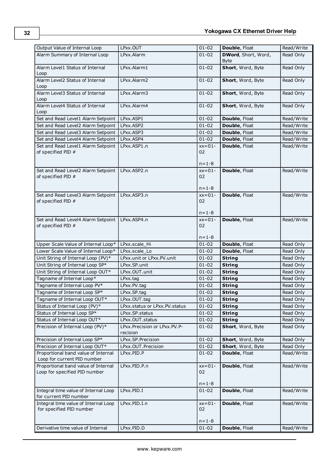| Output Value of Internal Loop                                        | LPxx.OUT                                    | $01 - 02$                     | Double, Float               | Read/Write |
|----------------------------------------------------------------------|---------------------------------------------|-------------------------------|-----------------------------|------------|
| Alarm Summary of Internal Loop                                       | LPxx.Alarm                                  | $01 - 02$                     | <b>DWord</b> , Short, Word, | Read Only  |
|                                                                      |                                             |                               | <b>Byte</b>                 |            |
| Alarm Level1 Status of Internal<br>Loop                              | LPxx.Alarm1                                 | $01 - 02$                     | Short, Word, Byte           | Read Only  |
| Alarm Level2 Status of Internal<br>Loop                              | LPxx.Alarm2                                 | $01 - 02$                     | Short, Word, Byte           | Read Only  |
| Alarm Level3 Status of Internal<br>Loop                              | LPxx.Alarm3                                 | $01 - 02$                     | Short, Word, Byte           | Read Only  |
| Alarm Level4 Status of Internal<br>Loop                              | LPxx.Alarm4                                 | $01 - 02$                     | Short, Word, Byte           | Read Only  |
| Set and Read Level1 Alarm Setpoint                                   | LPxx.ASP1                                   | $01 - 02$                     | Double, Float               | Read/Write |
| Set and Read Level2 Alarm Setpoint                                   | LPxx.ASP2                                   | $01 - 02$                     | Double, Float               | Read/Write |
| Set and Read Level3 Alarm Setpoint                                   | LPxx.ASP3                                   | $01 - 02$                     | Double, Float               | Read/Write |
| Set and Read Level4 Alarm Setpoint                                   | LPxx.ASP4                                   | $01 - 02$                     | Double, Float               | Read/Write |
| Set and Read Level1 Alarm Setpoint<br>of specified PID #             | LPxx.ASP1.n                                 | $xx=01-$<br>02<br>$n = 1 - 8$ | Double, Float               | Read/Write |
| Set and Read Level2 Alarm Setpoint                                   | LPxx.ASP2.n                                 | $xx=01-$                      | Double, Float               | Read/Write |
| of specified PID #                                                   |                                             | 02                            |                             |            |
|                                                                      |                                             |                               |                             |            |
|                                                                      | LPxx.ASP3.n                                 | $n = 1 - 8$<br>$xx=01-$       | Double, Float               | Read/Write |
| Set and Read Level3 Alarm Setpoint<br>of specified PID #             |                                             | 02                            |                             |            |
|                                                                      |                                             |                               |                             |            |
|                                                                      |                                             | $n = 1 - 8$                   |                             |            |
| Set and Read Level4 Alarm Setpoint                                   | LPxx.ASP4.n                                 | $xx=01-$                      | Double, Float               | Read/Write |
| of specified PID #                                                   |                                             | 02                            |                             |            |
|                                                                      |                                             | $n = 1 - 8$                   |                             |            |
| Upper Scale Value of Internal Loop*                                  | LPxx.scale Hi                               | $01 - 02$                     | Double, Float               | Read Only  |
| Lower Scale Value of Internal Loop*                                  | LPxx.scale Lo                               | $01 - 02$                     | Double, Float               | Read Only  |
| Unit String of Internal Loop (PV)*                                   | LPxx.unit or LPxx.PV.unit                   | $01 - 02$                     | <b>String</b>               | Read Only  |
| Unit String of Internal Loop SP*                                     | LPxx.SP.unit                                | $01 - 02$                     | <b>String</b>               | Read Only  |
| Unit String of Internal Loop OUT*                                    | LPxx.OUT.unit                               | $01 - 02$                     | <b>String</b>               | Read Only  |
| Tagname of Internal Loop*                                            | LPxx.tag                                    | $01 - 02$                     | <b>String</b>               | Read Only  |
| Tagname of Internal Loop PV*                                         | LPxx.PV.tag                                 | $01 - 02$                     | <b>String</b>               | Read Only  |
| Tagname of Internal Loop SP*                                         | LPxx.SP.tag                                 | $01 - 02$                     | <b>String</b>               | Read Only  |
| Tagname of Internal Loop OUT*                                        | LPxx.OUT.tag                                | $01 - 02$                     | <b>String</b>               | Read Only  |
| Status of Internal Loop (PV)*                                        | LPxx.status or LPxx.PV.status               | $01 - 02$                     | <b>String</b>               | Read Only  |
| Status of Internal Loop SP*                                          | LPxx.SP.status                              | $01 - 02$                     | <b>String</b>               | Read Only  |
| Status of Internal Loop OUT*                                         | LPxx.OUT.status                             | $01 - 02$                     | <b>String</b>               | Read Only  |
| Precision of Internal Loop (PV)*                                     | LPxx. Precision or LPxx. PV. P-<br>recision | $01 - 02$                     | Short, Word, Byte           | Read Only  |
| Precision of Internal Loop SP*                                       | LPxx.SP.Precision                           | $01 - 02$                     | Short, Word, Byte           | Read Only  |
| Precision of Internal Loop OUT*                                      | LPxx.OUT.Precision                          | $01 - 02$                     | Short, Word, Byte           | Read Only  |
| Proportional band value of Internal<br>Loop for current PID number   | LPxx.PID.P                                  | $01 - 02$                     | Double, Float               | Read/Write |
| Proportional band value of Internal<br>Loop for specified PID number | LPxx.PID.P.n                                | $xx=01-$<br>02<br>$n = 1 - 8$ | Double, Float               | Read/Write |
| Integral time value of Internal Loop<br>for current PID number       | LPxx.PID.I                                  | 01-02                         | Double, Float               | Read/Write |
| Integral time value of Internal Loop<br>for specified PID number     | LPxx.PID.I.n                                | $xx=01-$<br>02                | Double, Float               | Read/Write |
| Derivative time value of Internal                                    | LPxx.PID.D                                  | $n = 1 - 8$<br>$01 - 02$      | Double, Float               |            |
|                                                                      |                                             |                               |                             | Read/Write |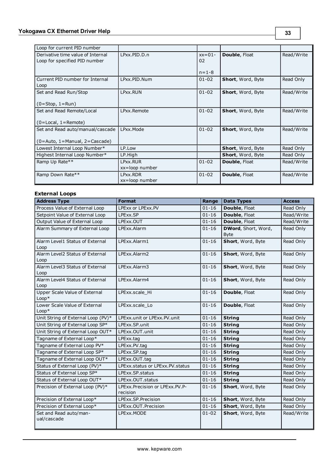| Loop for current PID number                                        |                            |                |                      |            |
|--------------------------------------------------------------------|----------------------------|----------------|----------------------|------------|
| Derivative time value of Internal<br>Loop for specified PID number | LPxx.PID.D.n               | $xx=01-$<br>02 | Double, Float        | Read/Write |
|                                                                    |                            | $n = 1 - 8$    |                      |            |
| Current PID number for Internal<br>Loop                            | LPxx.PID.Num               | $01 - 02$      | Short, Word, Byte    | Read Only  |
| Set and Read Run/Stop                                              | LPxx.RUN                   | $01 - 02$      | Short, Word, Byte    | Read/Write |
| $(0=Stop, 1=Run)$                                                  |                            |                |                      |            |
| Set and Read Remote/Local                                          | LPxx.Remote                | $01 - 02$      | Short, Word, Byte    | Read/Write |
| $(0 = Local, 1 = Remote)$                                          |                            |                |                      |            |
| Set and Read auto/manual/cascade                                   | LPxx.Mode                  | $01 - 02$      | Short, Word, Byte    | Read/Write |
| $(0 = Auto, 1 = Manual, 2 = Cascade)$                              |                            |                |                      |            |
| Lowest Internal Loop Number*                                       | LP.Low                     |                | Short, Word, Byte    | Read Only  |
| Highest Internal Loop Number*                                      | LP.High                    |                | Short, Word, Byte    | Read Only  |
| Ramp Up Rate**                                                     | LPxx.RUR                   | $01 - 02$      | <b>Double, Float</b> | Read/Write |
|                                                                    | xx=loop number             |                |                      |            |
| Ramp Down Rate**                                                   | LPxx.RDR<br>xx=loop number | $01 - 02$      | Double, Float        | Read/Write |

# **External Loops**

| <b>Address Type</b>                      | <b>Format</b>                                 | Range     | <b>Data Types</b>                  | <b>Access</b> |
|------------------------------------------|-----------------------------------------------|-----------|------------------------------------|---------------|
| Process Value of External Loop           | LPExx or LPExx.PV                             | $01 - 16$ | Double, Float                      | Read Only     |
| Setpoint Value of External Loop          | LPExx.SP                                      | $01 - 16$ | Double, Float                      | Read/Write    |
| Output Value of External Loop            | LPExx.OUT                                     | $01 - 16$ | Double, Float                      | Read/Write    |
| Alarm Summary of External Loop           | LPExx.Alarm                                   | $01 - 16$ | DWord, Short, Word,<br><b>Byte</b> | Read Only     |
| Alarm Level1 Status of External<br>Loop  | LPExx.Alarm1                                  | $01 - 16$ | Short, Word, Byte                  | Read Only     |
| Alarm Level2 Status of External<br>Loop  | LPExx.Alarm2                                  | $01 - 16$ | Short, Word, Byte                  | Read Only     |
| Alarm Level3 Status of External<br>Loop  | LPExx.Alarm3                                  | $01 - 16$ | Short, Word, Byte                  | Read Only     |
| Alarm Level4 Status of External<br>Loop  | LPExx.Alarm4                                  | $01 - 16$ | Short, Word, Byte                  | Read Only     |
| Upper Scale Value of External<br>$Loop*$ | LPExx.scale_Hi                                | $01 - 16$ | Double, Float                      | Read Only     |
| Lower Scale Value of External<br>$Loop*$ | LPExx.scale Lo                                | $01 - 16$ | Double, Float                      | Read Only     |
| Unit String of External Loop (PV)*       | LPExx.unit or LPExx.PV.unit                   | $01 - 16$ | <b>String</b>                      | Read Only     |
| Unit String of External Loop SP*         | LPExx.SP.unit                                 | $01 - 16$ | <b>String</b>                      | Read Only     |
| Unit String of External Loop OUT*        | LPExx.OUT.unit                                | $01 - 16$ | <b>String</b>                      | Read Only     |
| Tagname of External Loop*                | LPExx.tag                                     | $01 - 16$ | <b>String</b>                      | Read Only     |
| Tagname of External Loop PV*             | LPExx.PV.tag                                  | $01 - 16$ | <b>String</b>                      | Read Only     |
| Tagname of External Loop SP*             | LPExx.SP.tag                                  | $01 - 16$ | <b>String</b>                      | Read Only     |
| Tagname of External Loop OUT*            | LPExx.OUT.tag                                 | $01 - 16$ | <b>String</b>                      | Read Only     |
| Status of External Loop (PV)*            | LPExx.status or LPExx.PV.status               | $01 - 16$ | <b>String</b>                      | Read Only     |
| Status of External Loop SP*              | LPExx.SP.status                               | $01 - 16$ | <b>String</b>                      | Read Only     |
| Status of External Loop OUT*             | LPExx.OUT.status                              | $01 - 16$ | <b>String</b>                      | Read Only     |
| Precision of External Loop (PV)*         | LPExx. Precision or LPExx. PV. P-<br>recision | $01 - 16$ | Short, Word, Byte                  | Read Only     |
| Precision of External Loop*              | LPExx.SP.Precision                            | $01 - 16$ | Short, Word, Byte                  | Read Only     |
| Precision of External Loop*              | LPExx.OUT.Precision                           | $01 - 16$ | Short, Word, Byte                  | Read Only     |
| Set and Read auto/man-<br>ual/cascade    | LPExx.MODE                                    | $01 - 02$ | Short, Word, Byte                  | Read/Write    |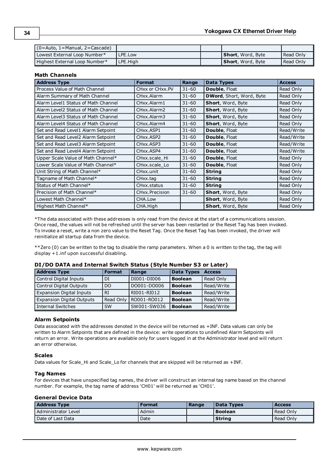| l (0=Auto, 1=Manual, 2=Cascade). |          |                           |           |
|----------------------------------|----------|---------------------------|-----------|
| Lowest External Loop Number*     | PE.Low_  | <b>Short</b> , Word, Byte | Read Only |
| Highest External Loop Number*    | LPE.Hiah | <b>Short</b> , Word, Byte | Read Only |

#### **Math Channels**

| <b>Address Type</b>                 | <b>Format</b>           | Range     | <b>Data Types</b>        | <b>Access</b> |
|-------------------------------------|-------------------------|-----------|--------------------------|---------------|
| Process Value of Math Channel       | CHxx or CHxx.PV         | $31 - 60$ | <b>Double, Float</b>     | Read Only     |
| Alarm Summary of Math Channel       | CHxx.Alarm              | $31 - 60$ | DWord, Short, Word, Byte | Read Only     |
| Alarm Level1 Status of Math Channel | CHxx.Alarm1             | $31 - 60$ | Short, Word, Byte        | Read Only     |
| Alarm Level2 Status of Math Channel | CHxx.Alarm2             | $31 - 60$ | Short, Word, Byte        | Read Only     |
| Alarm Level3 Status of Math Channel | CHxx.Alarm3             | $31 - 60$ | Short, Word, Byte        | Read Only     |
| Alarm Level4 Status of Math Channel | CHxx.Alarm4             | $31 - 60$ | Short, Word, Byte        | Read Only     |
| Set and Read Level1 Alarm Setpoint  | CHxx.ASP1               | $31 - 60$ | <b>Double, Float</b>     | Read/Write    |
| Set and Read Level2 Alarm Setpoint  | CHxx.ASP2               | $31 - 60$ | <b>Double, Float</b>     | Read/Write    |
| Set and Read Level3 Alarm Setpoint  | CH <sub>xx</sub> , ASP3 | $31 - 60$ | <b>Double, Float</b>     | Read/Write    |
| Set and Read Level4 Alarm Setpoint  | CHxx.ASP4               | $31 - 60$ | <b>Double, Float</b>     | Read/Write    |
| Upper Scale Value of Math Channel*  | CHxx.scale_Hi           | $31 - 60$ | <b>Double, Float</b>     | Read Only     |
| Lower Scale Value of Math Channel*  | CHxx.scale Lo           | $31 - 60$ | <b>Double, Float</b>     | Read Only     |
| Unit String of Math Channel*        | CHxx.unit               | $31 - 60$ | <b>String</b>            | Read Only     |
| Tagname of Math Channel*            | CHxx.tag                | $31 - 60$ | <b>String</b>            | Read Only     |
| Status of Math Channel*             | CHxx.status             | $31 - 60$ | <b>String</b>            | Read Only     |
| Precision of Math Channel*          | CHxx.Precision          | $31 - 60$ | Short, Word, Byte        | Read Only     |
| Lowest Math Channel*                | CHA.Low                 |           | Short, Word, Byte        | Read Only     |
| Highest Math Channel*               | CHA.High                |           | Short, Word, Byte        | Read Only     |

\*The data associated with these addresses is only read from the device at the start of a communications session. Once read, the values will not be refreshed until the server has been restarted or the Reset Tag has been invoked. To invoke a reset, write a non zero value to the Reset Tag. Once the Reset Tag has been invoked, the driver will reinitialize all startup data from the device.

\*\*Zero (0) can be written to the tag to disable the ramp parameters. When a 0 is written to the tag, the tag will display +1.inf upon successful disabling.

| <b>Address Type</b>              | <b>Format</b> | Range       | <b>Data Types</b> | <b>Access</b> |
|----------------------------------|---------------|-------------|-------------------|---------------|
| Control Digital Inputs           | DI            | DI001-DI006 | <b>Boolean</b>    | Read Only     |
| Control Digital Outputs          | DO            | DO001-DO006 | <b>Boolean</b>    | Read/Write    |
| <b>Expansion Digital Inputs</b>  | RI            | RI001-RI012 | <b>Boolean</b>    | Read/Write    |
| <b>Expansion Digital Outputs</b> | Read Only     | RO001-RO012 | <b>Boolean</b>    | Read/Write    |
| <b>Internal Switches</b>         | <b>SW</b>     | SW001-SW036 | <b>Boolean</b>    | Read/Write    |

## **DI/DO DATA and Internal Switch Status (Style Number S3 or Later)**

#### **Alarm Setpoints**

Data associated with the addresses denoted in the device will be returned as +INF. Data values can only be written to Alarm Setpoints that are defined in the device: write operations to undefined Alarm Setpoints will return an error. Write operations are available only for users logged in at the Administrator level and will return an error otherwise.

#### **Scales**

Data values for Scale\_Hi and Scale\_Lo for channels that are skipped will be returned as +INF.

#### **Tag Names**

For devices that have unspecified tag names, the driver will construct an internal tag name based on the channel number. For example, the tag name of address 'CH01' will be returned as 'CH01'.

#### **General Device Data**

| <b>Address Type</b> | Format | Range | Data Types | <b>Access</b> |
|---------------------|--------|-------|------------|---------------|
| Administrator Level | Admin  |       | Boolean    | Read Only     |
| l Date of Last Data | Date   |       | String     | Read Only     |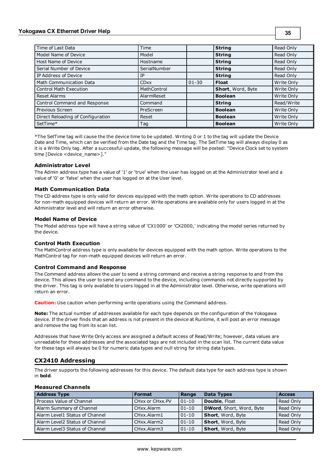# **Yokogawa CX Ethernet Driver Help**

| Time of Last Data                 | Time         |           | <b>String</b>     | Read Only  |
|-----------------------------------|--------------|-----------|-------------------|------------|
| Model Name of Device              | Model        |           | <b>String</b>     | Read Only  |
| Host Name of Device               | Hostname     |           | <b>String</b>     | Read Only  |
| Serial Number of Device           | SerialNumber |           | <b>String</b>     | Read Only  |
| IP Address of Device              | IP           |           | <b>String</b>     | Read Only  |
| Math Communication Data           | <b>CDxx</b>  | $01 - 30$ | <b>Float</b>      | Write Only |
| <b>Control Math Execution</b>     | MathControl  |           | Short, Word, Byte | Write Only |
| <b>Reset Alarms</b>               | AlarmReset   |           | <b>Boolean</b>    | Write Only |
| Control Command and Response      | Command      |           | <b>String</b>     | Read/Write |
| Previous Screen                   | PreScreen    |           | <b>Boolean</b>    | Write Only |
| Direct Reloading of Configuration | Reset        |           | <b>Boolean</b>    | Write Only |
| SetTime*                          | Tag          |           | <b>Boolean</b>    | Write Only |

\*The SetTime tag will cause the the device time to be updated. Writing 0 or 1 to the tag will update the Device Date and Time, which can be verified from the Date tag and the Time tag. The SetTime tag will always display 0 as it is a Write Only tag. After a successful update, the following message will be posted: "Device Clock set to system time [Device <device\_name>]."

#### **Administrator Level**

The Admin address type has a value of '1' or 'true' when the user has logged on at the Administrator level and a value of '0' or 'false' when the user has logged on at the User level.

#### **Math Communication Data**

The CD address type is only valid for devices equipped with the math option. Write operations to CD addresses for non-math equipped devices will return an error. Write operations are available only for users logged in at the Administrator level and will return an error otherwise.

#### **Model Name of Device**

The Model address type will have a string value of 'CX1000' or 'CX2000,' indicating the model series returned by the device.

#### **Control Math Execution**

The MathControl address type is only available for devices equipped with the math option. Write operations to the MathControl tag for non-math equipped devices will return an error.

#### **Control Command and Response**

The Command address allows the user to send a string command and receive a string response to and from the device. This allows the user to send any command to the device, including commands not directly supported by the driver. This tag is only available to users logged in at the Administrator level. Otherwise, write operations will return an error.

**Caution:** Use caution when performing write operations using the Command address.

**Note:** The actual number of addresses available for each type depends on the configuration of the Yokogawa device. If the driver finds that an address is not present in the device at Runtime, it will post an error message and remove the tag from its scan list.

Addresses that have Write Only access are assigned a default access of Read/Write; however, data values are unreadable for these addresses and the associated tags are not included in the scan list. The current data value for these tags will always be 0 for numeric data types and null string for string data types.

# <span id="page-33-0"></span>**CX2410 Addressing**

The driver supports the following addresses for this device. The default data type for each address type is shown in **bold**.

#### **Measured Channels**

| <b>Address Type</b>            | <b>Format</b>   | Range     | <b>Data Types</b>        | <b>Access</b> |
|--------------------------------|-----------------|-----------|--------------------------|---------------|
| Process Value of Channel       | CHxx or CHxx.PV | $ 01-10 $ | Double, Float            | Read Only     |
| Alarm Summary of Channel       | CHxx.Alarm      | $01 - 10$ | DWord, Short, Word, Byte | Read Only     |
| Alarm Level1 Status of Channel | CHxx.Alarm1     | $01-10$   | Short, Word, Byte        | Read Only     |
| Alarm Level2 Status of Channel | CHxx.Alarm2     | $01-10$   | Short, Word, Byte        | Read Only     |
| Alarm Level3 Status of Channel | CHxx.Alarm3     | $01-10$   | Short, Word, Byte        | Read Only     |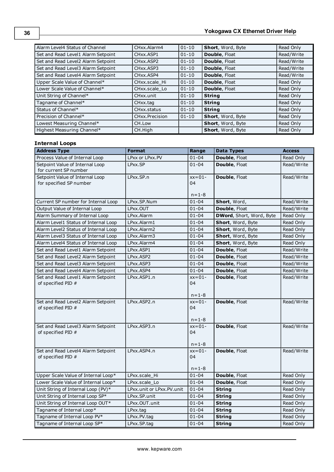| Alarm Level4 Status of Channel     | CHxx.Alarm4                        | $01 - 10$ | Short, Word, Byte        | Read Only  |
|------------------------------------|------------------------------------|-----------|--------------------------|------------|
| Set and Read Level1 Alarm Setpoint | CH <sub>xx</sub> ASP <sub>1</sub>  | $01 - 10$ | <b>Double, Float</b>     | Read/Write |
| Set and Read Level2 Alarm Setpoint | CH <sub>xx</sub> .ASP <sub>2</sub> | $01 - 10$ | Double, Float            | Read/Write |
| Set and Read Level3 Alarm Setpoint | CH <sub>xx</sub> .ASP3             | $01 - 10$ | Double, Float            | Read/Write |
| Set and Read Level4 Alarm Setpoint | CH <sub>xx</sub> , ASP4            | $01 - 10$ | Double, Float            | Read/Write |
| Upper Scale Value of Channel*      | CHxx.scale Hi                      | $01 - 10$ | Double, Float            | Read Only  |
| Lower Scale Value of Channel*      | CHxx.scale Lo                      | $01 - 10$ | Double, Float            | Read Only  |
| Unit String of Channel*            | CHxx.unit                          | $01 - 10$ | <b>String</b>            | Read Only  |
| Tagname of Channel*                | CHxx.tag                           | $01 - 10$ | <b>String</b>            | Read Only  |
| Status of Channel*                 | CH <sub>xx</sub> .status           | $01 - 10$ | <b>String</b>            | Read Only  |
| Precision of Channel*              | CHxx.Precision                     | $01 - 10$ | <b>Short, Word, Byte</b> | Read Only  |
| Lowest Measuring Channel*          | CH.Low                             |           | Short, Word, Byte        | Read Only  |
| Highest Measuring Channel*         | CH.High                            |           | Short, Word, Byte        | Read Only  |

# **Internal Loops**

| <b>Address Type</b>                                        | <b>Format</b>             | Range                         | <b>Data Types</b>        | <b>Access</b> |
|------------------------------------------------------------|---------------------------|-------------------------------|--------------------------|---------------|
| Process Value of Internal Loop                             | LPxx or LPxx.PV           | $01 - 04$                     | Double, Float            | Read Only     |
| Setpoint Value of Internal Loop<br>for current SP number   | LPxx.SP                   | $01 - 04$                     | Double, Float            | Read/Write    |
| Setpoint Value of Internal Loop<br>for specified SP number | LPxx.SP.n                 | $xx=01-$<br>04<br>$n = 1 - 8$ | Double, Float            | Read/Write    |
| Current SP number for Internal Loop                        | LPxx.SP.Num               | $01 - 04$                     | Short, Word,             | Read/Write    |
| Output Value of Internal Loop                              | LPxx.OUT                  | $01 - 04$                     | Double, Float            | Read/Write    |
| Alarm Summary of Internal Loop                             | LPxx.Alarm                | $01 - 04$                     | DWord, Short, Word, Byte | Read Only     |
| Alarm Level1 Status of Internal Loop                       | LPxx.Alarm1               | $01 - 04$                     | Short, Word, Byte        | Read Only     |
| Alarm Level2 Status of Internal Loop                       | LPxx.Alarm2               | $01 - 04$                     | Short, Word, Byte        | Read Only     |
| Alarm Level3 Status of Internal Loop                       | LPxx.Alarm3               | 01-04                         | Short, Word, Byte        | Read Only     |
| Alarm Level4 Status of Internal Loop                       | LPxx.Alarm4               | $01 - 04$                     | Short, Word, Byte        | Read Only     |
| Set and Read Level1 Alarm Setpoint                         | LPxx.ASP1                 | $01 - 04$                     | Double, Float            | Read/Write    |
| Set and Read Level2 Alarm Setpoint                         | LPxx.ASP2                 | $01 - 04$                     | Double, Float            | Read/Write    |
| Set and Read Level3 Alarm Setpoint                         | LPxx.ASP3                 | $01 - 04$                     | Double, Float            | Read/Write    |
| Set and Read Level4 Alarm Setpoint                         | LPxx.ASP4                 | $01 - 04$                     | Double, Float            | Read/Write    |
| Set and Read Level1 Alarm Setpoint<br>of specified PID #   | LPxx.ASP1.n               | $xx=01-$<br>04<br>$n = 1 - 8$ | Double, Float            | Read/Write    |
| Set and Read Level2 Alarm Setpoint<br>of specified PID #   | LPxx.ASP2.n               | $xx=01-$<br>04<br>$n = 1 - 8$ | Double, Float            | Read/Write    |
| Set and Read Level3 Alarm Setpoint<br>of specified PID #   | LPxx.ASP3.n               | $xx=01-$<br>04<br>$n = 1 - 8$ | Double, Float            | Read/Write    |
| Set and Read Level4 Alarm Setpoint<br>of specified PID #   | LPxx.ASP4.n               | $xx=01-$<br>04<br>$n = 1 - 8$ | Double, Float            | Read/Write    |
| Upper Scale Value of Internal Loop*                        | LPxx.scale Hi             | $01 - 04$                     | Double, Float            | Read Only     |
| Lower Scale Value of Internal Loop*                        | LPxx.scale Lo             | $01 - 04$                     | Double, Float            | Read Only     |
| Unit String of Internal Loop (PV)*                         | LPxx.unit or LPxx.PV.unit | $01 - 04$                     | <b>String</b>            | Read Only     |
| Unit String of Internal Loop SP*                           | LPxx.SP.unit              | $01 - 04$                     | <b>String</b>            | Read Only     |
| Unit String of Internal Loop OUT*                          | LPxx.OUT.unit             | $01 - 04$                     | <b>String</b>            | Read Only     |
| Tagname of Internal Loop*                                  | LPxx.tag                  | $01 - 04$                     | <b>String</b>            | Read Only     |
| Tagname of Internal Loop PV*                               | LPxx.PV.tag               | $01 - 04$                     | <b>String</b>            | Read Only     |
| Tagname of Internal Loop SP*                               | LPxx.SP.tag               | $01 - 04$                     | <b>String</b>            | Read Only     |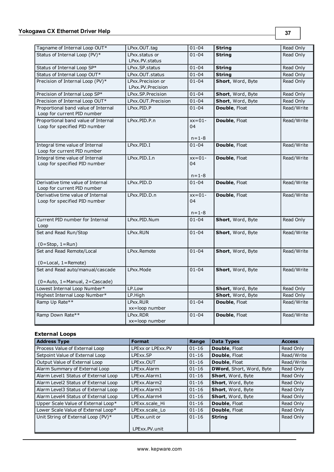| Tagname of Internal Loop OUT*                                        | LPxx.OUT.tag                           | $01 - 04$      | <b>String</b>        | Read Only  |
|----------------------------------------------------------------------|----------------------------------------|----------------|----------------------|------------|
| Status of Internal Loop (PV)*                                        | LPxx.status or                         | $01 - 04$      | <b>String</b>        | Read Only  |
|                                                                      | LPxx.PV.status                         |                |                      |            |
| Status of Internal Loop SP*                                          | LPxx.SP.status                         | $01 - 04$      | <b>String</b>        | Read Only  |
| Status of Internal Loop OUT*                                         | LPxx.OUT.status                        | $01 - 04$      | <b>String</b>        | Read Only  |
| Precision of Internal Loop (PV)*                                     | LPxx.Precision or<br>LPxx.PV.Precision | $01 - 04$      | Short, Word, Byte    | Read Only  |
| Precision of Internal Loop SP*                                       | LPxx.SP.Precision                      | $01 - 04$      | Short, Word, Byte    | Read Only  |
| Precision of Internal Loop OUT*                                      | LPxx.OUT.Precision                     | $01 - 04$      | Short, Word, Byte    | Read Only  |
| Proportional band value of Internal<br>Loop for current PID number   | LPxx.PID.P                             | $01 - 04$      | <b>Double, Float</b> | Read/Write |
| Proportional band value of Internal<br>Loop for specified PID number | LPxx.PID.P.n                           | $xx=01-$<br>04 | Double, Float        | Read/Write |
|                                                                      |                                        | $n = 1 - 8$    |                      |            |
| Integral time value of Internal<br>Loop for current PID number       | LPxx.PID.I                             | $01 - 04$      | Double, Float        | Read/Write |
| Integral time value of Internal                                      | LPxx.PID.I.n                           | $xx=01-$       | Double, Float        | Read/Write |
| Loop for specified PID number                                        |                                        | 04             |                      |            |
|                                                                      |                                        |                |                      |            |
|                                                                      |                                        | $n = 1 - 8$    |                      |            |
| Derivative time value of Internal<br>Loop for current PID number     | LPxx.PID.D                             | $01 - 04$      | Double, Float        | Read/Write |
| Derivative time value of Internal                                    | LPxx.PID.D.n                           | $xx=01-$       | Double, Float        | Read/Write |
| Loop for specified PID number                                        |                                        | 04             |                      |            |
|                                                                      |                                        |                |                      |            |
|                                                                      |                                        | $n = 1 - 8$    |                      |            |
| Current PID number for Internal                                      | LPxx.PID.Num                           | $01 - 04$      | Short, Word, Byte    | Read Only  |
| Loop                                                                 |                                        |                |                      |            |
| Set and Read Run/Stop                                                | LPxx.RUN                               | $01 - 04$      | Short, Word, Byte    | Read/Write |
|                                                                      |                                        |                |                      |            |
| $(0 = Stop, 1 = Run)$                                                |                                        |                |                      |            |
| Set and Read Remote/Local                                            | LPxx.Remote                            | $01 - 04$      | Short, Word, Byte    | Read/Write |
| $(0 = Local, 1 = Remote)$                                            |                                        |                |                      |            |
| Set and Read auto/manual/cascade                                     | LPxx.Mode                              | $01 - 04$      | Short, Word, Byte    | Read/Write |
|                                                                      |                                        |                |                      |            |
| (0=Auto, 1=Manual, 2=Cascade)                                        |                                        |                |                      |            |
| Lowest Internal Loop Number*                                         | LP.Low                                 |                | Short, Word, Byte    | Read Only  |
| Highest Internal Loop Number*                                        | LP.High                                |                | Short, Word, Byte    | Read Only  |
| Ramp Up Rate**                                                       | LPxx.RUR                               | $01 - 04$      | <b>Double, Float</b> | Read/Write |
|                                                                      | xx=loop number                         |                |                      |            |
| Ramp Down Rate**                                                     | LPxx.RDR<br>xx=loop number             | $01 - 04$      | Double, Float        | Read/Write |

# **External Loops**

| <b>Address Type</b>                  | <b>Format</b>     | Range     | <b>Data Types</b>        | <b>Access</b> |
|--------------------------------------|-------------------|-----------|--------------------------|---------------|
| Process Value of External Loop       | LPExx or LPExx.PV | $01 - 16$ | Double, Float            | Read Only     |
| Setpoint Value of External Loop      | LPExx.SP          | $01 - 16$ | Double, Float            | Read/Write    |
| Output Value of External Loop        | LPExx.OUT         | $01 - 16$ | Double, Float            | Read/Write    |
| Alarm Summary of External Loop       | LPExx.Alarm       | $01 - 16$ | DWord, Short, Word, Byte | Read Only     |
| Alarm Level1 Status of External Loop | LPExx.Alarm1      | $01 - 16$ | Short, Word, Byte        | Read Only     |
| Alarm Level2 Status of External Loop | LPExx.Alarm2      | $01 - 16$ | <b>Short, Word, Byte</b> | Read Only     |
| Alarm Level3 Status of External Loop | LPExx.Alarm3      | $01 - 16$ | Short, Word, Byte        | Read Only     |
| Alarm Level4 Status of External Loop | LPExx.Alarm4      | $01 - 16$ | Short, Word, Byte        | Read Only     |
| Upper Scale Value of External Loop*  | LPExx.scale Hi    | $01 - 16$ | Double, Float            | Read Only     |
| Lower Scale Value of External Loop*  | LPExx.scale Lo    | $01 - 16$ | <b>Double, Float</b>     | Read Only     |
| Unit String of External Loop (PV)*   | LPExx unit or     | $01 - 16$ | <b>String</b>            | Read Only     |
|                                      | LPExx.PV.unit     |           |                          |               |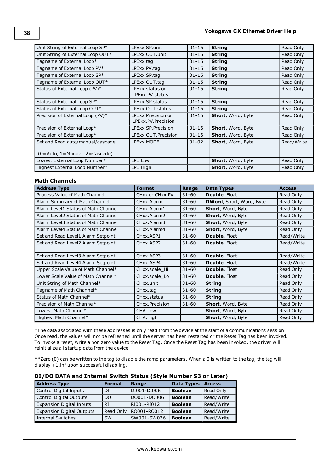| Unit String of External Loop SP*                                          | LPExx.SP.unit                            | $01 - 16$ | <b>String</b>     | Read Only  |
|---------------------------------------------------------------------------|------------------------------------------|-----------|-------------------|------------|
| Unit String of External Loop OUT*                                         | LPExx.OUT.unit                           | $01 - 16$ | <b>String</b>     | Read Only  |
| Tagname of External Loop*                                                 | LPExx.tag                                | $01 - 16$ | <b>String</b>     | Read Only  |
| Tagname of External Loop PV*                                              | LPExx.PV.tag                             | $01 - 16$ | <b>String</b>     | Read Only  |
| Tagname of External Loop SP*                                              | LPExx.SP.tag                             | $01 - 16$ | <b>String</b>     | Read Only  |
| Tagname of External Loop OUT*                                             | LPExx.OUT.tag                            | $01 - 16$ | <b>String</b>     | Read Only  |
| Status of External Loop (PV)*                                             | LPExx.status.or<br>LPExx.PV.status       | $01 - 16$ | <b>String</b>     | Read Only  |
| Status of External Loop SP*                                               | LPExx.SP.status                          | $01 - 16$ | <b>String</b>     | Read Only  |
| Status of External Loop OUT*                                              | LPExx.OUT.status                         | $01 - 16$ | <b>String</b>     | Read Only  |
| Precision of External Loop (PV)*                                          | LPExx.Precision or<br>LPExx.PV.Precision | $01 - 16$ | Short, Word, Byte | Read Only  |
| Precision of External Loop*                                               | LPExx.SP.Precision                       | $01 - 16$ | Short, Word, Byte | Read Only  |
| Precision of External Loop*                                               | LPExx.OUT.Precision                      | $01 - 16$ | Short, Word, Byte | Read Only  |
| Set and Read auto/manual/cascade<br>$(0 = Auto, 1 = Manual, 2 = Cascade)$ | LPExx.MODE                               | $01 - 02$ | Short, Word, Byte | Read/Write |
| Lowest External Loop Number*                                              | LPE.Low                                  |           | Short, Word, Byte | Read Only  |
| Highest External Loop Number*                                             | LPE.High                                 |           | Short, Word, Byte | Read Only  |

# **Math Channels**

| <b>Address Type</b>                 | <b>Format</b>                       | Range     | <b>Data Types</b>        | <b>Access</b> |
|-------------------------------------|-------------------------------------|-----------|--------------------------|---------------|
| Process Value of Math Channel       | CHxx or CHxx.PV                     | $31 - 60$ | Double, Float            | Read Only     |
| Alarm Summary of Math Channel       | CHxx.Alarm                          | $31 - 60$ | DWord, Short, Word, Byte | Read Only     |
| Alarm Level1 Status of Math Channel | CHxx.Alarm1                         | $31 - 60$ | Short, Word, Byte        | Read Only     |
| Alarm Level2 Status of Math Channel | CHxx.Alarm2                         | $31 - 60$ | Short, Word, Byte        | Read Only     |
| Alarm Level3 Status of Math Channel | CHxx.Alarm3                         | $31 - 60$ | Short, Word, Byte        | Read Only     |
| Alarm Level4 Status of Math Channel | CHxx.Alarm4                         | $31 - 60$ | Short, Word, Byte        | Read Only     |
| Set and Read Level1 Alarm Setpoint  | CH <sub>xx</sub> , ASP <sub>1</sub> | $31 - 60$ | <b>Double, Float</b>     | Read/Write    |
| Set and Read Level2 Alarm Setpoint  | CH <sub>xx</sub> , ASP <sub>2</sub> | $31 - 60$ | <b>Double, Float</b>     | Read/Write    |
| Set and Read Level3 Alarm Setpoint  | CHxx.ASP3                           | $31 - 60$ | <b>Double, Float</b>     | Read/Write    |
| Set and Read Level4 Alarm Setpoint  | CH <sub>xx</sub> , ASP4             | $31 - 60$ | Double, Float            | Read/Write    |
| Upper Scale Value of Math Channel*  | CHxx.scale Hi                       | $31 - 60$ | Double, Float            | Read Only     |
| Lower Scale Value of Math Channel*  | CHxx.scale_Lo                       | $31 - 60$ | <b>Double, Float</b>     | Read Only     |
| Unit String of Math Channel*        | CHxx.unit                           | $31 - 60$ | <b>String</b>            | Read Only     |
| Tagname of Math Channel*            | CHxx.tag                            | $31 - 60$ | <b>String</b>            | Read Only     |
| Status of Math Channel*             | CHxx.status                         | $31 - 60$ | <b>String</b>            | Read Only     |
| Precision of Math Channel*          | CHxx.Precision                      | $31 - 60$ | Short, Word, Byte        | Read Only     |
| Lowest Math Channel*                | CHA.Low                             |           | Short, Word, Byte        | Read Only     |
| Highest Math Channel*               | CHA.High                            |           | Short, Word, Byte        | Read Only     |

\*The data associated with these addresses is only read from the device at the start of a communications session. Once read, the values will not be refreshed until the server has been restarted or the Reset Tag has been invoked. To invoke a reset, write a non zero value to the Reset Tag. Once the Reset Tag has been invoked, the driver will reinitialize all startup data from the device.

\*\*Zero (0) can be written to the tag to disable the ramp parameters. When a 0 is written to the tag, the tag will display +1.inf upon successful disabling.

| <b>Address Type</b>              | <b>Format</b>  | Range       | <b>Data Types</b> | <b>Access</b> |
|----------------------------------|----------------|-------------|-------------------|---------------|
| Control Digital Inputs           | DI             | DI001-DI006 | <b>Boolean</b>    | Read Only     |
| <b>Control Digital Outputs</b>   | D <sub>O</sub> | DO001-DO006 | <b>Boolean</b>    | Read/Write    |
| <b>Expansion Digital Inputs</b>  | <b>RI</b>      | RI001-RI012 | <b>Boolean</b>    | Read/Write    |
| <b>Expansion Digital Outputs</b> | Read Only      | RO001-RO012 | <b>Boolean</b>    | Read/Write    |
| <b>Internal Switches</b>         | <b>SW</b>      | SW001-SW036 | <b>Boolean</b>    | Read/Write    |

#### **DI/DO DATA and Internal Switch Status (Style Number S3 or Later)**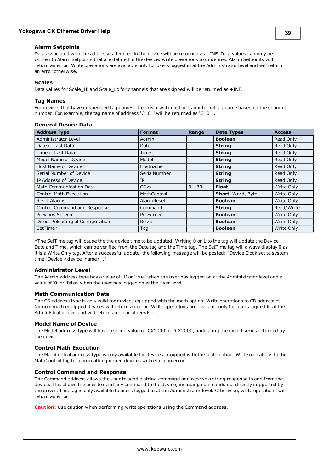#### **Alarm Setpoints**

Data associated with the addresses denoted in the device will be returned as +INF. Data values can only be written to Alarm Setpoints that are defined in the device: write operations to undefined Alarm Setpoints will return an error. Write operations are available only for users logged in at the Administrator level and will return an error otherwise.

#### **Scales**

Data values for Scale\_Hi and Scale\_Lo for channels that are skipped will be returned as +INF.

#### **Tag Names**

For devices that have unspecified tag names, the driver will construct an internal tag name based on the channel number. For example, the tag name of address 'CH01' will be returned as 'CH01'.

| <b>General Device Data</b> |  |  |
|----------------------------|--|--|
|----------------------------|--|--|

| <b>Address Type</b>               | <b>Format</b> | Range     | <b>Data Types</b> | <b>Access</b> |
|-----------------------------------|---------------|-----------|-------------------|---------------|
| Administrator Level               | Admin         |           | <b>Boolean</b>    | Read Only     |
| Date of Last Data                 | Date          |           | <b>String</b>     | Read Only     |
| Time of Last Data                 | Time          |           | <b>String</b>     | Read Only     |
| Model Name of Device              | Model         |           | <b>String</b>     | Read Only     |
| Host Name of Device               | Hostname      |           | <b>String</b>     | Read Only     |
| Serial Number of Device           | SerialNumber  |           | <b>String</b>     | Read Only     |
| IP Address of Device              | IP            |           | <b>String</b>     | Read Only     |
| <b>Math Communication Data</b>    | <b>CDxx</b>   | $01 - 30$ | <b>Float</b>      | Write Only    |
| <b>Control Math Execution</b>     | MathControl   |           | Short, Word, Byte | Write Only    |
| <b>Reset Alarms</b>               | AlarmReset    |           | <b>Boolean</b>    | Write Only    |
| Control Command and Response      | Command       |           | <b>String</b>     | Read/Write    |
| Previous Screen                   | PreScreen     |           | <b>Boolean</b>    | Write Only    |
| Direct Reloading of Configuration | Reset         |           | <b>Boolean</b>    | Write Only    |
| SetTime*                          | Tag           |           | <b>Boolean</b>    | Write Only    |

\*The SetTime tag will cause the the device time to be updated. Writing 0 or 1 to the tag will update the Device Date and Time, which can be verified from the Date tag and the Time tag. The SetTime tag will always display 0 as it is a Write Only tag. After a successful update, the following message will be posted: "Device Clock set to system time [Device <device\_name>]."

#### **Administrator Level**

The Admin address type has a value of '1' or 'true' when the user has logged on at the Administrator level and a value of '0' or 'false' when the user has logged on at the User level.

#### **Math Communication Data**

The CD address type is only valid for devices equipped with the math option. Write operations to CD addresses for non-math equipped devices will return an error. Write operations are available only for users logged in at the Administrator level and will return an error otherwise.

#### **Model Name of Device**

The Model address type will have a string value of 'CX1000' or 'CX2000,' indicating the model series returned by the device.

#### **Control Math Execution**

The MathControl address type is only available for devices equipped with the math option. Write operations to the MathControl tag for non-math equipped devices will return an error.

#### **Control Command and Response**

The Command address allows the user to send a string command and receive a string response to and from the device. This allows the user to send any command to the device, including commands not directly supported by the driver. This tag is only available to users logged in at the Administrator level. Otherwise, write operations will return an error.

**Caution:** Use caution when performing write operations using the Command address.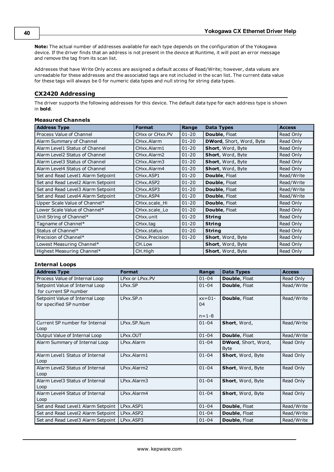**Note:** The actual number of addresses available for each type depends on the configuration of the Yokogawa device. If the driver finds that an address is not present in the device at Runtime, it will post an error message and remove the tag from its scan list.

Addresses that have Write Only access are assigned a default access of Read/Write; however, data values are unreadable for these addresses and the associated tags are not included in the scan list. The current data value for these tags will always be 0 for numeric data types and null string for string data types.

# <span id="page-38-0"></span>**CX2420 Addressing**

The driver supports the following addresses for this device. The default data type for each address type is shown in **bold**.

# **Measured Channels**

| <b>Address Type</b>                | <b>Format</b>                       | Range     | <b>Data Types</b>               | <b>Access</b> |
|------------------------------------|-------------------------------------|-----------|---------------------------------|---------------|
| Process Value of Channel           | CHxx or CHxx.PV                     | $01 - 20$ | Double, Float                   | Read Only     |
| Alarm Summary of Channel           | CHxx.Alarm                          | $01 - 20$ | <b>DWord, Short, Word, Byte</b> | Read Only     |
| Alarm Level1 Status of Channel     | CHxx.Alarm1                         | $01 - 20$ | Short, Word, Byte               | Read Only     |
| Alarm Level2 Status of Channel     | CHxx.Alarm2                         | $01 - 20$ | Short, Word, Byte               | Read Only     |
| Alarm Level3 Status of Channel     | CHxx.Alarm3                         | $01 - 20$ | Short, Word, Byte               | Read Only     |
| Alarm Level4 Status of Channel     | CHxx.Alarm4                         | $01 - 20$ | Short, Word, Byte               | Read Only     |
| Set and Read Level1 Alarm Setpoint | CHxx.ASP1                           | $01 - 20$ | <b>Double, Float</b>            | Read/Write    |
| Set and Read Level2 Alarm Setpoint | CH <sub>xx</sub> , ASP <sub>2</sub> | $01 - 20$ | <b>Double, Float</b>            | Read/Write    |
| Set and Read Level3 Alarm Setpoint | CH <sub>xx</sub> , ASP3             | $01 - 20$ | <b>Double, Float</b>            | Read/Write    |
| Set and Read Level4 Alarm Setpoint | CH <sub>xx</sub> , ASP4             | $01 - 20$ | <b>Double, Float</b>            | Read/Write    |
| Upper Scale Value of Channel*      | CHxx.scale Hi                       | $01 - 20$ | <b>Double, Float</b>            | Read Only     |
| Lower Scale Value of Channel*      | CHxx.scale Lo                       | $01 - 20$ | <b>Double, Float</b>            | Read Only     |
| Unit String of Channel*            | CHxx.unit                           | $01 - 20$ | <b>String</b>                   | Read Only     |
| Tagname of Channel*                | CHxx.tag                            | $01 - 20$ | <b>String</b>                   | Read Only     |
| Status of Channel*                 | CHxx.status                         | $01 - 20$ | <b>String</b>                   | Read Only     |
| Precision of Channel*              | CHxx.Precision                      | $01 - 20$ | Short, Word, Byte               | Read Only     |
| Lowest Measuring Channel*          | CH.Low                              |           | Short, Word, Byte               | Read Only     |
| Highest Measuring Channel*         | CH.High                             |           | Short, Word, Byte               | Read Only     |

# **Internal Loops**

| <b>Address Type</b>                                        | <b>Format</b>             | Range                         | <b>Data Types</b>                  | <b>Access</b> |
|------------------------------------------------------------|---------------------------|-------------------------------|------------------------------------|---------------|
| Process Value of Internal Loop                             | LPxx or LPxx.PV           | $01 - 04$                     | <b>Double, Float</b>               | Read Only     |
| Setpoint Value of Internal Loop<br>for current SP number   | LPxx.SP                   | $01 - 04$                     | Double, Float                      | Read/Write    |
| Setpoint Value of Internal Loop<br>for specified SP number | LPxx.SP.n                 | $xx=01-$<br>04<br>$n = 1 - 8$ | <b>Double, Float</b>               | Read/Write    |
| Current SP number for Internal<br>Loop                     | LPxx.SP.Num               | $01 - 04$                     | Short, Word,                       | Read/Write    |
| Output Value of Internal Loop                              | LPxx.OUT                  | $01 - 04$                     | Double, Float                      | Read/Write    |
| Alarm Summary of Internal Loop                             | LPxx.Alarm                | $01 - 04$                     | DWord, Short, Word,<br><b>Byte</b> | Read Only     |
| Alarm Level1 Status of Internal<br>Loop                    | LPxx.Alarm1               | $01 - 04$                     | Short, Word, Byte                  | Read Only     |
| Alarm Level2 Status of Internal<br>Loop                    | I Pxx. Alarm <sub>2</sub> | $01 - 04$                     | Short, Word, Byte                  | Read Only     |
| Alarm Level3 Status of Internal<br>Loop                    | LPxx.Alarm3               | $01 - 04$                     | Short, Word, Byte                  | Read Only     |
| Alarm Level4 Status of Internal<br>Loop                    | LPxx.Alarm4               | $01 - 04$                     | Short, Word, Byte                  | Read Only     |
| Set and Read Level1 Alarm Setpoint                         | LPxx.ASP1                 | $01 - 04$                     | Double, Float                      | Read/Write    |
| Set and Read Level2 Alarm Setpoint                         | LPxx.ASP2                 | $01 - 04$                     | Double, Float                      | Read/Write    |
| Set and Read Level3 Alarm Setpoint                         | LPxx.ASP3                 | $01 - 04$                     | Double, Float                      | Read/Write    |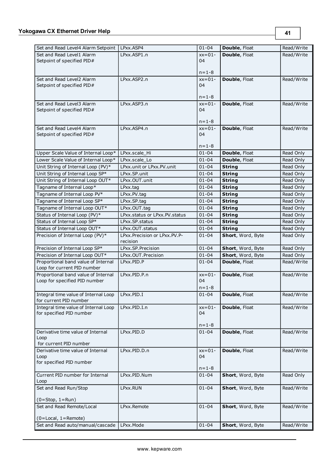| Set and Read Level4 Alarm Setpoint                                 | LPxx.ASP4                     | $01 - 04$   | Double, Float     | Read/Write |
|--------------------------------------------------------------------|-------------------------------|-------------|-------------------|------------|
| Set and Read Level1 Alarm                                          | LPxx.ASP1.n                   | $xx=01-$    | Double, Float     | Read/Write |
| Setpoint of specified PID#                                         |                               | 04          |                   |            |
|                                                                    |                               | $n = 1 - 8$ |                   |            |
| Set and Read Level2 Alarm                                          | LPxx.ASP2.n                   | $xx=01-$    | Double, Float     | Read/Write |
| Setpoint of specified PID#                                         |                               | 04          |                   |            |
|                                                                    |                               |             |                   |            |
|                                                                    |                               | $n = 1 - 8$ |                   |            |
| Set and Read Level3 Alarm                                          | LPxx.ASP3.n                   | $xx=01-$    | Double, Float     | Read/Write |
| Setpoint of specified PID#                                         |                               | 04          |                   |            |
|                                                                    |                               |             |                   |            |
|                                                                    |                               | $n = 1 - 8$ |                   |            |
| Set and Read Level4 Alarm                                          | LPxx.ASP4.n                   | $xx=01-$    | Double, Float     | Read/Write |
| Setpoint of specified PID#                                         |                               | 04          |                   |            |
|                                                                    |                               | $n = 1 - 8$ |                   |            |
| Upper Scale Value of Internal Loop*                                | LPxx.scale Hi                 | $01 - 04$   | Double, Float     | Read Only  |
| Lower Scale Value of Internal Loop*                                | LPxx.scale Lo                 | $01 - 04$   | Double, Float     | Read Only  |
| Unit String of Internal Loop (PV)*                                 | LPxx.unit or LPxx.PV.unit     | $01 - 04$   | <b>String</b>     | Read Only  |
| Unit String of Internal Loop SP*                                   | LPxx.SP.unit                  | $01 - 04$   | <b>String</b>     | Read Only  |
| Unit String of Internal Loop OUT*                                  | LPxx.OUT.unit                 | $01 - 04$   | <b>String</b>     | Read Only  |
| Tagname of Internal Loop*                                          | LPxx.tag                      | $01 - 04$   | <b>String</b>     | Read Only  |
| Tagname of Internal Loop PV*                                       | LPxx.PV.tag                   | $01 - 04$   | <b>String</b>     | Read Only  |
| Tagname of Internal Loop SP*                                       | LPxx.SP.tag                   | $01 - 04$   | <b>String</b>     | Read Only  |
| Tagname of Internal Loop OUT*                                      | LPxx.OUT.tag                  | $01 - 04$   | <b>String</b>     | Read Only  |
| Status of Internal Loop (PV)*                                      | LPxx.status or LPxx.PV.status | $01 - 04$   | <b>String</b>     | Read Only  |
| Status of Internal Loop SP*                                        | LPxx.SP.status                | $01 - 04$   | <b>String</b>     | Read Only  |
| Status of Internal Loop OUT*                                       | LPxx.OUT.status               | $01 - 04$   | <b>String</b>     | Read Only  |
| Precision of Internal Loop (PV)*                                   | LPxx.Precision or LPxx.PV.P-  | $01 - 04$   | Short, Word, Byte | Read Only  |
|                                                                    | recision                      |             |                   |            |
| Precision of Internal Loop SP*                                     | LPxx.SP.Precision             | $01 - 04$   | Short, Word, Byte | Read Only  |
| Precision of Internal Loop OUT*                                    | LPxx.OUT.Precision            | $01 - 04$   | Short, Word, Byte | Read Only  |
| Proportional band value of Internal<br>Loop for current PID number | LPxx.PID.P                    | $01 - 04$   | Double, Float     | Read/Write |
| Proportional band value of Internal                                | LPxx.PID.P.n                  | $xx=01-$    | Double, Float     | Read/Write |
| Loop for specified PID number                                      |                               | 04          |                   |            |
|                                                                    |                               | $n = 1 - 8$ |                   |            |
| Integral time value of Internal Loop   LPxx.PID.I                  |                               | $01 - 04$   | Double, Float     | Read/Write |
| for current PID number                                             |                               |             |                   |            |
| Integral time value of Internal Loop                               | LPxx.PID.I.n                  | $xx=01-$    | Double, Float     | Read/Write |
| for specified PID number                                           |                               | 04          |                   |            |
|                                                                    |                               |             |                   |            |
|                                                                    |                               | $n = 1 - 8$ |                   |            |
| Derivative time value of Internal<br>Loop                          | LPxx.PID.D                    | $01 - 04$   | Double, Float     | Read/Write |
| for current PID number                                             |                               |             |                   |            |
| Derivative time value of Internal                                  | LPxx.PID.D.n                  | $xx=01-$    | Double, Float     | Read/Write |
| Loop                                                               |                               | 04          |                   |            |
| for specified PID number                                           |                               |             |                   |            |
|                                                                    |                               | $n = 1 - 8$ |                   |            |
| Current PID number for Internal<br>Loop                            | LPxx.PID.Num                  | $01 - 04$   | Short, Word, Byte | Read Only  |
| Set and Read Run/Stop                                              | LPxx.RUN                      | $01 - 04$   | Short, Word, Byte | Read/Write |
|                                                                    |                               |             |                   |            |
| $(0 = Stop, 1 = Run)$                                              |                               |             |                   |            |
| Set and Read Remote/Local                                          | LPxx.Remote                   | $01 - 04$   | Short, Word, Byte | Read/Write |
|                                                                    |                               |             |                   |            |
| (0=Local, 1=Remote)                                                |                               |             |                   |            |
| Set and Read auto/manual/cascade                                   | LPxx.Mode                     | $01 - 04$   | Short, Word, Byte | Read/Write |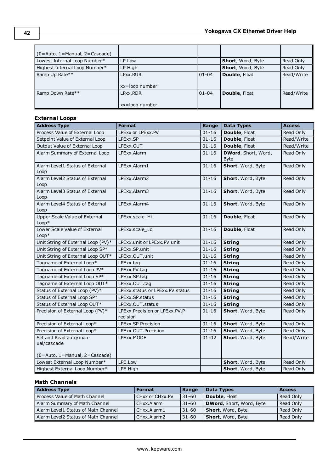| $(0 =$ Auto, 1 = Manual, 2 = Cascade) |                    |           |                          |            |
|---------------------------------------|--------------------|-----------|--------------------------|------------|
| Lowest Internal Loop Number*          | LP.Low             |           | <b>Short, Word, Byte</b> | Read Only  |
| Highest Internal Loop Number*         | LP.High            |           | <b>Short, Word, Byte</b> | Read Only  |
| Ramp Up Rate**                        | LPxx.RUR           | $01 - 04$ | Double, Float            | Read/Write |
|                                       |                    |           |                          |            |
|                                       | xx=loop number     |           |                          |            |
| Ramp Down Rate**                      | LPxx.RDR           | $01 - 04$ | Double, Float            | Read/Write |
|                                       |                    |           |                          |            |
|                                       | $xx = loop$ number |           |                          |            |

# **External Loops**

| <b>Address Type</b>                      | <b>Format</b>                              | Range     | <b>Data Types</b>    | <b>Access</b> |
|------------------------------------------|--------------------------------------------|-----------|----------------------|---------------|
| Process Value of External Loop           | LPExx or LPExx.PV                          | $01 - 16$ | Double, Float        | Read Only     |
| Setpoint Value of External Loop          | LPExx.SP                                   | $01 - 16$ | Double, Float        | Read/Write    |
| Output Value of External Loop            | LPExx.OUT                                  | $01 - 16$ | Double, Float        | Read/Write    |
| Alarm Summary of External Loop           | LPExx.Alarm                                | $01 - 16$ | DWord, Short, Word,  | Read Only     |
|                                          |                                            |           | <b>Byte</b>          |               |
| Alarm Level1 Status of External<br>Loop  | LPExx.Alarm1                               | $01 - 16$ | Short, Word, Byte    | Read Only     |
| Alarm Level2 Status of External          | LPExx.Alarm2                               | $01 - 16$ | Short, Word, Byte    | Read Only     |
| Loop                                     |                                            |           |                      |               |
| Alarm Level3 Status of External<br>Loop  | LPExx.Alarm3                               | $01 - 16$ | Short, Word, Byte    | Read Only     |
| Alarm Level4 Status of External          | LPExx.Alarm4                               | $01 - 16$ | Short, Word, Byte    | Read Only     |
| Loop                                     |                                            |           |                      |               |
| Upper Scale Value of External<br>$Loop*$ | LPExx.scale Hi                             | $01 - 16$ | Double, Float        | Read Only     |
| Lower Scale Value of External<br>$Loop*$ | LPExx.scale Lo                             | $01 - 16$ | <b>Double, Float</b> | Read Only     |
| Unit String of External Loop (PV)*       | LPExx.unit or LPExx.PV.unit                | $01 - 16$ | <b>String</b>        | Read Only     |
| Unit String of External Loop SP*         | LPExx.SP.unit                              | $01 - 16$ | <b>String</b>        | Read Only     |
| Unit String of External Loop OUT*        | LPExx.OUT.unit                             | $01 - 16$ | <b>String</b>        | Read Only     |
| Tagname of External Loop*                | LPExx.tag                                  | $01 - 16$ | <b>String</b>        | Read Only     |
| Tagname of External Loop PV*             | LPExx.PV.tag                               | $01 - 16$ | <b>String</b>        | Read Only     |
| Tagname of External Loop SP*             | LPExx.SP.tag                               | $01 - 16$ | <b>String</b>        | Read Only     |
| Tagname of External Loop OUT*            | LPExx.OUT.taq                              | $01 - 16$ | <b>String</b>        | Read Only     |
| Status of External Loop (PV)*            | LPExx.status or LPExx.PV.status            | $01 - 16$ | <b>String</b>        | Read Only     |
| Status of External Loop SP*              | LPExx.SP.status                            | $01 - 16$ | <b>String</b>        | Read Only     |
| Status of External Loop OUT*             | LPExx.OUT.status                           | $01 - 16$ | <b>String</b>        | Read Only     |
| Precision of External Loop (PV)*         | LPExx.Precision or LPExx.PV.P-<br>recision | $01 - 16$ | Short, Word, Byte    | Read Only     |
| Precision of External Loop*              | LPExx.SP.Precision                         | $01 - 16$ | Short, Word, Byte    | Read Only     |
| Precision of External Loop*              | LPExx.OUT.Precision                        | $01 - 16$ | Short, Word, Byte    | Read Only     |
| Set and Read auto/man-                   | LPExx.MODE                                 | $01 - 02$ | Short, Word, Byte    | Read/Write    |
| ual/cascade                              |                                            |           |                      |               |
| $(0 = Auto, 1 = Manual, 2 = Cascade)$    |                                            |           |                      |               |
| Lowest External Loop Number*             | LPE.Low                                    |           | Short, Word, Byte    | Read Only     |
| Highest External Loop Number*            | LPE.High                                   |           | Short, Word, Byte    | Read Only     |

# **Math Channels**

| <b>Address Type</b>                 | <b>Format</b>   | Range      | Data Types               | <b>Access</b> |
|-------------------------------------|-----------------|------------|--------------------------|---------------|
| Process Value of Math Channel       | CHxx or CHxx.PV | $131 - 60$ | Double, Float            | Read Only     |
| Alarm Summary of Math Channel       | CHxx.Alarm      | $131 - 60$ | DWord, Short, Word, Byte | Read Only     |
| Alarm Level1 Status of Math Channel | l CHxx.Alarm1   | $31 - 60$  | Short, Word, Byte        | Read Only     |
| Alarm Level2 Status of Math Channel | l CHxx.Alarm2   | $131 - 60$ | Short, Word, Byte        | Read Only     |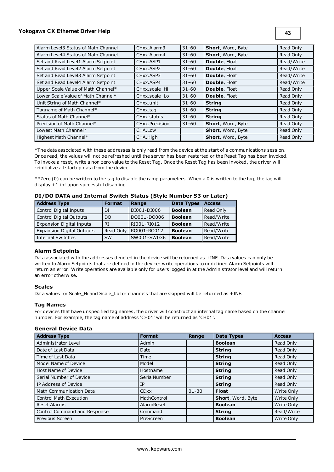| Alarm Level3 Status of Math Channel | CHxx.Alarm3                        | $31 - 60$ | Short, Word, Byte        | Read Only  |
|-------------------------------------|------------------------------------|-----------|--------------------------|------------|
| Alarm Level4 Status of Math Channel | CHxx.Alarm4                        | $31 - 60$ | Short, Word, Byte        | Read Only  |
| Set and Read Level1 Alarm Setpoint  | CH <sub>xx</sub> .ASP <sub>1</sub> | $31 - 60$ | Double, Float            | Read/Write |
| Set and Read Level2 Alarm Setpoint  | CHxx.ASP2                          | $31 - 60$ | Double, Float            | Read/Write |
| Set and Read Level3 Alarm Setpoint  | CH <sub>xx</sub> .ASP3             | $31 - 60$ | Double, Float            | Read/Write |
| Set and Read Level4 Alarm Setpoint  | CH <sub>xx</sub> , ASP4            | $31 - 60$ | Double, Float            | Read/Write |
| Upper Scale Value of Math Channel*  | CHxx.scale Hi                      | $31 - 60$ | Double, Float            | Read Only  |
| Lower Scale Value of Math Channel*  | CHxx.scale Lo                      | $31 - 60$ | Double, Float            | Read Only  |
| Unit String of Math Channel*        | CHxx.unit                          | $31 - 60$ | <b>String</b>            | Read Only  |
| Tagname of Math Channel*            | CHxx.tag                           | $31 - 60$ | <b>String</b>            | Read Only  |
| Status of Math Channel*             | CHxx.status                        | $31 - 60$ | <b>String</b>            | Read Only  |
| Precision of Math Channel*          | CHxx.Precision                     | $31 - 60$ | <b>Short, Word, Byte</b> | Read Only  |
| Lowest Math Channel*                | CHA.Low                            |           | Short, Word, Byte        | Read Only  |
| Highest Math Channel*               | CHA.High                           |           | Short, Word, Byte        | Read Only  |

\*The data associated with these addresses is only read from the device at the start of a communications session. Once read, the values will not be refreshed until the server has been restarted or the Reset Tag has been invoked. To invoke a reset, write a non zero value to the Reset Tag. Once the Reset Tag has been invoked, the driver will reinitialize all startup data from the device.

\*\*Zero (0) can be written to the tag to disable the ramp parameters. When a 0 is written to the tag, the tag will display +1.inf upon successful disabling.

| <b>Address Type</b>              | <b>Format</b> | Range       | <b>Data Types</b> | <b>Access</b> |  |
|----------------------------------|---------------|-------------|-------------------|---------------|--|
| Control Digital Inputs           | DI            | DI001-DI006 | <b>Boolean</b>    | Read Only     |  |
| <b>Control Digital Outputs</b>   | DO            | DO001-DO006 | <b>Boolean</b>    | Read/Write    |  |
| <b>Expansion Digital Inputs</b>  | RT            | RI001-RI012 | <b>Boolean</b>    | Read/Write    |  |
| <b>Expansion Digital Outputs</b> | Read Only     | RO001-RO012 | <b>Boolean</b>    | Read/Write    |  |
| <b>Internal Switches</b>         | <b>SW</b>     | SW001-SW036 | <b>Boolean</b>    | Read/Write    |  |

# **DI/DO DATA and Internal Switch Status (Style Number S3 or Later)**

#### **Alarm Setpoints**

Data associated with the addresses denoted in the device will be returned as +INF. Data values can only be written to Alarm Setpoints that are defined in the device: write operations to undefined Alarm Setpoints will return an error. Write operations are available only for users logged in at the Administrator level and will return an error otherwise.

#### **Scales**

Data values for Scale\_Hi and Scale\_Lo for channels that are skipped will be returned as +INF.

#### **Tag Names**

For devices that have unspecified tag names, the driver will construct an internal tag name based on the channel number. For example, the tag name of address 'CH01' will be returned as 'CH01'.

#### **General Device Data**

| <b>Address Type</b>            | <b>Format</b> | Range     | <b>Data Types</b> | <b>Access</b> |
|--------------------------------|---------------|-----------|-------------------|---------------|
| <b>Administrator Level</b>     | Admin         |           | <b>Boolean</b>    | Read Only     |
| Date of Last Data              | Date          |           | <b>String</b>     | Read Only     |
| Time of Last Data              | Time          |           | <b>String</b>     | Read Only     |
| Model Name of Device           | Model         |           | <b>String</b>     | Read Only     |
| Host Name of Device            | Hostname      |           | <b>String</b>     | Read Only     |
| Serial Number of Device        | SerialNumber  |           | <b>String</b>     | Read Only     |
| IP Address of Device           | ΙP            |           | <b>String</b>     | Read Only     |
| <b>Math Communication Data</b> | <b>CDxx</b>   | $01 - 30$ | <b>Float</b>      | Write Only    |
| <b>Control Math Execution</b>  | MathControl   |           | Short, Word, Byte | Write Only    |
| Reset Alarms                   | AlarmReset    |           | <b>Boolean</b>    | Write Only    |
| Control Command and Response   | Command       |           | <b>String</b>     | Read/Write    |
| Previous Screen                | PreScreen     |           | <b>Boolean</b>    | Write Only    |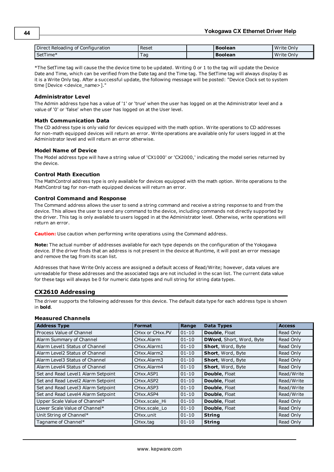| Direct Reloading of Configuration | Reset | <b>Boolean</b> | Write Only |
|-----------------------------------|-------|----------------|------------|
| SetTime*                          | l ad  | Boolean        | Write Only |

\*The SetTime tag will cause the the device time to be updated. Writing 0 or 1 to the tag will update the Device Date and Time, which can be verified from the Date tag and the Time tag. The SetTime tag will always display 0 as it is a Write Only tag. After a successful update, the following message will be posted: "Device Clock set to system time [Device <device\_name>]."

#### **Administrator Level**

The Admin address type has a value of '1' or 'true' when the user has logged on at the Administrator level and a value of '0' or 'false' when the user has logged on at the User level.

#### **Math Communication Data**

The CD address type is only valid for devices equipped with the math option. Write operations to CD addresses for non-math equipped devices will return an error. Write operations are available only for users logged in at the Administrator level and will return an error otherwise.

#### **Model Name of Device**

The Model address type will have a string value of 'CX1000' or 'CX2000,' indicating the model series returned by the device.

#### **Control Math Execution**

The MathControl address type is only available for devices equipped with the math option. Write operations to the MathControl tag for non-math equipped devices will return an error.

#### **Control Command and Response**

The Command address allows the user to send a string command and receive a string response to and from the device. This allows the user to send any command to the device, including commands not directly supported by the driver. This tag is only available to users logged in at the Administrator level. Otherwise, write operations will return an error.

**Caution:** Use caution when performing write operations using the Command address.

**Note:** The actual number of addresses available for each type depends on the configuration of the Yokogawa device. If the driver finds that an address is not present in the device at Runtime, it will post an error message and remove the tag from its scan list.

Addresses that have Write Only access are assigned a default access of Read/Write; however, data values are unreadable for these addresses and the associated tags are not included in the scan list. The current data value for these tags will always be 0 for numeric data types and null string for string data types.

# <span id="page-42-0"></span>**CX2610 Addressing**

The driver supports the following addresses for this device. The default data type for each address type is shown in **bold**.

# **Measured Channels**

| <b>Address Type</b>                | <b>Format</b>                         | Range     | <b>Data Types</b>        | <b>Access</b> |
|------------------------------------|---------------------------------------|-----------|--------------------------|---------------|
| Process Value of Channel           | CHxx or CHxx.PV                       | $01 - 10$ | <b>Double, Float</b>     | Read Only     |
| Alarm Summary of Channel           | CHxx.Alarm                            | $01 - 10$ | DWord, Short, Word, Byte | Read Only     |
| Alarm Level1 Status of Channel     | CHxx.Alarm1                           | $01 - 10$ | Short, Word, Byte        | Read Only     |
| Alarm Level2 Status of Channel     | CHxx.Alarm2                           | $01 - 10$ | Short, Word, Byte        | Read Only     |
| Alarm Level3 Status of Channel     | CH <sub>xx</sub> . Alarm <sub>3</sub> | $01 - 10$ | Short, Word, Byte        | Read Only     |
| Alarm Level4 Status of Channel     | CHxx.Alarm4                           | $01 - 10$ | Short, Word, Byte        | Read Only     |
| Set and Read Level1 Alarm Setpoint | CH <sub>xx</sub> ASP <sub>1</sub>     | $01 - 10$ | Double, Float            | Read/Write    |
| Set and Read Level2 Alarm Setpoint | CH <sub>xx</sub> , ASP <sub>2</sub>   | $01 - 10$ | Double, Float            | Read/Write    |
| Set and Read Level3 Alarm Setpoint | CH <sub>xx</sub> , ASP3               | $01 - 10$ | Double, Float            | Read/Write    |
| Set and Read Level4 Alarm Setpoint | CH <sub>xx</sub> , ASP4               | $01 - 10$ | Double, Float            | Read/Write    |
| Upper Scale Value of Channel*      | CHxx.scale Hi                         | $01 - 10$ | Double, Float            | Read Only     |
| Lower Scale Value of Channel*      | CHxx.scale Lo                         | $01 - 10$ | Double, Float            | Read Only     |
| Unit String of Channel*            | CHxx.unit                             | $01 - 10$ | <b>String</b>            | Read Only     |
| Tagname of Channel*                | CHxx.tag                              | $01 - 10$ | <b>String</b>            | Read Only     |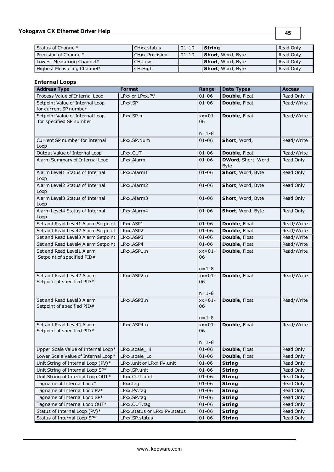# **Yokogawa CX Ethernet Driver Help**

| Status of Channel*         | CHxx status    | $ 01-10 $ | l String          | Read Only |
|----------------------------|----------------|-----------|-------------------|-----------|
| Precision of Channel*      | CHxx.Precision | $01 - 10$ | Short, Word, Byte | Read Only |
| Lowest Measuring Channel*  | CH.Low         |           | Short, Word, Byte | Read Only |
| Highest Measuring Channel* | CH.High        |           | Short, Word, Byte | Read Only |

**45**

# **Internal Loops**

| <b>Address Type</b>                                        | <b>Format</b>                 | Range                         | <b>Data Types</b>                  | <b>Access</b> |
|------------------------------------------------------------|-------------------------------|-------------------------------|------------------------------------|---------------|
| Process Value of Internal Loop                             | LPxx or LPxx.PV               | $01 - 06$                     | Double, Float                      | Read Only     |
| Setpoint Value of Internal Loop<br>for current SP number   | LPxx.SP                       | $01 - 06$                     | <b>Double, Float</b>               | Read/Write    |
| Setpoint Value of Internal Loop<br>for specified SP number | LPxx.SP.n                     | $xx=01-$<br>06<br>$n = 1 - 8$ | Double, Float                      | Read/Write    |
| Current SP number for Internal<br>Loop                     | LPxx.SP.Num                   | $01 - 06$                     | Short, Word,                       | Read/Write    |
| Output Value of Internal Loop                              | LPxx.OUT                      | $01 - 06$                     | Double, Float                      | Read/Write    |
| Alarm Summary of Internal Loop                             | LPxx.Alarm                    | $01 - 06$                     | DWord, Short, Word,<br><b>Byte</b> | Read Only     |
| Alarm Level1 Status of Internal<br>Loop                    | LPxx.Alarm1                   | $01 - 06$                     | Short, Word, Byte                  | Read Only     |
| Alarm Level2 Status of Internal<br>Loop                    | LPxx.Alarm2                   | $01 - 06$                     | Short, Word, Byte                  | Read Only     |
| Alarm Level3 Status of Internal<br>Loop                    | LPxx.Alarm3                   | $01 - 06$                     | Short, Word, Byte                  | Read Only     |
| Alarm Level4 Status of Internal<br>Loop                    | LPxx.Alarm4                   | $01 - 06$                     | Short, Word, Byte                  | Read Only     |
| Set and Read Level1 Alarm Setpoint                         | LPxx.ASP1                     | $01 - 06$                     | Double, Float                      | Read/Write    |
| Set and Read Level2 Alarm Setpoint                         | LPxx.ASP2                     | $01 - 06$                     | Double, Float                      | Read/Write    |
| Set and Read Level3 Alarm Setpoint                         | LPxx.ASP3                     | $01 - 06$                     | Double, Float                      | Read/Write    |
| Set and Read Level4 Alarm Setpoint                         | LPxx.ASP4                     | $01 - 06$                     | Double, Float                      | Read/Write    |
| Set and Read Level1 Alarm<br>Setpoint of specified PID#    | LPxx.ASP1.n                   | $xx=01-$<br>06<br>$n = 1 - 8$ | Double, Float                      | Read/Write    |
| Set and Read Level2 Alarm<br>Setpoint of specified PID#    | LPxx.ASP2.n                   | $xx=01-$<br>06<br>$n = 1 - 8$ | Double, Float                      | Read/Write    |
| Set and Read Level3 Alarm<br>Setpoint of specified PID#    | LPxx.ASP3.n                   | $xx=01-$<br>06<br>$n = 1 - 8$ | Double, Float                      | Read/Write    |
| Set and Read Level4 Alarm<br>Setpoint of specified PID#    | LPxx.ASP4.n                   | $xx=01-$<br>06<br>$n = 1 - 8$ | Double, Float                      | Read/Write    |
| Upper Scale Value of Internal Loop*                        | LPxx.scale Hi                 | $01 - 06$                     | Double, Float                      | Read Only     |
| Lower Scale Value of Internal Loop*                        | LPxx.scale Lo                 | $01 - 06$                     | Double, Float                      | Read Only     |
| Unit String of Internal Loop (PV)*                         | LPxx.unit or LPxx.PV.unit     | $01 - 06$                     | <b>String</b>                      | Read Only     |
| Unit String of Internal Loop SP*                           | LPxx.SP.unit                  | $01 - 06$                     | <b>String</b>                      | Read Only     |
| Unit String of Internal Loop OUT*                          | LPxx.OUT.unit                 | $01 - 06$                     | <b>String</b>                      | Read Only     |
| Tagname of Internal Loop*                                  | LPxx.tag                      | $01 - 06$                     | <b>String</b>                      | Read Only     |
| Tagname of Internal Loop PV*                               | LPxx.PV.tag                   | $01 - 06$                     | <b>String</b>                      | Read Only     |
| Tagname of Internal Loop SP*                               | LPxx.SP.tag                   | $01 - 06$                     | <b>String</b>                      | Read Only     |
| Tagname of Internal Loop OUT*                              | LPxx.OUT.tag                  | $01 - 06$                     | <b>String</b>                      | Read Only     |
| Status of Internal Loop (PV)*                              | LPxx.status or LPxx.PV.status | $01 - 06$                     | <b>String</b>                      | Read Only     |
| Status of Internal Loop SP*                                | LPxx.SP.status                | $01 - 06$                     | <b>String</b>                      | Read Only     |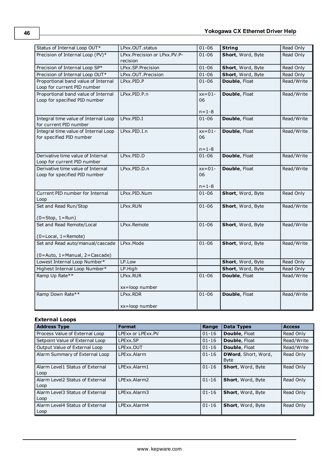| Status of Internal Loop OUT*                                         | LPxx.OUT.status                             | $01 - 06$                     | <b>String</b>        | Read Only  |
|----------------------------------------------------------------------|---------------------------------------------|-------------------------------|----------------------|------------|
| Precision of Internal Loop (PV)*                                     | LPxx. Precision or LPxx. PV. P-<br>recision | 01-06                         | Short, Word, Byte    | Read Only  |
| Precision of Internal Loop SP*                                       | LPxx.SP.Precision                           | $01 - 06$                     | Short, Word, Byte    | Read Only  |
| Precision of Internal Loop OUT*                                      | LPxx.OUT.Precision                          | $01 - 06$                     | Short, Word, Byte    | Read Only  |
| Proportional band value of Internal<br>Loop for current PID number   | LPxx.PID.P                                  | $01 - 06$                     | Double, Float        | Read/Write |
| Proportional band value of Internal<br>Loop for specified PID number | LPxx.PID.P.n                                | $xx=01-$<br>06<br>$n = 1 - 8$ | Double, Float        | Read/Write |
| Integral time value of Internal Loop<br>for current PID number       | LPxx.PID.I                                  | $01 - 06$                     | Double, Float        | Read/Write |
| Integral time value of Internal Loop<br>for specified PID number     | LPxx.PID.I.n                                | $xx=01-$<br>06<br>n=1-8       | <b>Double, Float</b> | Read/Write |
| Derivative time value of Internal<br>Loop for current PID number     | LPxx.PID.D                                  | $01 - 06$                     | Double, Float        | Read/Write |
| Derivative time value of Internal<br>Loop for specified PID number   | LPxx.PID.D.n                                | $xx=01-$<br>06<br>$n = 1 - 8$ | Double, Float        | Read/Write |
| Current PID number for Internal<br>Loop                              | LPxx.PID.Num                                | $01 - 06$                     | Short, Word, Byte    | Read Only  |
| Set and Read Run/Stop                                                | LPxx.RUN                                    | $01 - 06$                     | Short, Word, Byte    | Read/Write |
| $(0 = Stop, 1 = Run)$                                                |                                             |                               |                      |            |
| Set and Read Remote/Local<br>$(0 = Local, 1 = Remote)$               | LPxx.Remote                                 | $01 - 06$                     | Short, Word, Byte    | Read/Write |
| Set and Read auto/manual/cascade<br>(0=Auto, 1=Manual, 2=Cascade)    | LPxx.Mode                                   | $01 - 06$                     | Short, Word, Byte    | Read/Write |
| Lowest Internal Loop Number*                                         | LP.Low                                      |                               | Short, Word, Byte    | Read Only  |
| Highest Internal Loop Number*                                        | LP.High                                     |                               | Short, Word, Byte    | Read Only  |
| Ramp Up Rate**                                                       | LPxx.RUR<br>xx=loop number                  | $01 - 06$                     | Double, Float        | Read/Write |
| Ramp Down Rate**                                                     | LPxx.RDR<br>xx=loop number                  | $01 - 06$                     | Double, Float        | Read/Write |

# **External Loops**

| <b>Address Type</b>                     | <b>Format</b>     | Range     | Data Types                                 | <b>Access</b> |
|-----------------------------------------|-------------------|-----------|--------------------------------------------|---------------|
| Process Value of External Loop          | LPExx or LPExx.PV | $01 - 16$ | <b>Double, Float</b>                       | Read Only     |
| Setpoint Value of External Loop         | LPExx.SP          | $01 - 16$ | Double, Float                              | Read/Write    |
| Output Value of External Loop           | LPExx.OUT         | $01 - 16$ | Double, Float                              | Read/Write    |
| Alarm Summary of External Loop          | LPExx.Alarm       | $01 - 16$ | <b>DWord</b> , Short, Word,<br><b>Byte</b> | Read Only     |
| Alarm Level1 Status of External<br>Loop | LPExx.Alarm1      | $01 - 16$ | Short, Word, Byte                          | Read Only     |
| Alarm Level2 Status of External<br>Loop | LPExx.Alarm2      | $01 - 16$ | Short, Word, Byte                          | Read Only     |
| Alarm Level3 Status of External<br>Loop | LPExx.Alarm3      | $01 - 16$ | Short, Word, Byte                          | Read Only     |
| Alarm Level4 Status of External<br>Loop | LPExx.Alarm4      | $01 - 16$ | Short, Word, Byte                          | Read Only     |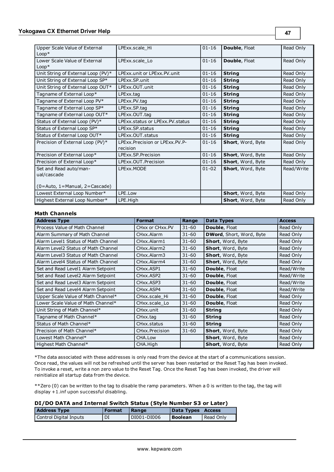| Upper Scale Value of External<br>$Loop*$ | LPExx.scale Hi                                | $01 - 16$ | Double, Float     | Read Only  |
|------------------------------------------|-----------------------------------------------|-----------|-------------------|------------|
| Lower Scale Value of External<br>$Loop*$ | LPExx.scale Lo                                | $01 - 16$ | Double, Float     | Read Only  |
| Unit String of External Loop (PV)*       | LPExx.unit or LPExx.PV.unit                   | $01 - 16$ | <b>String</b>     | Read Only  |
| Unit String of External Loop SP*         | LPExx.SP.unit                                 | $01 - 16$ | <b>String</b>     | Read Only  |
| Unit String of External Loop OUT*        | LPExx.OUT.unit                                | $01 - 16$ | <b>String</b>     | Read Only  |
| Tagname of External Loop*                | LPExx.tag                                     | $01 - 16$ | <b>String</b>     | Read Only  |
| Tagname of External Loop PV*             | LPExx.PV.tag                                  | $01 - 16$ | <b>String</b>     | Read Only  |
| Tagname of External Loop SP*             | LPExx.SP.tag                                  | $01 - 16$ | <b>String</b>     | Read Only  |
| Tagname of External Loop OUT*            | LPExx.OUT.tag                                 | $01 - 16$ | <b>String</b>     | Read Only  |
| Status of External Loop (PV)*            | LPExx.status or LPExx.PV.status               | $01 - 16$ | <b>String</b>     | Read Only  |
| Status of External Loop SP*              | LPExx.SP.status                               | $01 - 16$ | <b>String</b>     | Read Only  |
| Status of External Loop OUT*             | LPExx.OUT.status                              | $01 - 16$ | <b>String</b>     | Read Only  |
| Precision of External Loop (PV)*         | LPExx. Precision or LPExx. PV. P-<br>recision | $01 - 16$ | Short, Word, Byte | Read Only  |
| Precision of External Loop*              | LPExx.SP.Precision                            | $01 - 16$ | Short, Word, Byte | Read Only  |
| Precision of External Loop*              | LPExx.OUT.Precision                           | $01 - 16$ | Short, Word, Byte | Read Only  |
| Set and Read auto/man-<br>ual/cascade    | LPExx.MODE                                    | $01 - 02$ | Short, Word, Byte | Read/Write |
| $(0 = Auto, 1 = Manual, 2 = Cascade)$    |                                               |           |                   |            |
| Lowest External Loop Number*             | LPE.Low                                       |           | Short, Word, Byte | Read Only  |
| Highest External Loop Number*            | LPE.High                                      |           | Short, Word, Byte | Read Only  |

# **Math Channels**

| <b>Address Type</b>                 | <b>Format</b>                       | Range     | Data Types               | <b>Access</b> |
|-------------------------------------|-------------------------------------|-----------|--------------------------|---------------|
| Process Value of Math Channel       | CHxx or CHxx.PV                     | $31 - 60$ | <b>Double, Float</b>     | Read Only     |
| Alarm Summary of Math Channel       | CHxx.Alarm                          | $31 - 60$ | DWord, Short, Word, Byte | Read Only     |
| Alarm Level1 Status of Math Channel | CHxx.Alarm1                         | $31 - 60$ | Short, Word, Byte        | Read Only     |
| Alarm Level2 Status of Math Channel | CHxx.Alarm2                         | $31 - 60$ | Short, Word, Byte        | Read Only     |
| Alarm Level3 Status of Math Channel | CHxx.Alarm3                         | $31 - 60$ | Short, Word, Byte        | Read Only     |
| Alarm Level4 Status of Math Channel | CHxx.Alarm4                         | $31 - 60$ | Short, Word, Byte        | Read Only     |
| Set and Read Level1 Alarm Setpoint  | CHxx.ASP1                           | $31 - 60$ | Double, Float            | Read/Write    |
| Set and Read Level2 Alarm Setpoint  | CH <sub>xx</sub> , ASP <sub>2</sub> | $31 - 60$ | <b>Double, Float</b>     | Read/Write    |
| Set and Read Level3 Alarm Setpoint  | CH <sub>xx</sub> , ASP3             | $31 - 60$ | <b>Double, Float</b>     | Read/Write    |
| Set and Read Level4 Alarm Setpoint  | CHxx.ASP4                           | $31 - 60$ | <b>Double, Float</b>     | Read/Write    |
| Upper Scale Value of Math Channel*  | CHxx.scale Hi                       | $31 - 60$ | <b>Double, Float</b>     | Read Only     |
| Lower Scale Value of Math Channel*  | CHxx.scale Lo                       | $31 - 60$ | <b>Double, Float</b>     | Read Only     |
| Unit String of Math Channel*        | CHxx.unit                           | $31 - 60$ | <b>String</b>            | Read Only     |
| Tagname of Math Channel*            | CHxx.tag                            | $31 - 60$ | <b>String</b>            | Read Only     |
| Status of Math Channel*             | CHxx.status                         | $31 - 60$ | <b>String</b>            | Read Only     |
| Precision of Math Channel*          | CHxx.Precision                      | $31 - 60$ | Short, Word, Byte        | Read Only     |
| Lowest Math Channel*                | CHA.Low                             |           | Short, Word, Byte        | Read Only     |
| Highest Math Channel*               | CHA.High                            |           | Short, Word, Byte        | Read Only     |

\*The data associated with these addresses is only read from the device at the start of a communications session. Once read, the values will not be refreshed until the server has been restarted or the Reset Tag has been invoked. To invoke a reset, write a non zero value to the Reset Tag. Once the Reset Tag has been invoked, the driver will reinitialize all startup data from the device.

\*\*Zero (0) can be written to the tag to disable the ramp parameters. When a 0 is written to the tag, the tag will display +1.inf upon successful disabling.

# **DI/DO DATA and Internal Switch Status (Style Number S3 or Later)**

| <b>Address Type</b>    | <b>Format</b> | Range       | Data Types   Access |           |
|------------------------|---------------|-------------|---------------------|-----------|
| Control Digital Inputs | DI            | DI001-DI006 | l Boolean           | Read Only |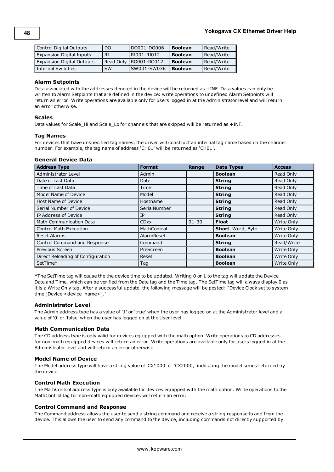| Control Digital Outputs          | DO        | DO001-DO006          | <b>Boolean</b> | Read/Write |
|----------------------------------|-----------|----------------------|----------------|------------|
| <b>Expansion Digital Inputs</b>  | RI        | RI001-RI012          | <b>Boolean</b> | Read/Write |
| <b>Expansion Digital Outputs</b> | Read Only | <b>I RO001-RO012</b> | <b>Boolean</b> | Read/Write |
| Internal Switches                | <b>SW</b> | SW001-SW036          | <b>Boolean</b> | Read/Write |

#### **Alarm Setpoints**

Data associated with the addresses denoted in the device will be returned as +INF. Data values can only be written to Alarm Setpoints that are defined in the device: write operations to undefined Alarm Setpoints will return an error. Write operations are available only for users logged in at the Administrator level and will return an error otherwise.

#### **Scales**

Data values for Scale\_Hi and Scale\_Lo for channels that are skipped will be returned as +INF.

#### **Tag Names**

For devices that have unspecified tag names, the driver will construct an internal tag name based on the channel number. For example, the tag name of address 'CH01' will be returned as 'CH01'.

#### **General Device Data**

| <b>Address Type</b>               | <b>Format</b> | Range     | <b>Data Types</b> | <b>Access</b> |
|-----------------------------------|---------------|-----------|-------------------|---------------|
| Administrator Level               | Admin         |           | <b>Boolean</b>    | Read Only     |
| Date of Last Data                 | Date          |           | <b>String</b>     | Read Only     |
| Time of Last Data                 | Time          |           | <b>String</b>     | Read Only     |
| Model Name of Device              | Model         |           | <b>String</b>     | Read Only     |
| Host Name of Device               | Hostname      |           | <b>String</b>     | Read Only     |
| Serial Number of Device           | SerialNumber  |           | <b>String</b>     | Read Only     |
| IP Address of Device              | IP            |           | <b>String</b>     | Read Only     |
| Math Communication Data           | <b>CDxx</b>   | $01 - 30$ | <b>Float</b>      | Write Only    |
| <b>Control Math Execution</b>     | MathControl   |           | Short, Word, Byte | Write Only    |
| <b>Reset Alarms</b>               | AlarmReset    |           | <b>Boolean</b>    | Write Only    |
| Control Command and Response      | Command       |           | <b>String</b>     | Read/Write    |
| Previous Screen                   | PreScreen     |           | <b>Boolean</b>    | Write Only    |
| Direct Reloading of Configuration | Reset         |           | <b>Boolean</b>    | Write Only    |
| SetTime*                          | Tag           |           | <b>Boolean</b>    | Write Only    |

\*The SetTime tag will cause the the device time to be updated. Writing 0 or 1 to the tag will update the Device Date and Time, which can be verified from the Date tag and the Time tag. The SetTime tag will always display 0 as it is a Write Only tag. After a successful update, the following message will be posted: "Device Clock set to system time [Device <device\_name>]."

#### **Administrator Level**

The Admin address type has a value of '1' or 'true' when the user has logged on at the Administrator level and a value of '0' or 'false' when the user has logged on at the User level.

#### **Math Communication Data**

The CD address type is only valid for devices equipped with the math option. Write operations to CD addresses for non-math equipped devices will return an error. Write operations are available only for users logged in at the Administrator level and will return an error otherwise.

#### **Model Name of Device**

The Model address type will have a string value of 'CX1000' or 'CX2000,' indicating the model series returned by the device.

#### **Control Math Execution**

The MathControl address type is only available for devices equipped with the math option. Write operations to the MathControl tag for non-math equipped devices will return an error.

#### **Control Command and Response**

The Command address allows the user to send a string command and receive a string response to and from the device. This allows the user to send any command to the device, including commands not directly supported by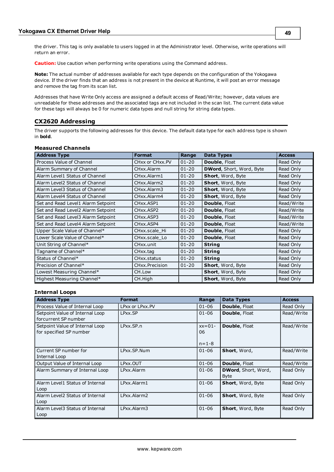the driver. This tag is only available to users logged in at the Administrator level. Otherwise, write operations will return an error.

**Caution:** Use caution when performing write operations using the Command address.

**Note:** The actual number of addresses available for each type depends on the configuration of the Yokogawa device. If the driver finds that an address is not present in the device at Runtime, it will post an error message and remove the tag from its scan list.

Addresses that have Write Only access are assigned a default access of Read/Write; however, data values are unreadable for these addresses and the associated tags are not included in the scan list. The current data value for these tags will always be 0 for numeric data types and null string for string data types.

# <span id="page-47-0"></span>**CX2620 Addressing**

The driver supports the following addresses for this device. The default data type for each address type is shown in **bold**.

#### **Measured Channels**

| <b>Address Type</b>                | <b>Format</b>   | Range     | <b>Data Types</b>               | <b>Access</b> |
|------------------------------------|-----------------|-----------|---------------------------------|---------------|
| Process Value of Channel           | CHxx or CHxx.PV | $01 - 20$ | <b>Double, Float</b>            | Read Only     |
| Alarm Summary of Channel           | CHxx.Alarm      | $01 - 20$ | <b>DWord, Short, Word, Byte</b> | Read Only     |
| Alarm Level1 Status of Channel     | CHxx.Alarm1     | $01 - 20$ | Short, Word, Byte               | Read Only     |
| Alarm Level2 Status of Channel     | CHxx.Alarm2     | $01 - 20$ | Short, Word, Byte               | Read Only     |
| Alarm Level3 Status of Channel     | CHxx.Alarm3     | $01 - 20$ | Short, Word, Byte               | Read Only     |
| Alarm Level4 Status of Channel     | CHxx.Alarm4     | $01 - 20$ | Short, Word, Byte               | Read Only     |
| Set and Read Level1 Alarm Setpoint | CHxx.ASP1       | $01 - 20$ | Double, Float                   | Read/Write    |
| Set and Read Level2 Alarm Setpoint | CHxx.ASP2       | $01 - 20$ | <b>Double, Float</b>            | Read/Write    |
| Set and Read Level3 Alarm Setpoint | CHxx.ASP3       | $01 - 20$ | <b>Double, Float</b>            | Read/Write    |
| Set and Read Level4 Alarm Setpoint | CHxx.ASP4       | $01 - 20$ | Double, Float                   | Read/Write    |
| Upper Scale Value of Channel*      | CHxx.scale_Hi   | $01 - 20$ | Double, Float                   | Read Only     |
| Lower Scale Value of Channel*      | CHxx.scale_Lo   | $01 - 20$ | Double, Float                   | Read Only     |
| Unit String of Channel*            | CHxx.unit       | $01 - 20$ | <b>String</b>                   | Read Only     |
| Tagname of Channel*                | CHxx.tag        | $01 - 20$ | <b>String</b>                   | Read Only     |
| Status of Channel*                 | CHxx.status     | $01 - 20$ | <b>String</b>                   | Read Only     |
| Precision of Channel*              | CHxx.Precision  | $01 - 20$ | Short, Word, Byte               | Read Only     |
| Lowest Measuring Channel*          | CH.Low          |           | Short, Word, Byte               | Read Only     |
| Highest Measuring Channel*         | CH.High         |           | Short, Word, Byte               | Read Only     |

#### **Internal Loops**

| <b>Address Type</b>                                        | <b>Format</b>   | Range                         | <b>Data Types</b>                          | <b>Access</b> |
|------------------------------------------------------------|-----------------|-------------------------------|--------------------------------------------|---------------|
| Process Value of Internal Loop                             | LPxx or LPxx.PV | $01 - 06$                     | <b>Double, Float</b>                       | Read Only     |
| Setpoint Value of Internal Loop<br>forcurrent SP number    | LPxx.SP         | $01 - 06$                     | <b>Double, Float</b>                       | Read/Write    |
| Setpoint Value of Internal Loop<br>for specified SP number | LPxx.SP.n       | $xx=01-$<br>06<br>$n = 1 - 8$ | Double, Float                              | Read/Write    |
| Current SP number for<br>Internal Loop                     | LPxx.SP.Num     | $01 - 06$                     | Short, Word,                               | Read/Write    |
| Output Value of Internal Loop                              | LPxx.OUT        | $01 - 06$                     | <b>Double, Float</b>                       | Read/Write    |
| Alarm Summary of Internal Loop                             | LPxx.Alarm      | $01 - 06$                     | <b>DWord</b> , Short, Word,<br><b>Byte</b> | Read Only     |
| Alarm Level1 Status of Internal<br>Loop                    | LPxx.Alarm1     | $01 - 06$                     | Short, Word, Byte                          | Read Only     |
| Alarm Level2 Status of Internal<br>Loop                    | LPxx.Alarm2     | $01 - 06$                     | Short, Word, Byte                          | Read Only     |
| Alarm Level3 Status of Internal<br>Loop                    | LPxx.Alarm3     | $01 - 06$                     | <b>Short, Word, Byte</b>                   | Read Only     |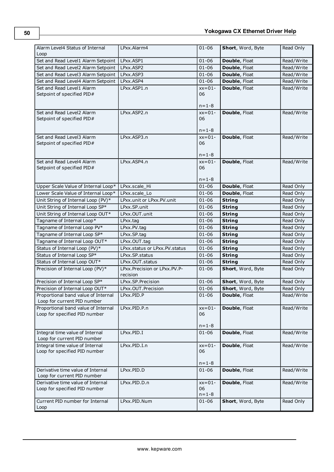| Alarm Level4 Status of Internal<br>Loop                              | LPxx.Alarm4                                 | $01 - 06$                     | Short, Word, Byte | Read Only  |
|----------------------------------------------------------------------|---------------------------------------------|-------------------------------|-------------------|------------|
| Set and Read Level1 Alarm Setpoint                                   | LPxx.ASP1                                   | $01 - 06$                     | Double, Float     | Read/Write |
| Set and Read Level2 Alarm Setpoint                                   | LPxx.ASP2                                   | $01 - 06$                     | Double, Float     | Read/Write |
| Set and Read Level3 Alarm Setpoint                                   | LPxx.ASP3                                   | $01 - 06$                     | Double, Float     | Read/Write |
| Set and Read Level4 Alarm Setpoint                                   | LPxx.ASP4                                   | $01 - 06$                     | Double, Float     | Read/Write |
| Set and Read Level1 Alarm<br>Setpoint of specified PID#              | LPxx.ASP1.n                                 | $xx=01-$<br>06                | Double, Float     | Read/Write |
|                                                                      |                                             | $n = 1 - 8$                   |                   |            |
| Set and Read Level2 Alarm<br>Setpoint of specified PID#              | LPxx.ASP2.n                                 | $xx=01-$<br>06                | Double, Float     | Read/Write |
|                                                                      |                                             | $n = 1 - 8$                   |                   |            |
| Set and Read Level3 Alarm<br>Setpoint of specified PID#              | LPxx.ASP3.n                                 | $xx=01-$<br>06<br>$n = 1 - 8$ | Double, Float     | Read/Write |
| Set and Read Level4 Alarm                                            | LPxx.ASP4.n                                 | $xx=01-$                      | Double, Float     | Read/Write |
| Setpoint of specified PID#                                           |                                             | 06                            |                   |            |
|                                                                      |                                             | $n = 1 - 8$                   |                   |            |
| Upper Scale Value of Internal Loop*                                  | LPxx.scale Hi                               | $01 - 06$                     | Double, Float     | Read Only  |
| Lower Scale Value of Internal Loop*                                  | LPxx.scale Lo                               | $01 - 06$                     | Double, Float     | Read Only  |
| Unit String of Internal Loop (PV)*                                   | LPxx.unit or LPxx.PV.unit                   | $01 - 06$                     | <b>String</b>     | Read Only  |
| Unit String of Internal Loop SP*                                     | LPxx.SP.unit                                | $01 - 06$                     | <b>String</b>     | Read Only  |
| Unit String of Internal Loop OUT*                                    | LPxx.OUT.unit                               | $01 - 06$                     | <b>String</b>     | Read Only  |
| Tagname of Internal Loop*                                            | LPxx.tag                                    | $01 - 06$                     | <b>String</b>     | Read Only  |
| Tagname of Internal Loop PV*                                         | LPxx.PV.tag                                 | $01 - 06$                     | <b>String</b>     | Read Only  |
| Tagname of Internal Loop SP*                                         | LPxx.SP.tag                                 | $01 - 06$                     | <b>String</b>     | Read Only  |
| Tagname of Internal Loop OUT*                                        | LPxx.OUT.tag                                | $01 - 06$                     | <b>String</b>     | Read Only  |
| Status of Internal Loop (PV)*                                        | LPxx.status or LPxx.PV.status               | $01 - 06$                     | <b>String</b>     | Read Only  |
| Status of Internal Loop SP*                                          | LPxx.SP.status                              | $01 - 06$                     | <b>String</b>     | Read Only  |
| Status of Internal Loop OUT*                                         | LPxx.OUT.status                             | $01 - 06$                     | <b>String</b>     | Read Only  |
| Precision of Internal Loop (PV)*                                     | LPxx. Precision or LPxx. PV. P-<br>recision | $01 - 06$                     | Short, Word, Byte | Read Only  |
| Precision of Internal Loop SP*                                       | LPxx.SP.Precision                           | $01 - 06$                     | Short, Word, Byte | Read Only  |
| Precision of Internal Loop OUT*                                      | LPxx.OUT.Precision                          | $01 - 06$                     | Short, Word, Byte | Read Only  |
| Proportional band value of Internal<br>Loop for current PID number   | LPxx.PID.P                                  | $01 - 06$                     | Double, Float     | Read/Write |
| Proportional band value of Internal<br>Loop for specified PID number | LPxx.PID.P.n                                | $xx=01-$<br>06<br>$n = 1 - 8$ | Double, Float     | Read/Write |
| Integral time value of Internal<br>Loop for current PID number       | LPxx.PID.I                                  | $01 - 06$                     | Double, Float     | Read/Write |
| Integral time value of Internal<br>Loop for specified PID number     | LPxx.PID.I.n                                | $xx=01-$<br>06<br>$n = 1 - 8$ | Double, Float     | Read/Write |
| Derivative time value of Internal<br>Loop for current PID number     | LPxx.PID.D                                  | $01 - 06$                     | Double, Float     | Read/Write |
| Derivative time value of Internal<br>Loop for specified PID number   | LPxx.PID.D.n                                | $xx=01-$<br>06<br>$n = 1 - 8$ | Double, Float     | Read/Write |
| Current PID number for Internal<br>Loop                              | LPxx.PID.Num                                | $01 - 06$                     | Short, Word, Byte | Read Only  |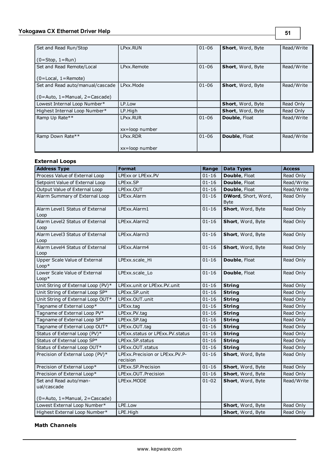# **Yokogawa CX Ethernet Driver Help**

| Set and Read Run/Stop                 | LPxx.RUN       | $01 - 06$ | <b>Short, Word, Byte</b> | Read/Write |
|---------------------------------------|----------------|-----------|--------------------------|------------|
|                                       |                |           |                          |            |
| $(0=Stop, 1=Run)$                     |                |           |                          |            |
| Set and Read Remote/Local             | LPxx.Remote    | $01 - 06$ | <b>Short, Word, Byte</b> | Read/Write |
|                                       |                |           |                          |            |
| $(0 = Local, 1 = Remote)$             |                |           |                          |            |
| Set and Read auto/manual/cascade      | LPxx.Mode      | $01 - 06$ | <b>Short, Word, Byte</b> | Read/Write |
|                                       |                |           |                          |            |
| $(0 = Auto, 1 = Manual, 2 = Cascade)$ |                |           |                          |            |
| Lowest Internal Loop Number*          | LP.Low         |           | Short, Word, Byte        | Read Only  |
| Highest Internal Loop Number*         | LP.High        |           | <b>Short, Word, Byte</b> | Read Only  |
| Ramp Up Rate**                        | LPxx.RUR       | $01 - 06$ | Double, Float            | Read/Write |
|                                       |                |           |                          |            |
|                                       | xx=loop number |           |                          |            |
| Ramp Down Rate**                      | LPxx.RDR       | $01 - 06$ | Double, Float            | Read/Write |
|                                       |                |           |                          |            |
|                                       | xx=loop number |           |                          |            |

# **External Loops**

| <b>Address Type</b>                                                    | <b>Format</b>                                 | Range     | <b>Data Types</b>                          | <b>Access</b> |
|------------------------------------------------------------------------|-----------------------------------------------|-----------|--------------------------------------------|---------------|
| Process Value of External Loop                                         | LPExx or LPExx.PV                             | $01 - 16$ | Double, Float                              | Read Only     |
| Setpoint Value of External Loop                                        | LPExx.SP                                      | $01 - 16$ | Double, Float                              | Read/Write    |
| Output Value of External Loop                                          | LPExx.OUT                                     | $01 - 16$ | Double, Float                              | Read/Write    |
| Alarm Summary of External Loop                                         | LPExx.Alarm                                   | $01 - 16$ | <b>DWord</b> , Short, Word,<br><b>Byte</b> | Read Only     |
| Alarm Level1 Status of External<br>Loop                                | LPExx.Alarm1                                  | $01 - 16$ | Short, Word, Byte                          | Read Only     |
| Alarm Level2 Status of External<br>Loop                                | LPExx.Alarm2                                  | $01 - 16$ | Short, Word, Byte                          | Read Only     |
| Alarm Level3 Status of External<br>Loop                                | LPExx.Alarm3                                  | $01 - 16$ | Short, Word, Byte                          | Read Only     |
| Alarm Level4 Status of External<br>Loop                                | LPExx.Alarm4                                  | $01 - 16$ | Short, Word, Byte                          | Read Only     |
| Upper Scale Value of External<br>$Loop*$                               | LPExx.scale Hi                                | $01 - 16$ | Double, Float                              | Read Only     |
| Lower Scale Value of External<br>$Loop*$                               | LPExx.scale Lo                                | $01 - 16$ | Double, Float                              | Read Only     |
| Unit String of External Loop (PV)*                                     | LPExx.unit or LPExx.PV.unit                   | $01 - 16$ | <b>String</b>                              | Read Only     |
| Unit String of External Loop SP*                                       | LPExx.SP.unit                                 | $01 - 16$ | <b>String</b>                              | Read Only     |
| Unit String of External Loop OUT*                                      | LPExx.OUT.unit                                | $01 - 16$ | <b>String</b>                              | Read Only     |
| Tagname of External Loop*                                              | LPExx.tag                                     | $01 - 16$ | <b>String</b>                              | Read Only     |
| Tagname of External Loop PV*                                           | LPExx.PV.tag                                  | $01 - 16$ | <b>String</b>                              | Read Only     |
| Tagname of External Loop SP*                                           | LPExx.SP.tag                                  | $01 - 16$ | <b>String</b>                              | Read Only     |
| Tagname of External Loop OUT*                                          | LPExx.OUT.tag                                 | $01 - 16$ | <b>String</b>                              | Read Only     |
| Status of External Loop (PV)*                                          | LPExx.status or LPExx.PV.status               | $01 - 16$ | <b>String</b>                              | Read Only     |
| Status of External Loop SP*                                            | LPExx.SP.status                               | $01 - 16$ | <b>String</b>                              | Read Only     |
| Status of External Loop OUT*                                           | LPExx.OUT.status                              | $01 - 16$ | <b>String</b>                              | Read Only     |
| Precision of External Loop (PV)*                                       | LPExx. Precision or LPExx. PV. P-<br>recision | $01 - 16$ | Short, Word, Byte                          | Read Only     |
| Precision of External Loop*                                            | LPExx.SP.Precision                            | $01 - 16$ | Short, Word, Byte                          | Read Only     |
| Precision of External Loop*                                            | LPExx.OUT.Precision                           | $01 - 16$ | Short, Word, Byte                          | Read Only     |
| Set and Read auto/man-<br>ual/cascade<br>(0=Auto, 1=Manual, 2=Cascade) | LPExx.MODE                                    | $01 - 02$ | Short, Word, Byte                          | Read/Write    |
| Lowest External Loop Number*                                           | LPE.Low                                       |           | Short, Word, Byte                          | Read Only     |
| Highest External Loop Number*                                          | LPE.High                                      |           | Short, Word, Byte                          | Read Only     |

# **Math Channels**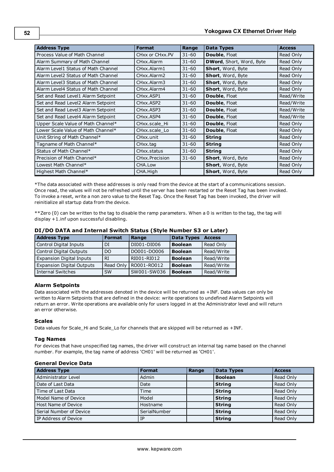| <b>Address Type</b>                 | <b>Format</b>          | Range     | <b>Data Types</b>        | <b>Access</b> |
|-------------------------------------|------------------------|-----------|--------------------------|---------------|
| Process Value of Math Channel       | CHxx or CHxx.PV        | $31 - 60$ | Double, Float            | Read Only     |
| Alarm Summary of Math Channel       | CHxx.Alarm             | $31 - 60$ | DWord, Short, Word, Byte | Read Only     |
| Alarm Level1 Status of Math Channel | CHxx.Alarm1            | $31 - 60$ | Short, Word, Byte        | Read Only     |
| Alarm Level2 Status of Math Channel | CHxx.Alarm2            | $31 - 60$ | Short, Word, Byte        | Read Only     |
| Alarm Level3 Status of Math Channel | CHxx.Alarm3            | $31 - 60$ | Short, Word, Byte        | Read Only     |
| Alarm Level4 Status of Math Channel | CHxx.Alarm4            | $31 - 60$ | Short, Word, Byte        | Read Only     |
| Set and Read Level1 Alarm Setpoint  | CHxx.ASP1              | $31 - 60$ | <b>Double, Float</b>     | Read/Write    |
| Set and Read Level2 Alarm Setpoint  | CHxx.ASP2              | $31 - 60$ | <b>Double, Float</b>     | Read/Write    |
| Set and Read Level3 Alarm Setpoint  | CH <sub>xx</sub> .ASP3 | $31 - 60$ | <b>Double, Float</b>     | Read/Write    |
| Set and Read Level4 Alarm Setpoint  | CH <sub>xx</sub> .ASP4 | $31 - 60$ | Double, Float            | Read/Write    |
| Upper Scale Value of Math Channel*  | CHxx.scale Hi          | $31 - 60$ | <b>Double, Float</b>     | Read Only     |
| Lower Scale Value of Math Channel*  | CHxx.scale_Lo          | $31 - 60$ | <b>Double, Float</b>     | Read Only     |
| Unit String of Math Channel*        | CHxx.unit              | $31 - 60$ | <b>String</b>            | Read Only     |
| Tagname of Math Channel*            | CHxx.tag               | $31 - 60$ | <b>String</b>            | Read Only     |
| Status of Math Channel*             | CHxx.status            | $31 - 60$ | <b>String</b>            | Read Only     |
| Precision of Math Channel*          | CHxx.Precision         | $31 - 60$ | Short, Word, Byte        | Read Only     |
| Lowest Math Channel*                | CHA.Low                |           | <b>Short, Word, Byte</b> | Read Only     |
| Highest Math Channel*               | CHA.High               |           | Short, Word, Byte        | Read Only     |

\*The data associated with these addresses is only read from the device at the start of a communications session. Once read, the values will not be refreshed until the server has been restarted or the Reset Tag has been invoked. To invoke a reset, write a non zero value to the Reset Tag. Once the Reset Tag has been invoked, the driver will reinitialize all startup data from the device.

\*\*Zero (0) can be written to the tag to disable the ramp parameters. When a 0 is written to the tag, the tag will display +1.inf upon successful disabling.

|  | DI/DO DATA and Internal Switch Status (Style Number S3 or Later) |  |  |
|--|------------------------------------------------------------------|--|--|
|--|------------------------------------------------------------------|--|--|

| <b>Address Type</b>              | <b>Format</b> | Range       | <b>Data Types</b> | <b>Access</b> |
|----------------------------------|---------------|-------------|-------------------|---------------|
| Control Digital Inputs           | DI            | DI001-DI006 | <b>Boolean</b>    | Read Only     |
| Control Digital Outputs          | DO            | DO001-DO006 | <b>Boolean</b>    | Read/Write    |
| <b>Expansion Digital Inputs</b>  | RI            | RI001-RI012 | <b>Boolean</b>    | Read/Write    |
| <b>Expansion Digital Outputs</b> | Read Only     | RO001-RO012 | <b>Boolean</b>    | Read/Write    |
| <b>Internal Switches</b>         | <b>SW</b>     | SW001-SW036 | <b>Boolean</b>    | Read/Write    |

#### **Alarm Setpoints**

Data associated with the addresses denoted in the device will be returned as +INF. Data values can only be written to Alarm Setpoints that are defined in the device: write operations to undefined Alarm Setpoints will return an error. Write operations are available only for users logged in at the Administrator level and will return an error otherwise.

#### **Scales**

Data values for Scale\_Hi and Scale\_Lo for channels that are skipped will be returned as +INF.

#### **Tag Names**

For devices that have unspecified tag names, the driver will construct an internal tag name based on the channel number. For example, the tag name of address 'CH01' will be returned as 'CH01'.

## **General Device Data**

| <b>Address Type</b>     | <b>Format</b> | Range | <b>Data Types</b> | <b>Access</b> |
|-------------------------|---------------|-------|-------------------|---------------|
| Administrator Level     | Admin         |       | <b>Boolean</b>    | Read Only     |
| Date of Last Data       | Date          |       | <b>String</b>     | Read Only     |
| Time of Last Data       | Time          |       | <b>String</b>     | Read Only     |
| Model Name of Device    | Model         |       | <b>String</b>     | Read Only     |
| Host Name of Device     | Hostname      |       | <b>String</b>     | Read Only     |
| Serial Number of Device | SerialNumber  |       | <b>String</b>     | Read Only     |
| IP Address of Device    | ΙP            |       | <b>String</b>     | Read Only     |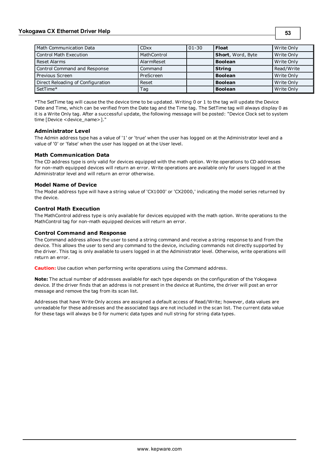# **Yokogawa CX Ethernet Driver Help**

| Math Communication Data           | <b>CDxx</b> | $01 - 30$ | <b>Float</b>      | Write Only |
|-----------------------------------|-------------|-----------|-------------------|------------|
| Control Math Execution            | MathControl |           | Short, Word, Byte | Write Only |
| Reset Alarms                      | AlarmReset  |           | <b>Boolean</b>    | Write Only |
| Control Command and Response      | Command     |           | <b>String</b>     | Read/Write |
| Previous Screen                   | PreScreen   |           | <b>Boolean</b>    | Write Only |
| Direct Reloading of Configuration | Reset       |           | <b>Boolean</b>    | Write Only |
| SetTime*                          | Tag         |           | <b>Boolean</b>    | Write Only |

**53**

\*The SetTime tag will cause the the device time to be updated. Writing 0 or 1 to the tag will update the Device Date and Time, which can be verified from the Date tag and the Time tag. The SetTime tag will always display 0 as it is a Write Only tag. After a successful update, the following message will be posted: "Device Clock set to system time [Device <device\_name>]."

#### **Administrator Level**

The Admin address type has a value of '1' or 'true' when the user has logged on at the Administrator level and a value of '0' or 'false' when the user has logged on at the User level.

#### **Math Communication Data**

The CD address type is only valid for devices equipped with the math option. Write operations to CD addresses for non-math equipped devices will return an error. Write operations are available only for users logged in at the Administrator level and will return an error otherwise.

#### **Model Name of Device**

The Model address type will have a string value of 'CX1000' or 'CX2000,' indicating the model series returned by the device.

#### **Control Math Execution**

The MathControl address type is only available for devices equipped with the math option. Write operations to the MathControl tag for non-math equipped devices will return an error.

#### **Control Command and Response**

The Command address allows the user to send a string command and receive a string response to and from the device. This allows the user to send any command to the device, including commands not directly supported by the driver. This tag is only available to users logged in at the Administrator level. Otherwise, write operations will return an error.

**Caution:** Use caution when performing write operations using the Command address.

**Note:** The actual number of addresses available for each type depends on the configuration of the Yokogawa device. If the driver finds that an address is not present in the device at Runtime, the driver will post an error message and remove the tag from its scan list.

Addresses that have Write Only access are assigned a default access of Read/Write; however, data values are unreadable for these addresses and the associated tags are not included in the scan list. The current data value for these tags will always be 0 for numeric data types and null string for string data types.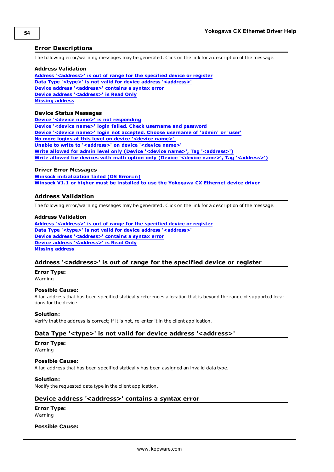# <span id="page-52-0"></span>**Error Descriptions**

The following error/warning messages may be generated. Click on the link for a description of the message.

#### **Address Validation**

**[Address](#page-52-2) ['<address>'](#page-52-2) [is](#page-52-2) [out](#page-52-2) [of](#page-52-2) [range](#page-52-2) [for](#page-52-2) [the](#page-52-2) [specified](#page-52-2) [device](#page-52-2) [or](#page-52-2) [register](#page-52-2) [Data](#page-52-3) [Type](#page-52-3) ['<type>'](#page-52-3) [is](#page-52-3) [not](#page-52-3) [valid](#page-52-3) [for](#page-52-3) [device](#page-52-3) [address](#page-52-3) ['<address>'](#page-52-3) [Device](#page-52-4) [address](#page-52-4) ['<address>'](#page-52-4) [contains](#page-52-4) [a](#page-52-4) [syntax](#page-52-4) [error](#page-52-4) [Device](#page-53-0) [address](#page-53-0) ['<address>'](#page-53-0) [is](#page-53-0) [Read](#page-53-0) [Only](#page-53-0) [Missing](#page-53-1) [address](#page-53-1)**

#### **Device Status Messages**

**[Device](#page-53-3) ['<device](#page-53-3) [name>'](#page-53-3) [is](#page-53-3) [not](#page-53-3) [responding](#page-53-3) [Device](#page-53-4) ['<device](#page-53-4) [name>'](#page-53-4) [login](#page-53-4) [failed.](#page-53-4) [Check](#page-53-4) [username](#page-53-4) [and](#page-53-4) [password](#page-53-4) [Device](#page-54-0) ['<device](#page-54-0) [name>'](#page-54-0) [login](#page-54-0) [not](#page-54-0) [accepted.](#page-54-0) [Choose](#page-54-0) [username](#page-54-0) [of](#page-54-0) ['admin'](#page-54-0) [or](#page-54-0) ['user'](#page-54-0) [No](#page-54-1) [more](#page-54-1) [logins](#page-54-1) [at](#page-54-1) [this](#page-54-1) [level](#page-54-1) [on](#page-54-1) [device](#page-54-1) ['<device](#page-54-1) [name>'](#page-54-1) [Unable](#page-54-2) [to](#page-54-2) [write](#page-54-2) [to](#page-54-2) ['<address>'](#page-54-2) [on](#page-54-2) [device](#page-54-2) ['<device](#page-54-2) [name>'](#page-54-2) [Write](#page-54-3) [allowed](#page-54-3) [for](#page-54-3) [admin](#page-54-3) [level](#page-54-3) [only](#page-54-3) [\(Device](#page-54-3) ['<device](#page-54-3) [name>',](#page-54-3) [Tag](#page-54-3) ['<address>'\)](#page-54-3) [Write](#page-54-4) [allowed](#page-54-4) [for](#page-54-4) [devices](#page-54-4) [with](#page-54-4) [math](#page-54-4) [option](#page-54-4) [only](#page-54-4) [\(Device](#page-54-4) ['<device](#page-54-4) [name>',](#page-54-4) [Tag](#page-54-4) ['<address>'\)](#page-54-4)**

#### **Driver Error Messages**

**[Winsock](#page-55-1) [initialization](#page-55-1) [failed](#page-55-1) [\(OS](#page-55-1) [Error=n\)](#page-55-1) [Winsock](#page-55-2) [V1.1](#page-55-2) [or](#page-55-2) [higher](#page-55-2) [must](#page-55-2) [be](#page-55-2) [installed](#page-55-2) [to](#page-55-2) [use](#page-55-2) [the](#page-55-2) [Yokogawa](#page-55-2) [CX](#page-55-2) [Ethernet](#page-55-2) [device](#page-55-2) [driver](#page-55-2)**

# <span id="page-52-1"></span>**Address Validation**

The following error/warning messages may be generated. Click on the link for a description of the message.

#### **Address Validation**

**[Address](#page-52-2) ['<address>'](#page-52-2) [is](#page-52-2) [out](#page-52-2) [of](#page-52-2) [range](#page-52-2) [for](#page-52-2) [the](#page-52-2) [specified](#page-52-2) [device](#page-52-2) [or](#page-52-2) [register](#page-52-2) [Data](#page-52-3) [Type](#page-52-3) ['<type>'](#page-52-3) [is](#page-52-3) [not](#page-52-3) [valid](#page-52-3) [for](#page-52-3) [device](#page-52-3) [address](#page-52-3) ['<address>'](#page-52-3) [Device](#page-52-4) [address](#page-52-4) ['<address>'](#page-52-4) [contains](#page-52-4) [a](#page-52-4) [syntax](#page-52-4) [error](#page-52-4) [Device](#page-53-0) [address](#page-53-0) ['<address>'](#page-53-0) [is](#page-53-0) [Read](#page-53-0) [Only](#page-53-0) [Missing](#page-53-1) [address](#page-53-1)**

#### <span id="page-52-2"></span>**Address '<address>' is out of range for the specified device or register**

**Error Type:** Warning

#### **Possible Cause:**

A tag address that has been specified statically references a location that is beyond the range of supported locations for the device.

#### **Solution:**

<span id="page-52-3"></span>Verify that the address is correct; if it is not, re-enter it in the client application.

## Data Type '<type>' is not valid for device address '<address>'

# **Error Type:**

Warning

#### **Possible Cause:**

A tag address that has been specified statically has been assigned an invalid data type.

#### **Solution:**

<span id="page-52-4"></span>Modify the requested data type in the client application.

### Device address '<address>' contains a syntax error

# **Error Type:**

Warning

## **Possible Cause:**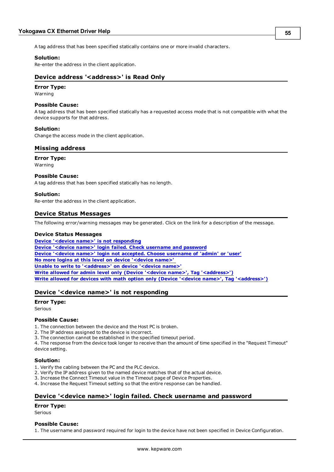A tag address that has been specified statically contains one or more invalid characters.

#### **Solution:**

<span id="page-53-0"></span>Re-enter the address in the client application.

## **Device address '<address>' is Read Only**

# **Error Type:**

Warning

## **Possible Cause:**

A tag address that has been specified statically has a requested access mode that is not compatible with what the device supports for that address.

#### **Solution:**

<span id="page-53-1"></span>Change the access mode in the client application.

# **Missing address**

# **Error Type:**

Warning

#### **Possible Cause:**

A tag address that has been specified statically has no length.

#### **Solution:**

<span id="page-53-2"></span>Re-enter the address in the client application.

# **Device Status Messages**

The following error/warning messages may be generated. Click on the link for a description of the message.

#### **Device Status Messages**

**[Device](#page-53-3) ['<device](#page-53-3) [name>'](#page-53-3) [is](#page-53-3) [not](#page-53-3) [responding](#page-53-3) [Device](#page-53-4) ['<device](#page-53-4) [name>'](#page-53-4) [login](#page-53-4) [failed.](#page-53-4) [Check](#page-53-4) [username](#page-53-4) [and](#page-53-4) [password](#page-53-4) [Device](#page-54-0) ['<device](#page-54-0) [name>'](#page-54-0) [login](#page-54-0) [not](#page-54-0) [accepted.](#page-54-0) [Choose](#page-54-0) [username](#page-54-0) [of](#page-54-0) ['admin'](#page-54-0) [or](#page-54-0) ['user'](#page-54-0) [No](#page-54-1) [more](#page-54-1) [logins](#page-54-1) [at](#page-54-1) [this](#page-54-1) [level](#page-54-1) [on](#page-54-1) [device](#page-54-1) ['<device](#page-54-1) [name>'](#page-54-1) [Unable](#page-54-2) [to](#page-54-2) [write](#page-54-2) [to](#page-54-2) ['<address>'](#page-54-2) [on](#page-54-2) [device](#page-54-2) ['<device](#page-54-2) [name>'](#page-54-2) [Write](#page-54-3) [allowed](#page-54-3) [for](#page-54-3) [admin](#page-54-3) [level](#page-54-3) [only](#page-54-3) [\(Device](#page-54-3) ['<device](#page-54-3) [name>',](#page-54-3) [Tag](#page-54-3) ['<address>'\)](#page-54-3) [Write](#page-54-4) [allowed](#page-54-4) [for](#page-54-4) [devices](#page-54-4) [with](#page-54-4) [math](#page-54-4) [option](#page-54-4) [only](#page-54-4) [\(Device](#page-54-4) ['<device](#page-54-4) [name>',](#page-54-4) [Tag](#page-54-4) ['<address>'\)](#page-54-4)**

# <span id="page-53-3"></span>**Device '<device name>' is not responding**

#### **Error Type:**

Serious

#### **Possible Cause:**

1. The connection between the device and the Host PC is broken.

- 2. The IP address assigned to the device is incorrect.
- 3. The connection cannot be established in the specified timeout period.

4. The response from the device took longer to receive than the amount of time specified in the "Request Timeout" device setting.

#### **Solution:**

- 1. Verify the cabling between the PC and the PLC device.
- 2. Verify the IP address given to the named device matches that of the actual device.
- 3. Increase the Connect Timeout value in the Timeout page of Device Properties.
- <span id="page-53-4"></span>4. Increase the Request Timeout setting so that the entire response can be handled.

# **Device '<device name>' login failed. Check username and password**

#### **Error Type:**

Serious

#### **Possible Cause:**

1. The username and password required for login to the device have not been specified in Device Configuration.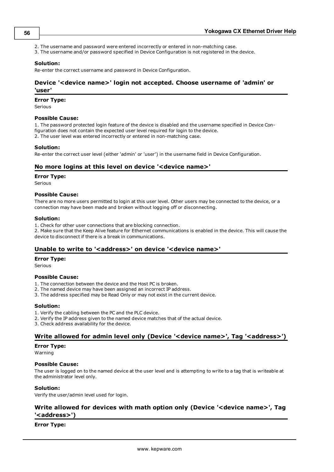- 2. The username and password were entered incorrectly or entered in non-matching case.
- 3. The username and/or password specified in Device Configuration is not registered in the device.

#### **Solution:**

<span id="page-54-0"></span>Re-enter the correct username and password in Device Configuration.

# **Device '<device name>' login not accepted. Choose username of 'admin' or 'user'**

#### **Error Type:**

Serious

#### **Possible Cause:**

1. The password protected login feature of the device is disabled and the username specified in Device Configuration does not contain the expected user level required for login to the device. 2. The user level was entered incorrectly or entered in non-matching case.

#### **Solution:**

<span id="page-54-1"></span>Re-enter the correct user level (either 'admin' or 'user') in the username field in Device Configuration.

#### **No more logins at this level on device '<device name>'**

#### **Error Type:**

Serious

#### **Possible Cause:**

There are no more users permitted to login at this user level. Other users may be connected to the device, or a connection may have been made and broken without logging off or disconnecting.

#### **Solution:**

1. Check for other user connections that are blocking connection.

2. Make sure that the Keep Alive feature for Ethernet communications is enabled in the device. This will cause the device to disconnect if there is a break in communications.

#### <span id="page-54-2"></span>Unable to write to '<address>' on device '<device name>'

#### **Error Type:**

Serious

#### **Possible Cause:**

- 1. The connection between the device and the Host PC is broken.
- 2. The named device may have been assigned an incorrect IP address.
- 3. The address specified may be Read Only or may not exist in the current device.

#### **Solution:**

- 1. Verify the cabling between the PC and the PLC device.
- 2. Verify the IP address given to the named device matches that of the actual device.
- <span id="page-54-3"></span>3. Check address availability for the device.

# **Write allowed for admin level only (Device '<device name>', Tag '<address>')**

#### **Error Type:**

Warning

#### **Possible Cause:**

The user is logged on to the named device at the user level and is attempting to write to a tag that is writeable at the administrator level only.

#### **Solution:**

<span id="page-54-4"></span>Verify the user/admin level used for login.

# **Write allowed for devices with math option only (Device '<device name>', Tag '<address>')**

#### **Error Type:**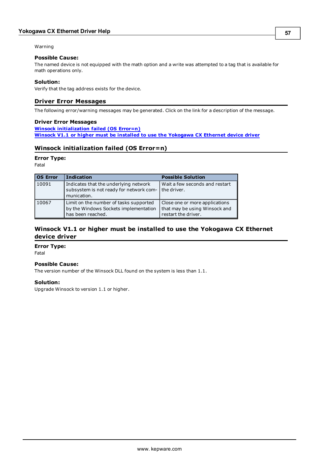#### Warning

## **Possible Cause:**

The named device is not equipped with the math option and a write was attempted to a tag that is available for math operations only.

#### **Solution:**

<span id="page-55-0"></span>Verify that the tag address exists for the device.

# **Driver Error Messages**

The following error/warning messages may be generated. Click on the link for a description of the message.

#### **Driver Error Messages**

**[Winsock](#page-55-1) [initialization](#page-55-1) [failed](#page-55-1) [\(OS](#page-55-1) [Error=n\)](#page-55-1) [Winsock](#page-55-2) [V1.1](#page-55-2) [or](#page-55-2) [higher](#page-55-2) [must](#page-55-2) [be](#page-55-2) [installed](#page-55-2) [to](#page-55-2) [use](#page-55-2) [the](#page-55-2) [Yokogawa](#page-55-2) [CX](#page-55-2) [Ethernet](#page-55-2) [device](#page-55-2) [driver](#page-55-2)**

# <span id="page-55-1"></span>**Winsock initialization failed (OS Error=n)**

#### **Error Type:**

Fatal

| <b>OS Error</b> | <b>Indication</b>                                                                                    | <b>Possible Solution</b>                                                               |
|-----------------|------------------------------------------------------------------------------------------------------|----------------------------------------------------------------------------------------|
| 10091           | Indicates that the underlying network<br>subsystem is not ready for network com-<br>munication.      | Wait a few seconds and restart<br>l the driver.                                        |
| 10067           | Limit on the number of tasks supported<br>by the Windows Sockets implementation<br>has been reached. | Close one or more applications<br>that may be using Winsock and<br>restart the driver. |

# <span id="page-55-2"></span>**Winsock V1.1 or higher must be installed to use the Yokogawa CX Ethernet device driver**

#### **Error Type:**

Fatal

#### **Possible Cause:**

The version number of the Winsock DLL found on the system is less than 1.1.

#### **Solution:**

Upgrade Winsock to version 1.1 or higher.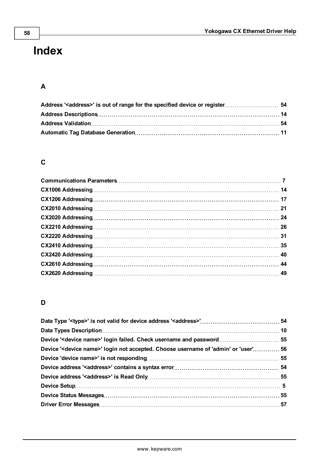# <span id="page-56-0"></span>**Index**

# **A**

# **C**

# **D**

| Device ' <device name="">' login not accepted. Choose username of 'admin' or 'user' 56</device> |  |
|-------------------------------------------------------------------------------------------------|--|
|                                                                                                 |  |
|                                                                                                 |  |
|                                                                                                 |  |
|                                                                                                 |  |
|                                                                                                 |  |
|                                                                                                 |  |